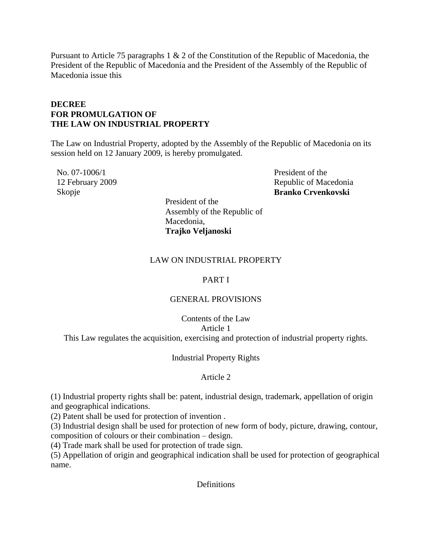Pursuant to Article 75 paragraphs 1 & 2 of the Constitution of the Republic of Macedonia, the President of the Republic of Macedonia and the President of the Assembly of the Republic of Macedonia issue this

## **DECREE FOR PROMULGATION OF THE LAW ON INDUSTRIAL PROPERTY**

The Law on Industrial Property, adopted by the Assembly of the Republic of Macedonia on its session held on 12 January 2009, is hereby promulgated.

No. 07-1006/1 12 February 2009 Skopje

President of the Republic of Macedonia **Branko Crvenkovski**

President of the Assembly of the Republic of Macedonia, **Trajko Veljanoski**

## LAW ON INDUSTRIAL PROPERTY

### PART I

## GENERAL PROVISIONS

Contents of the Law Article 1 This Law regulates the acquisition, exercising and protection of industrial property rights.

### Industrial Property Rights

### Article 2

(1) Industrial property rights shall be: patent, industrial design, trademark, appellation of origin and geographical indications.

(2) Patent shall be used for protection of invention .

(3) Industrial design shall be used for protection of new form of body, picture, drawing, contour, composition of colours or their combination – design.

(4) Trade mark shall be used for protection of trade sign.

(5) Appellation of origin and geographical indication shall be used for protection of geographical name.

**Definitions**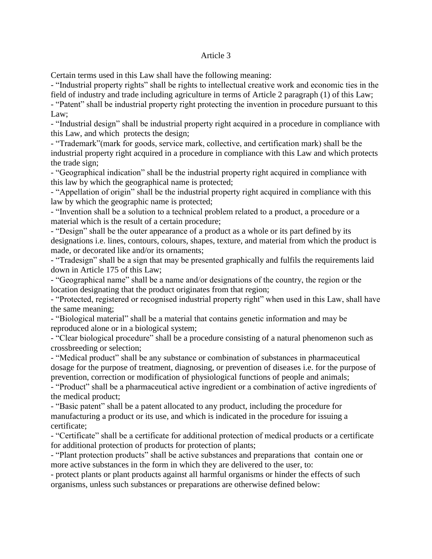#### Article 3

Certain terms used in this Law shall have the following meaning:

- "Industrial property rights" shall be rights to intellectual creative work and economic ties in the field of industry and trade including agriculture in terms of Article 2 paragraph (1) of this Law;

- "Patent" shall be industrial property right protecting the invention in procedure pursuant to this Law;

- "Industrial design" shall be industrial property right acquired in a procedure in compliance with this Law, and which protects the design;

- "Trademark"(mark for goods, service mark, collective, and certification mark) shall be the industrial property right acquired in a procedure in compliance with this Law and which protects the trade sign;

- "Geographical indication" shall be the industrial property right acquired in compliance with this law by which the geographical name is protected;

- "Appellation of origin" shall be the industrial property right acquired in compliance with this law by which the geographic name is protected;

- "Invention shall be a solution to a technical problem related to a product, a procedure or a material which is the result of a certain procedure;

- "Design" shall be the outer appearance of a product as a whole or its part defined by its designations i.e. lines, contours, colours, shapes, texture, and material from which the product is made, or decorated like and/or its ornaments;

- "Tradesign" shall be a sign that may be presented graphically and fulfils the requirements laid down in Article 175 of this Law;

- "Geographical name" shall be a name and/or designations of the country, the region or the location designating that the product originates from that region;

- "Protected, registered or recognised industrial property right" when used in this Law, shall have the same meaning;

- "Biological material" shall be a material that contains genetic information and may be reproduced alone or in a biological system;

- "Clear biological procedure" shall be a procedure consisting of a natural phenomenon such as crossbreeding or selection;

- "Medical product" shall be any substance or combination of substances in pharmaceutical dosage for the purpose of treatment, diagnosing, or prevention of diseases i.e. for the purpose of prevention, correction or modification of physiological functions of people and animals;

- "Product" shall be a pharmaceutical active ingredient or a combination of active ingredients of the medical product;

- "Basic patent" shall be a patent allocated to any product, including the procedure for manufacturing a product or its use, and which is indicated in the procedure for issuing a certificate;

- "Certificate" shall be a certificate for additional protection of medical products or a certificate for additional protection of products for protection of plants;

- "Plant protection products" shall be active substances and preparations that contain one or more active substances in the form in which they are delivered to the user, to:

- protect plants or plant products against all harmful organisms or hinder the effects of such organisms, unless such substances or preparations are otherwise defined below: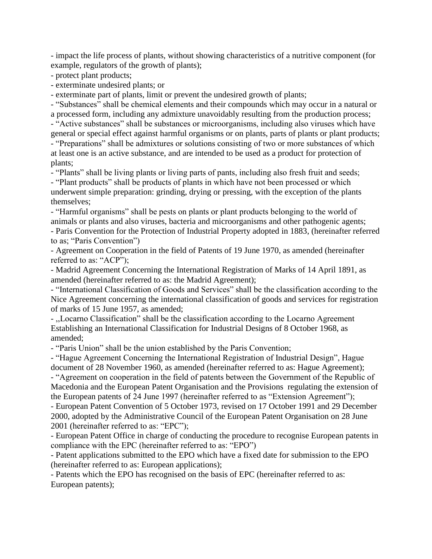- impact the life process of plants, without showing characteristics of a nutritive component (for example, regulators of the growth of plants);

- protect plant products;

- exterminate undesired plants; or

- exterminate part of plants, limit or prevent the undesired growth of plants;

- "Substances" shall be chemical elements and their compounds which may occur in a natural or a processed form, including any admixture unavoidably resulting from the production process;

- "Active substances" shall be substances or microorganisms, including also viruses which have general or special effect against harmful organisms or on plants, parts of plants or plant products;

- "Preparations" shall be admixtures or solutions consisting of two or more substances of which at least one is an active substance, and are intended to be used as a product for protection of plants;

- "Plants" shall be living plants or living parts of pants, including also fresh fruit and seeds;

- "Plant products" shall be products of plants in which have not been processed or which underwent simple preparation: grinding, drying or pressing, with the exception of the plants themselves;

- "Harmful organisms" shall be pests on plants or plant products belonging to the world of animals or plants and also viruses, bacteria and microorganisms and other pathogenic agents; - Paris Convention for the Protection of Industrial Property adopted in 1883, (hereinafter referred to as; "Paris Convention")

- Agreement on Cooperation in the field of Patents of 19 June 1970, as amended (hereinafter referred to as: "ACP");

- Madrid Agreement Concerning the International Registration of Marks of 14 April 1891, as amended (hereinafter referred to as: the Madrid Agreement);

- "International Classification of Goods and Services" shall be the classification according to the Nice Agreement concerning the international classification of goods and services for registration of marks of 15 June 1957, as amended;

- ,,Locarno Classification" shall be the classification according to the Locarno Agreement Establishing an International Classification for Industrial Designs of 8 October 1968, as amended;

- "Paris Union" shall be the union established by the Paris Convention;

- "Hague Agreement Concerning the International Registration of Industrial Design", Hague document of 28 November 1960, as amended (hereinafter referred to as: Hague Agreement);

- "Agreement on cooperation in the field of patents between the Government of the Republic of Macedonia and the European Patent Organisation and the Provisions regulating the extension of the European patents of 24 June 1997 (hereinafter referred to as "Extension Agreement");

- European Patent Convention of 5 October 1973, revised on 17 October 1991 and 29 December 2000, adopted by the Administrative Council of the European Patent Organisation on 28 June 2001 (hereinafter referred to as: "EPC");

- European Patent Office in charge of conducting the procedure to recognise European patents in compliance with the EPC (hereinafter referred to as: "EPO")

- Patent applications submitted to the EPO which have a fixed date for submission to the EPO (hereinafter referred to as: European applications);

- Patents which the EPO has recognised on the basis of EPC (hereinafter referred to as: European patents);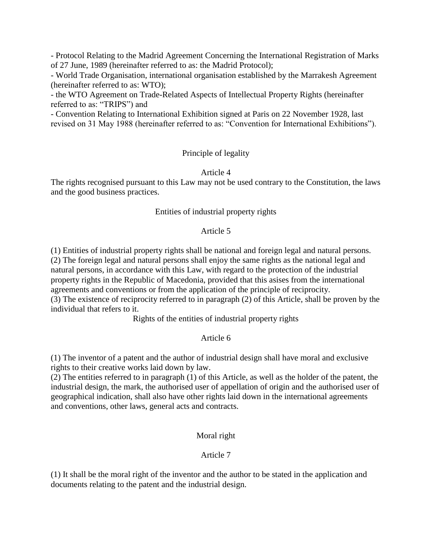- Protocol Relating to the Madrid Agreement Concerning the International Registration of Marks of 27 June, 1989 (hereinafter referred to as: the Madrid Protocol);

- World Trade Organisation, international organisation established by the Marrakesh Agreement (hereinafter referred to as: WTO);

- the WTO Agreement on Trade-Related Aspects of Intellectual Property Rights (hereinafter referred to as: "TRIPS") and

- Convention Relating to International Exhibition signed at Paris on 22 November 1928, last revised on 31 May 1988 (hereinafter referred to as: "Convention for International Exhibitions").

# Principle of legality

## Article 4

The rights recognised pursuant to this Law may not be used contrary to the Constitution, the laws and the good business practices.

## Entities of industrial property rights

## Article 5

(1) Entities of industrial property rights shall be national and foreign legal and natural persons. (2) The foreign legal and natural persons shall enjoy the same rights as the national legal and natural persons, in accordance with this Law, with regard to the protection of the industrial property rights in the Republic of Macedonia, provided that this asises from the international agreements and conventions or from the application of the principle of reciprocity. (3) The existence of reciprocity referred to in paragraph (2) of this Article, shall be proven by the individual that refers to it.

Rights of the entities of industrial property rights

# Article 6

(1) The inventor of a patent and the author of industrial design shall have moral and exclusive rights to their creative works laid down by law.

(2) The entities referred to in paragraph (1) of this Article, as well as the holder of the patent, the industrial design, the mark, the authorised user of appellation of origin and the authorised user of geographical indication, shall also have other rights laid down in the international agreements and conventions, other laws, general acts and contracts.

# Moral right

# Article 7

(1) It shall be the moral right of the inventor and the author to be stated in the application and documents relating to the patent and the industrial design.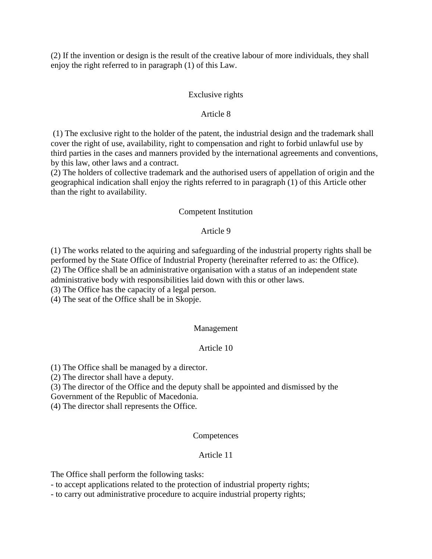(2) If the invention or design is the result of the creative labour of more individuals, they shall enjoy the right referred to in paragraph (1) of this Law.

### Exclusive rights

### Article 8

(1) The exclusive right to the holder of the patent, the industrial design and the trademark shall cover the right of use, availability, right to compensation and right to forbid unlawful use by third parties in the cases and manners provided by the international agreements and conventions, by this law, other laws and a contract.

(2) The holders of collective trademark and the authorised users of appellation of origin and the geographical indication shall enjoy the rights referred to in paragraph (1) of this Article other than the right to availability.

### Competent Institution

#### Article 9

(1) The works related to the aquiring and safeguarding of the industrial property rights shall be performed by the State Office of Industrial Property (hereinafter referred to as: the Office). (2) The Office shall be an administrative organisation with a status of an independent state administrative body with responsibilities laid down with this or other laws.

(3) The Office has the capacity of a legal person.

(4) The seat of the Office shall be in Skopje.

### Management

### Article 10

(1) The Office shall be managed by a director.

(2) The director shall have a deputy.

(3) The director of the Office and the deputy shall be appointed and dismissed by the

Government of the Republic of Macedonia.

(4) The director shall represents the Office.

### **Competences**

### Article 11

The Office shall perform the following tasks:

- to accept applications related to the protection of industrial property rights;

- to carry out administrative procedure to acquire industrial property rights;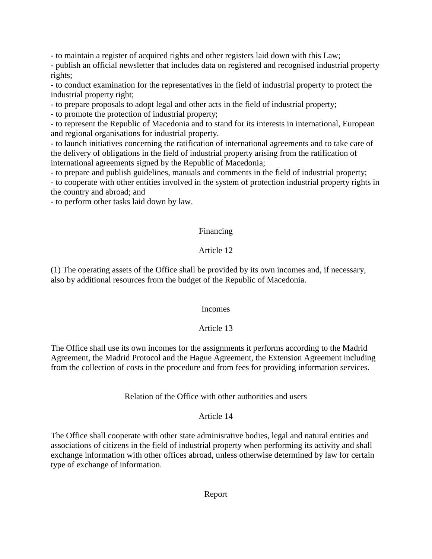- to maintain a register of acquired rights and other registers laid down with this Law;

- publish an official newsletter that includes data on registered and recognised industrial property rights;

- to conduct examination for the representatives in the field of industrial property to protect the industrial property right;

- to prepare proposals to adopt legal and other acts in the field of industrial property;

- to promote the protection of industrial property;

- to represent the Republic of Macedonia and to stand for its interests in international, European and regional organisations for industrial property.

- to launch initiatives concerning the ratification of international agreements and to take care of the delivery of obligations in the field of industrial property arising from the ratification of international agreements signed by the Republic of Macedonia;

- to prepare and publish guidelines, manuals and comments in the field of industrial property;

- to cooperate with other entities involved in the system of protection industrial property rights in the country and abroad; and

- to perform other tasks laid down by law.

# Financing

# Article 12

(1) The operating assets of the Office shall be provided by its own incomes and, if necessary, also by additional resources from the budget of the Republic of Macedonia.

# Incomes

# Article 13

The Office shall use its own incomes for the assignments it performs according to the Madrid Agreement, the Madrid Protocol and the Hague Agreement, the Extension Agreement including from the collection of costs in the procedure and from fees for providing information services.

# Relation of the Office with other authorities and users

# Article 14

The Office shall cooperate with other state adminisrative bodies, legal and natural entities and associations of citizens in the field of industrial property when performing its activity and shall exchange information with other offices abroad, unless otherwise determined by law for certain type of exchange of information.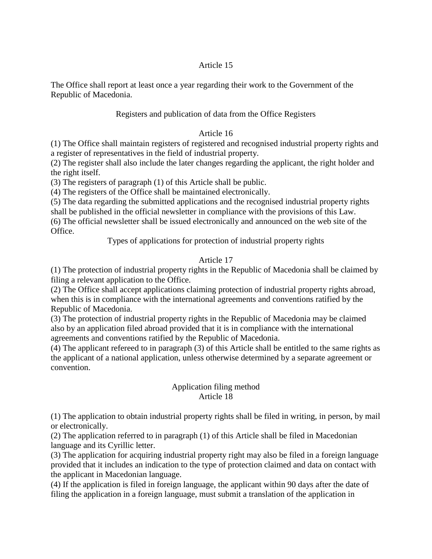## Article 15

The Office shall report at least once a year regarding their work to the Government of the Republic of Macedonia.

## Registers and publication of data from the Office Registers

### Article 16

(1) The Office shall maintain registers of registered and recognised industrial property rights and a register of representatives in the field of industrial property.

(2) The register shall also include the later changes regarding the applicant, the right holder and the right itself.

(3) The registers of paragraph (1) of this Article shall be public.

(4) The registers of the Office shall be maintained electronically.

(5) The data regarding the submitted applications and the recognised industrial property rights shall be published in the official newsletter in compliance with the provisions of this Law.

(6) The official newsletter shall be issued electronically and announced on the web site of the Office.

Types of applications for protection of industrial property rights

# Article 17

(1) The protection of industrial property rights in the Republic of Macedonia shall be claimed by filing a relevant application to the Office.

(2) The Office shall accept applications claiming protection of industrial property rights abroad, when this is in compliance with the international agreements and conventions ratified by the Republic of Macedonia.

(3) The protection of industrial property rights in the Republic of Macedonia may be claimed also by an application filed abroad provided that it is in compliance with the international agreements and conventions ratified by the Republic of Macedonia.

(4) The applicant refereed to in paragraph (3) of this Article shall be entitled to the same rights as the applicant of a national application, unless otherwise determined by a separate agreement or convention.

### Application filing method Article 18

(1) The application to obtain industrial property rights shall be filed in writing, in person, by mail or electronically.

(2) The application referred to in paragraph (1) of this Article shall be filed in Macedonian language and its Cyrillic letter.

(3) The application for acquiring industrial property right may also be filed in a foreign language provided that it includes an indication to the type of protection claimed and data on contact with the applicant in Macedonian language.

(4) If the application is filed in foreign language, the applicant within 90 days after the date of filing the application in a foreign language, must submit a translation of the application in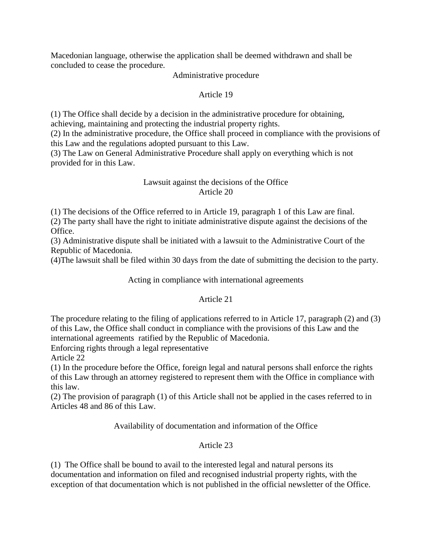Macedonian language, otherwise the application shall be deemed withdrawn and shall be concluded to cease the procedure.

Administrative procedure

# Article 19

(1) The Office shall decide by a decision in the administrative procedure for obtaining, achieving, maintaining and protecting the industrial property rights.

(2) In the administrative procedure, the Office shall proceed in compliance with the provisions of this Law and the regulations adopted pursuant to this Law.

(3) The Law on General Administrative Procedure shall apply on everything which is not provided for in this Law.

## Lawsuit against the decisions of the Office Article 20

(1) The decisions of the Office referred to in Article 19, paragraph 1 of this Law are final.

(2) The party shall have the right to initiate administrative dispute against the decisions of the Office.

(3) Administrative dispute shall be initiated with a lawsuit to the Administrative Court of the Republic of Macedonia.

(4)The lawsuit shall be filed within 30 days from the date of submitting the decision to the party.

# Acting in compliance with international agreements

# Article 21

The procedure relating to the filing of applications referred to in Article 17, paragraph (2) and (3) of this Law, the Office shall conduct in compliance with the provisions of this Law and the international agreements ratified by the Republic of Macedonia.

Enforcing rights through a legal representative

Article 22

(1) In the procedure before the Office, foreign legal and natural persons shall enforce the rights of this Law through an attorney registered to represent them with the Office in compliance with this law.

(2) The provision of paragraph (1) of this Article shall not be applied in the cases referred to in Articles 48 and 86 of this Law.

Availability of documentation and information of the Office

# Article 23

(1) The Office shall be bound to avail to the interested legal and natural persons its documentation and information on filed and recognised industrial property rights, with the exception of that documentation which is not published in the official newsletter of the Office.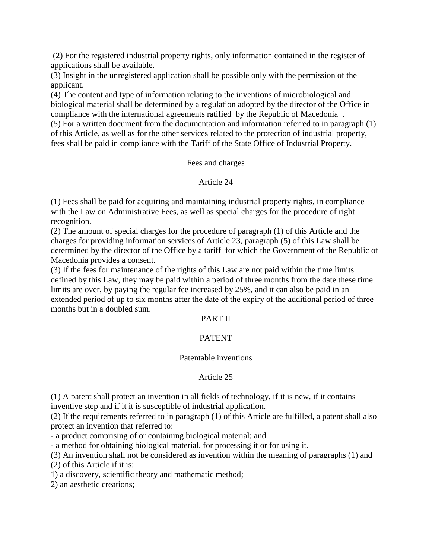(2) For the registered industrial property rights, only information contained in the register of applications shall be available.

(3) Insight in the unregistered application shall be possible only with the permission of the applicant.

(4) The content and type of information relating to the inventions of microbiological and biological material shall be determined by a regulation adopted by the director of the Office in compliance with the international agreements ratified by the Republic of Macedonia .

(5) For a written document from the documentation and information referred to in paragraph (1) of this Article, as well as for the other services related to the protection of industrial property, fees shall be paid in compliance with the Tariff of the State Office of Industrial Property.

## Fees and charges

## Article 24

(1) Fees shall be paid for acquiring and maintaining industrial property rights, in compliance with the Law on Administrative Fees, as well as special charges for the procedure of right recognition.

(2) The amount of special charges for the procedure of paragraph (1) of this Article and the charges for providing information services of Article 23, paragraph (5) of this Law shall be determined by the director of the Office by a tariff for which the Government of the Republic of Macedonia provides a consent.

(3) If the fees for maintenance of the rights of this Law are not paid within the time limits defined by this Law, they may be paid within a period of three months from the date these time limits are over, by paying the regular fee increased by 25%, and it can also be paid in an extended period of up to six months after the date of the expiry of the additional period of three months but in a doubled sum.

### PART II

# PATENT

### Patentable inventions

# Article 25

(1) A patent shall protect an invention in all fields of technology, if it is new, if it contains inventive step and if it it is susceptible of industrial application.

(2) If the requirements referred to in paragraph (1) of this Article are fulfilled, a patent shall also protect an invention that referred to:

- a product comprising of or containing biological material; and

- a method for obtaining biological material, for processing it or for using it.

(3) An invention shall not be considered as invention within the meaning of paragraphs (1) and (2) of this Article if it is:

1) a discovery, scientific theory and mathematic method;

2) an aesthetic creations;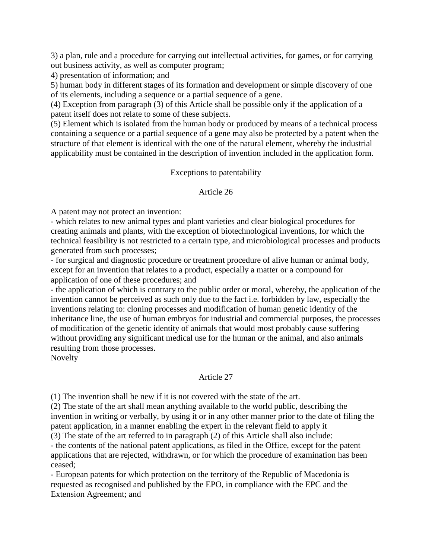3) a plan, rule and a procedure for carrying out intellectual activities, for games, or for carrying out business activity, as well as computer program;

4) presentation of information; and

5) human body in different stages of its formation and development or simple discovery of one of its elements, including a sequence or a partial sequence of a gene.

(4) Exception from paragraph (3) of this Article shall be possible only if the application of a patent itself does not relate to some of these subjects.

(5) Element which is isolated from the human body or produced by means of a technical process containing a sequence or a partial sequence of a gene may also be protected by a patent when the structure of that element is identical with the one of the natural element, whereby the industrial applicability must be contained in the description of invention included in the application form.

## Exceptions to patentability

## Article 26

A patent may not protect an invention:

- which relates to new animal types and plant varieties and clear biological procedures for creating animals and plants, with the exception of biotechnological inventions, for which the technical feasibility is not restricted to a certain type, and microbiological processes and products generated from such processes;

- for surgical and diagnostic procedure or treatment procedure of alive human or animal body, except for an invention that relates to a product, especially a matter or a compound for application of one of these procedures; and

- the application of which is contrary to the public order or moral, whereby, the application of the invention cannot be perceived as such only due to the fact i.e. forbidden by law, especially the inventions relating to: cloning processes and modification of human genetic identity of the inheritance line, the use of human embryos for industrial and commercial purposes, the processes of modification of the genetic identity of animals that would most probably cause suffering without providing any significant medical use for the human or the animal, and also animals resulting from those processes.

Novelty

# Article 27

(1) The invention shall be new if it is not covered with the state of the art.

(2) The state of the art shall mean anything available to the world public, describing the invention in writing or verbally, by using it or in any other manner prior to the date of filing the patent application, in a manner enabling the expert in the relevant field to apply it (3) The state of the art referred to in paragraph (2) of this Article shall also include:

- the contents of the national patent applications, as filed in the Office, except for the patent applications that are rejected, withdrawn, or for which the procedure of examination has been ceased;

- European patents for which protection on the territory of the Republic of Macedonia is requested as recognised and published by the EPO, in compliance with the EPC and the Extension Agreement; and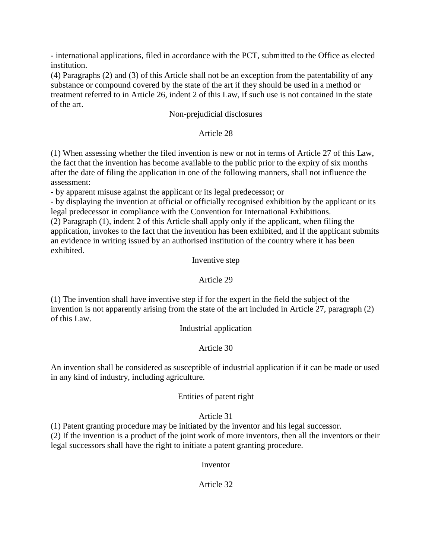- international applications, filed in accordance with the PCT, submitted to the Office as elected institution.

(4) Paragraphs (2) and (3) of this Article shall not be an exception from the patentability of any substance or compound covered by the state of the art if they should be used in a method or treatment referred to in Article 26, indent 2 of this Law, if such use is not contained in the state of the art.

### Non-prejudicial disclosures

## Article 28

(1) When assessing whether the filed invention is new or not in terms of Article 27 of this Law, the fact that the invention has become available to the public prior to the expiry of six months after the date of filing the application in one of the following manners, shall not influence the assessment:

- by apparent misuse against the applicant or its legal predecessor; or

- by displaying the invention at official or officially recognised exhibition by the applicant or its legal predecessor in compliance with the Convention for International Exhibitions.

(2) Paragraph (1), indent 2 of this Article shall apply only if the applicant, when filing the application, invokes to the fact that the invention has been exhibited, and if the applicant submits an evidence in writing issued by an authorised institution of the country where it has been exhibited.

### Inventive step

### Article 29

(1) The invention shall have inventive step if for the expert in the field the subject of the invention is not apparently arising from the state of the art included in Article 27, paragraph (2) of this Law.

### Industrial application

### Article 30

An invention shall be considered as susceptible of industrial application if it can be made or used in any kind of industry, including agriculture.

### Entities of patent right

### Article 31

(1) Patent granting procedure may be initiated by the inventor and his legal successor.

(2) If the invention is a product of the joint work of more inventors, then all the inventors or their legal successors shall have the right to initiate a patent granting procedure.

### Inventor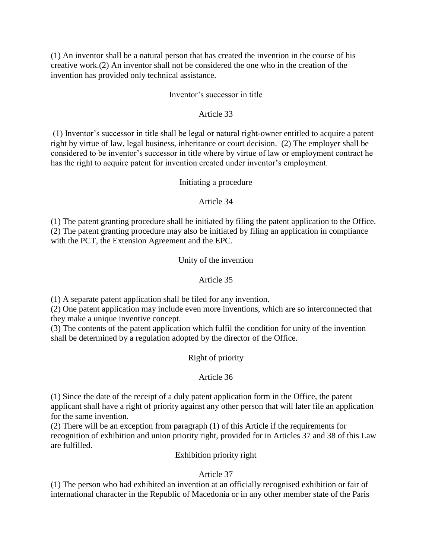(1) An inventor shall be a natural person that has created the invention in the course of his creative work.(2) An inventor shall not be considered the one who in the creation of the invention has provided only technical assistance.

## Inventor's successor in title

## Article 33

(1) Inventor's successor in title shall be legal or natural right-owner entitled to acquire a patent right by virtue of law, legal business, inheritance or court decision. (2) The employer shall be considered to be inventor's successor in title where by virtue of law or employment contract he has the right to acquire patent for invention created under inventor's employment.

## Initiating a procedure

# Article 34

(1) The patent granting procedure shall be initiated by filing the patent application to the Office. (2) The patent granting procedure may also be initiated by filing an application in compliance with the PCT, the Extension Agreement and the EPC.

## Unity of the invention

## Article 35

(1) A separate patent application shall be filed for any invention.

(2) One patent application may include even more inventions, which are so interconnected that they make a unique inventive concept.

(3) The contents of the patent application which fulfil the condition for unity of the invention shall be determined by a regulation adopted by the director of the Office.

Right of priority

# Article 36

(1) Since the date of the receipt of a duly patent application form in the Office, the patent applicant shall have a right of priority against any other person that will later file an application for the same invention.

(2) There will be an exception from paragraph (1) of this Article if the requirements for recognition of exhibition and union priority right, provided for in Articles 37 and 38 of this Law are fulfilled.

### Exhibition priority right

# Article 37

(1) The person who had exhibited an invention at an officially recognised exhibition or fair of international character in the Republic of Macedonia or in any other member state of the Paris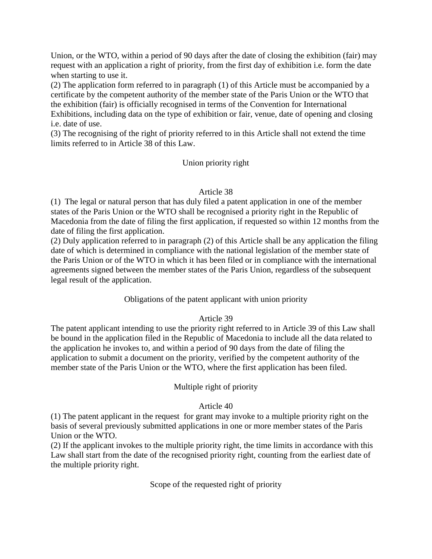Union, or the WTO, within a period of 90 days after the date of closing the exhibition (fair) may request with an application a right of priority, from the first day of exhibition i.e. form the date when starting to use it.

(2) The application form referred to in paragraph (1) of this Article must be accompanied by a certificate by the competent authority of the member state of the Paris Union or the WTO that the exhibition (fair) is officially recognised in terms of the Convention for International Exhibitions, including data on the type of exhibition or fair, venue, date of opening and closing i.e. date of use.

(3) The recognising of the right of priority referred to in this Article shall not extend the time limits referred to in Article 38 of this Law.

# Union priority right

## Article 38

(1) The legal or natural person that has duly filed a patent application in one of the member states of the Paris Union or the WTO shall be recognised a priority right in the Republic of Macedonia from the date of filing the first application, if requested so within 12 months from the date of filing the first application.

(2) Duly application referred to in paragraph (2) of this Article shall be any application the filing date of which is determined in compliance with the national legislation of the member state of the Paris Union or of the WTO in which it has been filed or in compliance with the international agreements signed between the member states of the Paris Union, regardless of the subsequent legal result of the application.

Obligations of the patent applicant with union priority

# Article 39

The patent applicant intending to use the priority right referred to in Article 39 of this Law shall be bound in the application filed in the Republic of Macedonia to include all the data related to the application he invokes to, and within a period of 90 days from the date of filing the application to submit a document on the priority, verified by the competent authority of the member state of the Paris Union or the WTO, where the first application has been filed.

# Multiple right of priority

### Article 40

(1) The patent applicant in the request for grant may invoke to a multiple priority right on the basis of several previously submitted applications in one or more member states of the Paris Union or the WTO.

(2) If the applicant invokes to the multiple priority right, the time limits in accordance with this Law shall start from the date of the recognised priority right, counting from the earliest date of the multiple priority right.

Scope of the requested right of priority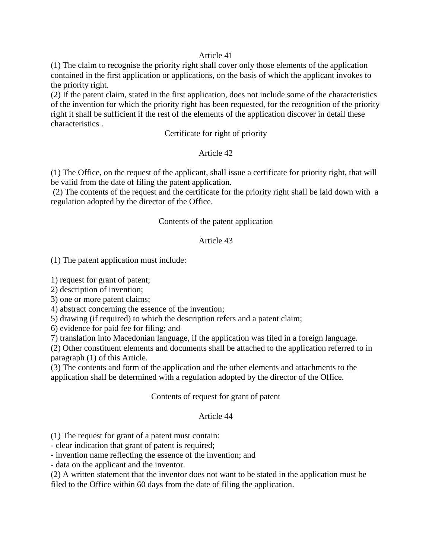#### Article 41

(1) The claim to recognise the priority right shall cover only those elements of the application contained in the first application or applications, on the basis of which the applicant invokes to the priority right.

(2) If the patent claim, stated in the first application, does not include some of the characteristics of the invention for which the priority right has been requested, for the recognition of the priority right it shall be sufficient if the rest of the elements of the application discover in detail these characteristics .

Certificate for right of priority

## Article 42

(1) The Office, on the request of the applicant, shall issue a certificate for priority right, that will be valid from the date of filing the patent application.

(2) The contents of the request and the certificate for the priority right shall be laid down with a regulation adopted by the director of the Office.

### Contents of the patent application

### Article 43

(1) The patent application must include:

1) request for grant of patent;

2) description of invention;

3) one or more patent claims;

4) abstract concerning the essence of the invention;

5) drawing (if required) to which the description refers and a patent claim;

6) evidence for paid fee for filing; and

7) translation into Macedonian language, if the application was filed in a foreign language.

(2) Other constituent elements and documents shall be attached to the application referred to in paragraph (1) of this Article.

(3) The contents and form of the application and the other elements and attachments to the application shall be determined with a regulation adopted by the director of the Office.

#### Contents of request for grant of patent

### Article 44

(1) The request for grant of a patent must contain:

- clear indication that grant of patent is required;

- invention name reflecting the essence of the invention; and

- data on the applicant and the inventor.

(2) A written statement that the inventor does not want to be stated in the application must be filed to the Office within 60 days from the date of filing the application.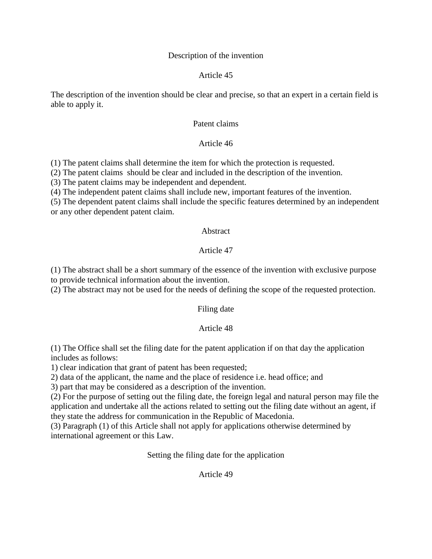#### Description of the invention

#### Article 45

The description of the invention should be clear and precise, so that an expert in a certain field is able to apply it.

#### Patent claims

#### Article 46

(1) The patent claims shall determine the item for which the protection is requested.

(2) The patent claims should be clear and included in the description of the invention.

(3) The patent claims may be independent and dependent.

(4) The independent patent claims shall include new, important features of the invention.

(5) The dependent patent claims shall include the specific features determined by an independent or any other dependent patent claim.

#### Abstract

### Article 47

(1) The abstract shall be a short summary of the essence of the invention with exclusive purpose to provide technical information about the invention.

(2) The abstract may not be used for the needs of defining the scope of the requested protection.

### Filing date

### Article 48

(1) The Office shall set the filing date for the patent application if on that day the application includes as follows:

1) clear indication that grant of patent has been requested;

2) data of the applicant, the name and the place of residence i.e. head office; and

3) part that may be considered as a description of the invention.

(2) For the purpose of setting out the filing date, the foreign legal and natural person may file the application and undertake all the actions related to setting out the filing date without an agent, if they state the address for communication in the Republic of Macedonia.

(3) Paragraph (1) of this Article shall not apply for applications otherwise determined by international agreement or this Law.

Setting the filing date for the application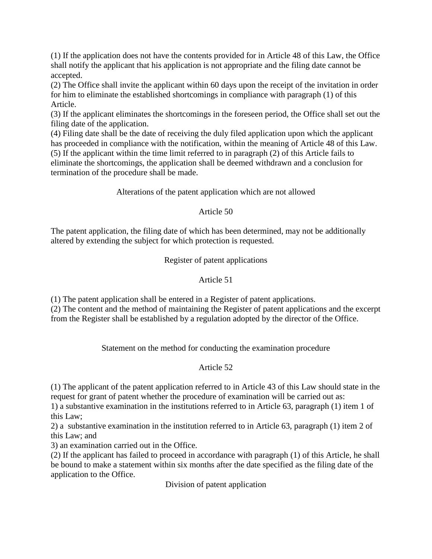(1) If the application does not have the contents provided for in Article 48 of this Law, the Office shall notify the applicant that his application is not appropriate and the filing date cannot be accepted.

(2) The Office shall invite the applicant within 60 days upon the receipt of the invitation in order for him to eliminate the established shortcomings in compliance with paragraph (1) of this Article.

(3) If the applicant eliminates the shortcomings in the foreseen period, the Office shall set out the filing date of the application.

(4) Filing date shall be the date of receiving the duly filed application upon which the applicant has proceeded in compliance with the notification, within the meaning of Article 48 of this Law. (5) If the applicant within the time limit referred to in paragraph (2) of this Article fails to eliminate the shortcomings, the application shall be deemed withdrawn and a conclusion for termination of the procedure shall be made.

Alterations of the patent application which are not allowed

# Article 50

The patent application, the filing date of which has been determined, may not be additionally altered by extending the subject for which protection is requested.

Register of patent applications

# Article 51

(1) The patent application shall be entered in a Register of patent applications.

(2) The content and the method of maintaining the Register of patent applications and the excerpt from the Register shall be established by a regulation adopted by the director of the Office.

Statement on the method for conducting the examination procedure

# Article 52

(1) The applicant of the patent application referred to in Article 43 of this Law should state in the request for grant of patent whether the procedure of examination will be carried out as:

1) a substantive examination in the institutions referred to in Article 63, paragraph (1) item 1 of this Law;

2) a substantive examination in the institution referred to in Article 63, paragraph (1) item 2 of this Law; and

3) an examination carried out in the Office.

(2) If the applicant has failed to proceed in accordance with paragraph (1) of this Article, he shall be bound to make a statement within six months after the date specified as the filing date of the application to the Office.

Division of patent application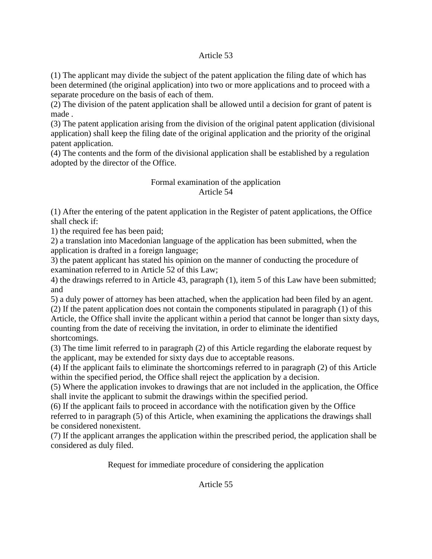## Article 53

(1) The applicant may divide the subject of the patent application the filing date of which has been determined (the original application) into two or more applications and to proceed with a separate procedure on the basis of each of them.

(2) The division of the patent application shall be allowed until a decision for grant of patent is made .

(3) The patent application arising from the division of the original patent application (divisional application) shall keep the filing date of the original application and the priority of the original patent application.

(4) The contents and the form of the divisional application shall be established by a regulation adopted by the director of the Office.

# Formal examination of the application Article 54

(1) After the entering of the patent application in the Register of patent applications, the Office shall check if:

1) the required fee has been paid;

2) a translation into Macedonian language of the application has been submitted, when the application is drafted in a foreign language;

3) the patent applicant has stated his opinion on the manner of conducting the procedure of examination referred to in Article 52 of this Law;

4) the drawings referred to in Article 43, paragraph (1), item 5 of this Law have been submitted; and

5) a duly power of attorney has been attached, when the application had been filed by an agent.

(2) If the patent application does not contain the components stipulated in paragraph (1) of this Article, the Office shall invite the applicant within a period that cannot be longer than sixty days, counting from the date of receiving the invitation, in order to eliminate the identified shortcomings.

(3) The time limit referred to in paragraph (2) of this Article regarding the elaborate request by the applicant, may be extended for sixty days due to acceptable reasons.

(4) If the applicant fails to eliminate the shortcomings referred to in paragraph (2) of this Article within the specified period, the Office shall reject the application by a decision.

(5) Where the application invokes to drawings that are not included in the application, the Office shall invite the applicant to submit the drawings within the specified period.

(6) If the applicant fails to proceed in accordance with the notification given by the Office referred to in paragraph (5) of this Article, when examining the applications the drawings shall be considered nonexistent.

(7) If the applicant arranges the application within the prescribed period, the application shall be considered as duly filed.

Request for immediate procedure of considering the application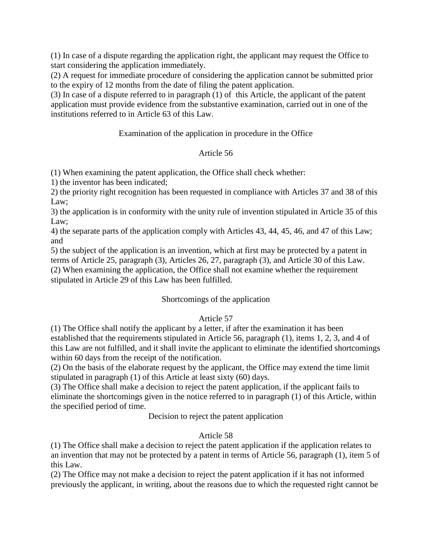(1) In case of a dispute regarding the application right, the applicant may request the Office to start considering the application immediately.

(2) A request for immediate procedure of considering the application cannot be submitted prior to the expiry of 12 months from the date of filing the patent application.

(3) In case of a dispute referred to in paragraph (1) of this Article, the applicant of the patent application must provide evidence from the substantive examination, carried out in one of the institutions referred to in Article 63 of this Law.

Examination of the application in procedure in the Office

# Article 56

(1) When examining the patent application, the Office shall check whether:

1) the inventor has been indicated;

2) the priority right recognition has been requested in compliance with Articles 37 and 38 of this Law;

3) the application is in conformity with the unity rule of invention stipulated in Article 35 of this Law;

4) the separate parts of the application comply with Articles 43, 44, 45, 46, and 47 of this Law; and

5) the subject of the application is an invention, which at first may be protected by a patent in terms of Article 25, paragraph (3), Articles 26, 27, paragraph (3), and Article 30 of this Law. (2) When examining the application, the Office shall not examine whether the requirement stipulated in Article 29 of this Law has been fulfilled.

# Shortcomings of the application

# Article 57

(1) The Office shall notify the applicant by a letter, if after the examination it has been established that the requirements stipulated in Article 56, paragraph (1), items 1, 2, 3, and 4 of this Law are not fulfilled, and it shall invite the applicant to eliminate the identified shortcomings within 60 days from the receipt of the notification.

(2) On the basis of the elaborate request by the applicant, the Office may extend the time limit stipulated in paragraph (1) of this Article at least sixty (60) days.

(3) The Office shall make a decision to reject the patent application, if the applicant fails to eliminate the shortcomings given in the notice referred to in paragraph (1) of this Article, within the specified period of time.

Decision to reject the patent application

# Article 58

(1) The Office shall make a decision to reject the patent application if the application relates to an invention that may not be protected by a patent in terms of Article 56, paragraph (1), item 5 of this Law.

(2) The Office may not make a decision to reject the patent application if it has not informed previously the applicant, in writing, about the reasons due to which the requested right cannot be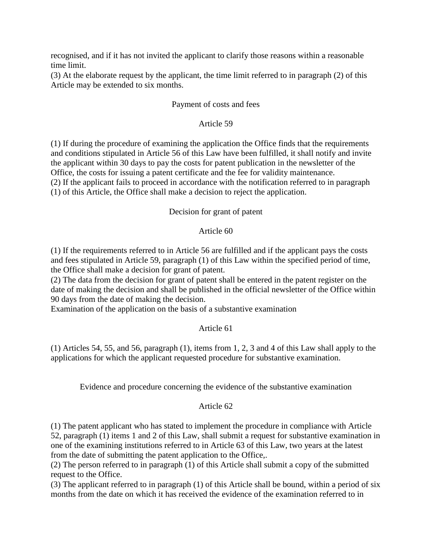recognised, and if it has not invited the applicant to clarify those reasons within a reasonable time limit.

(3) At the elaborate request by the applicant, the time limit referred to in paragraph (2) of this Article may be extended to six months.

### Payment of costs and fees

## Article 59

(1) If during the procedure of examining the application the Office finds that the requirements and conditions stipulated in Article 56 of this Law have been fulfilled, it shall notify and invite the applicant within 30 days to pay the costs for patent publication in the newsletter of the Office, the costs for issuing a patent certificate and the fee for validity maintenance. (2) If the applicant fails to proceed in accordance with the notification referred to in paragraph (1) of this Article, the Office shall make a decision to reject the application.

## Decision for grant of patent

## Article 60

(1) If the requirements referred to in Article 56 are fulfilled and if the applicant pays the costs and fees stipulated in Article 59, paragraph (1) of this Law within the specified period of time, the Office shall make a decision for grant of patent.

(2) The data from the decision for grant of patent shall be entered in the patent register on the date of making the decision and shall be published in the official newsletter of the Office within 90 days from the date of making the decision.

Examination of the application on the basis of a substantive examination

# Article 61

(1) Articles 54, 55, and 56, paragraph (1), items from 1, 2, 3 and 4 of this Law shall apply to the applications for which the applicant requested procedure for substantive examination.

Evidence and procedure concerning the evidence of the substantive examination

# Article 62

(1) The patent applicant who has stated to implement the procedure in compliance with Article 52, paragraph (1) items 1 and 2 of this Law, shall submit a request for substantive examination in one of the examining institutions referred to in Article 63 of this Law, two years at the latest from the date of submitting the patent application to the Office,.

(2) The person referred to in paragraph (1) of this Article shall submit a copy of the submitted request to the Office.

(3) The applicant referred to in paragraph (1) of this Article shall be bound, within a period of six months from the date on which it has received the evidence of the examination referred to in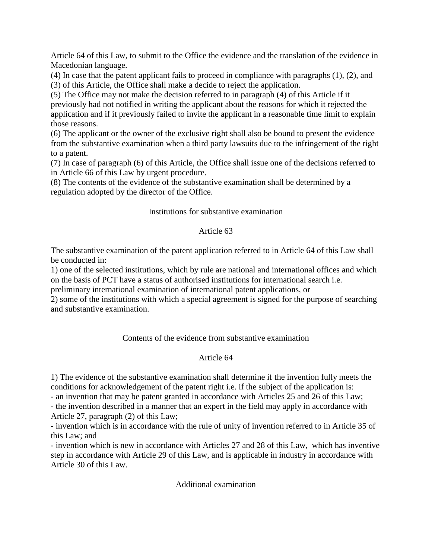Article 64 of this Law, to submit to the Office the evidence and the translation of the evidence in Macedonian language.

(4) In case that the patent applicant fails to proceed in compliance with paragraphs (1), (2), and (3) of this Article, the Office shall make a decide to reject the application.

(5) The Office may not make the decision referred to in paragraph (4) of this Article if it previously had not notified in writing the applicant about the reasons for which it rejected the application and if it previously failed to invite the applicant in a reasonable time limit to explain those reasons.

(6) The applicant or the owner of the exclusive right shall also be bound to present the evidence from the substantive examination when a third party lawsuits due to the infringement of the right to a patent.

(7) In case of paragraph (6) of this Article, the Office shall issue one of the decisions referred to in Article 66 of this Law by urgent procedure.

(8) The contents of the evidence of the substantive examination shall be determined by a regulation adopted by the director of the Office.

## Institutions for substantive examination

### Article 63

The substantive examination of the patent application referred to in Article 64 of this Law shall be conducted in:

1) one of the selected institutions, which by rule are national and international offices and which on the basis of PCT have a status of authorised institutions for international search i.e.

preliminary international examination of international patent applications, or

2) some of the institutions with which a special agreement is signed for the purpose of searching and substantive examination.

# Contents of the evidence from substantive examination

### Article 64

1) The evidence of the substantive examination shall determine if the invention fully meets the conditions for acknowledgement of the patent right i.e. if the subject of the application is:

- an invention that may be patent granted in accordance with Articles 25 and 26 of this Law;

- the invention described in a manner that an expert in the field may apply in accordance with Article 27, paragraph (2) of this Law;

- invention which is in accordance with the rule of unity of invention referred to in Article 35 of this Law; and

- invention which is new in accordance with Articles 27 and 28 of this Law, which has inventive step in accordance with Article 29 of this Law, and is applicable in industry in accordance with Article 30 of this Law.

Additional examination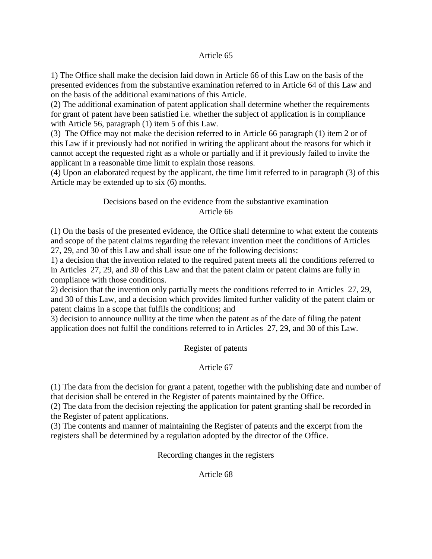### Article 65

1) The Office shall make the decision laid down in Article 66 of this Law on the basis of the presented evidences from the substantive examination referred to in Article 64 of this Law and on the basis of the additional examinations of this Article.

(2) The additional examination of patent application shall determine whether the requirements for grant of patent have been satisfied i.e. whether the subject of application is in compliance with Article 56, paragraph (1) item 5 of this Law.

(3) The Office may not make the decision referred to in Article 66 paragraph (1) item 2 or of this Law if it previously had not notified in writing the applicant about the reasons for which it cannot accept the requested right as a whole or partially and if it previously failed to invite the applicant in a reasonable time limit to explain those reasons.

(4) Upon an elaborated request by the applicant, the time limit referred to in paragraph (3) of this Article may be extended up to six (6) months.

# Decisions based on the evidence from the substantive examination Article 66

(1) On the basis of the presented evidence, the Office shall determine to what extent the contents and scope of the patent claims regarding the relevant invention meet the conditions of Articles 27, 29, and 30 of this Law and shall issue one of the following decisions:

1) a decision that the invention related to the required patent meets all the conditions referred to in Articles 27, 29, and 30 of this Law and that the patent claim or patent claims are fully in compliance with those conditions.

2) decision that the invention only partially meets the conditions referred to in Articles 27, 29, and 30 of this Law, and a decision which provides limited further validity of the patent claim or patent claims in a scope that fulfils the conditions; and

3) decision to announce nullity at the time when the patent as of the date of filing the patent application does not fulfil the conditions referred to in Articles 27, 29, and 30 of this Law.

Register of patents

Article 67

(1) The data from the decision for grant a patent, together with the publishing date and number of that decision shall be entered in the Register of patents maintained by the Office.

(2) The data from the decision rejecting the application for patent granting shall be recorded in the Register of patent applications.

(3) The contents and manner of maintaining the Register of patents and the excerpt from the registers shall be determined by a regulation adopted by the director of the Office.

Recording changes in the registers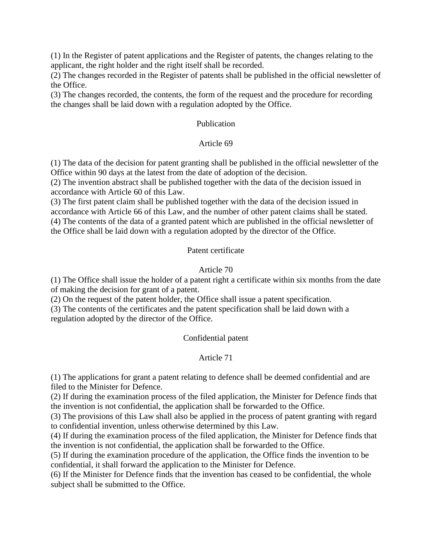(1) In the Register of patent applications and the Register of patents, the changes relating to the applicant, the right holder and the right itself shall be recorded.

(2) The changes recorded in the Register of patents shall be published in the official newsletter of the Office.

(3) The changes recorded, the contents, the form of the request and the procedure for recording the changes shall be laid down with a regulation adopted by the Office.

## Publication

### Article 69

(1) The data of the decision for patent granting shall be published in the official newsletter of the Office within 90 days at the latest from the date of adoption of the decision.

(2) The invention abstract shall be published together with the data of the decision issued in accordance with Article 60 of this Law.

(3) The first patent claim shall be published together with the data of the decision issued in accordance with Article 66 of this Law, and the number of other patent claims shall be stated. (4) The contents of the data of a granted patent which are published in the official newsletter of the Office shall be laid down with a regulation adopted by the director of the Office.

## Patent certificate

## Article 70

(1) The Office shall issue the holder of a patent right a certificate within six months from the date of making the decision for grant of a patent.

(2) On the request of the patent holder, the Office shall issue a patent specification.

(3) The contents of the certificates and the patent specification shall be laid down with a regulation adopted by the director of the Office.

### Confidential patent

### Article 71

(1) The applications for grant a patent relating to defence shall be deemed confidential and are filed to the Minister for Defence.

(2) If during the examination process of the filed application, the Minister for Defence finds that the invention is not confidential, the application shall be forwarded to the Office.

(3) The provisions of this Law shall also be applied in the process of patent granting with regard to confidential invention, unless otherwise determined by this Law.

(4) If during the examination process of the filed application, the Minister for Defence finds that the invention is not confidential, the application shall be forwarded to the Office.

(5) If during the examination procedure of the application, the Office finds the invention to be confidential, it shall forward the application to the Minister for Defence.

(6) If the Minister for Defence finds that the invention has ceased to be confidential, the whole subject shall be submitted to the Office.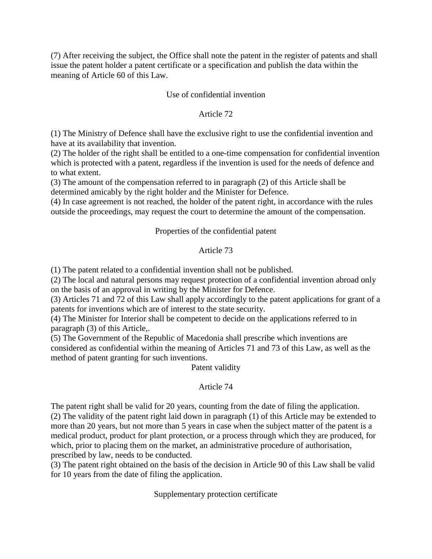(7) After receiving the subject, the Office shall note the patent in the register of patents and shall issue the patent holder a patent certificate or a specification and publish the data within the meaning of Article 60 of this Law.

# Use of confidential invention

## Article 72

(1) The Ministry of Defence shall have the exclusive right to use the confidential invention and have at its availability that invention.

(2) The holder of the right shall be entitled to a one-time compensation for confidential invention which is protected with a patent, regardless if the invention is used for the needs of defence and to what extent.

(3) The amount of the compensation referred to in paragraph (2) of this Article shall be determined amicably by the right holder and the Minister for Defence.

(4) In case agreement is not reached, the holder of the patent right, in accordance with the rules outside the proceedings, may request the court to determine the amount of the compensation.

## Properties of the confidential patent

## Article 73

(1) The patent related to a confidential invention shall not be published.

(2) The local and natural persons may request protection of a confidential invention abroad only on the basis of an approval in writing by the Minister for Defence.

(3) Articles 71 and 72 of this Law shall apply accordingly to the patent applications for grant of a patents for inventions which are of interest to the state security.

(4) The Minister for Interior shall be competent to decide on the applications referred to in paragraph (3) of this Article,.

(5) The Government of the Republic of Macedonia shall prescribe which inventions are considered as confidential within the meaning of Articles 71 and 73 of this Law, as well as the method of patent granting for such inventions.

Patent validity

### Article 74

The patent right shall be valid for 20 years, counting from the date of filing the application. (2) The validity of the patent right laid down in paragraph (1) of this Article may be extended to more than 20 years, but not more than 5 years in case when the subject matter of the patent is a medical product, product for plant protection, or a process through which they are produced, for which, prior to placing them on the market, an administrative procedure of authorisation, prescribed by law, needs to be conducted.

(3) The patent right obtained on the basis of the decision in Article 90 of this Law shall be valid for 10 years from the date of filing the application.

Supplementary protection certificate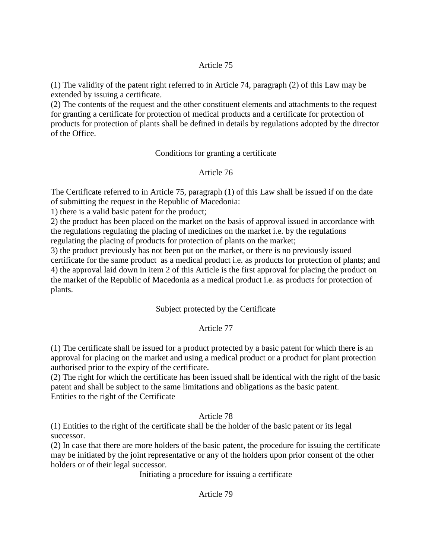## Article 75

(1) The validity of the patent right referred to in Article 74, paragraph (2) of this Law may be extended by issuing a certificate.

(2) The contents of the request and the other constituent elements and attachments to the request for granting a certificate for protection of medical products and a certificate for protection of products for protection of plants shall be defined in details by regulations adopted by the director of the Office.

Conditions for granting a certificate

# Article 76

The Certificate referred to in Article 75, paragraph (1) of this Law shall be issued if on the date of submitting the request in the Republic of Macedonia:

1) there is a valid basic patent for the product;

2) the product has been placed on the market on the basis of approval issued in accordance with the regulations regulating the placing of medicines on the market i.e. by the regulations regulating the placing of products for protection of plants on the market;

3) the product previously has not been put on the market, or there is no previously issued certificate for the same product as a medical product i.e. as products for protection of plants; and 4) the approval laid down in item 2 of this Article is the first approval for placing the product on the market of the Republic of Macedonia as a medical product i.e. as products for protection of plants.

# Subject protected by the Certificate

# Article 77

(1) The certificate shall be issued for a product protected by a basic patent for which there is an approval for placing on the market and using a medical product or a product for plant protection authorised prior to the expiry of the certificate.

(2) The right for which the certificate has been issued shall be identical with the right of the basic patent and shall be subject to the same limitations and obligations as the basic patent. Entities to the right of the Certificate

# Article 78

(1) Entities to the right of the certificate shall be the holder of the basic patent or its legal successor.

(2) In case that there are more holders of the basic patent, the procedure for issuing the certificate may be initiated by the joint representative or any of the holders upon prior consent of the other holders or of their legal successor.

Initiating a procedure for issuing a certificate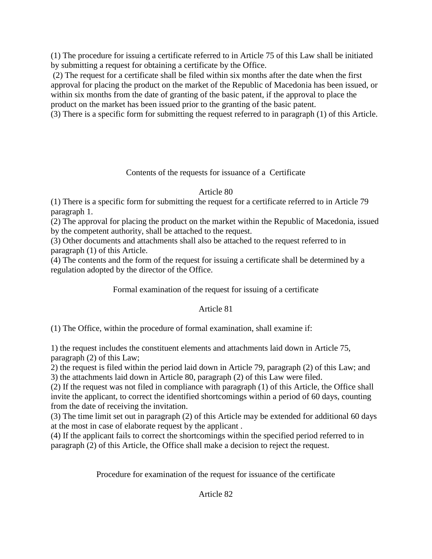(1) The procedure for issuing a certificate referred to in Article 75 of this Law shall be initiated by submitting a request for obtaining a certificate by the Office.

(2) The request for a certificate shall be filed within six months after the date when the first approval for placing the product on the market of the Republic of Macedonia has been issued, or within six months from the date of granting of the basic patent, if the approval to place the product on the market has been issued prior to the granting of the basic patent.

(3) There is a specific form for submitting the request referred to in paragraph (1) of this Article.

# Contents of the requests for issuance of a Certificate

# Article 80

(1) There is a specific form for submitting the request for a certificate referred to in Article 79 paragraph 1.

(2) The approval for placing the product on the market within the Republic of Macedonia, issued by the competent authority, shall be attached to the request.

(3) Other documents and attachments shall also be attached to the request referred to in paragraph (1) of this Article.

(4) The contents and the form of the request for issuing a certificate shall be determined by a regulation adopted by the director of the Office.

Formal examination of the request for issuing of a certificate

# Article 81

(1) The Office, within the procedure of formal examination, shall examine if:

1) the request includes the constituent elements and attachments laid down in Article 75, paragraph (2) of this Law;

2) the request is filed within the period laid down in Article 79, paragraph (2) of this Law; and 3) the attachments laid down in Article 80, paragraph (2) of this Law were filed.

(2) If the request was not filed in compliance with paragraph (1) of this Article, the Office shall invite the applicant, to correct the identified shortcomings within a period of 60 days, counting from the date of receiving the invitation.

(3) The time limit set out in paragraph (2) of this Article may be extended for additional 60 days at the most in case of elaborate request by the applicant .

(4) If the applicant fails to correct the shortcomings within the specified period referred to in paragraph (2) of this Article, the Office shall make a decision to reject the request.

Procedure for examination of the request for issuance of the certificate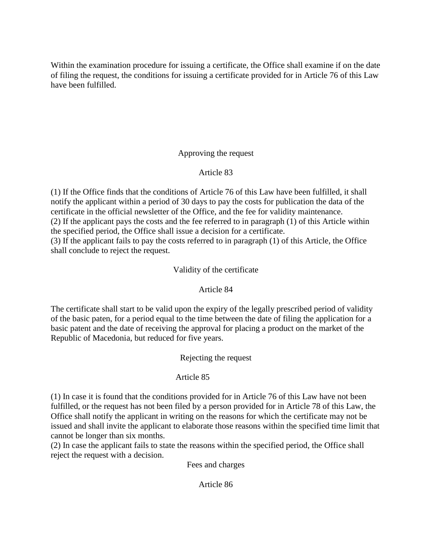Within the examination procedure for issuing a certificate, the Office shall examine if on the date of filing the request, the conditions for issuing a certificate provided for in Article 76 of this Law have been fulfilled.

# Approving the request

# Article 83

(1) If the Office finds that the conditions of Article 76 of this Law have been fulfilled, it shall notify the applicant within a period of 30 days to pay the costs for publication the data of the certificate in the official newsletter of the Office, and the fee for validity maintenance. (2) If the applicant pays the costs and the fee referred to in paragraph (1) of this Article within the specified period, the Office shall issue a decision for a certificate. (3) If the applicant fails to pay the costs referred to in paragraph (1) of this Article, the Office shall conclude to reject the request.

Validity of the certificate

# Article 84

The certificate shall start to be valid upon the expiry of the legally prescribed period of validity of the basic paten, for a period equal to the time between the date of filing the application for a basic patent and the date of receiving the approval for placing a product on the market of the Republic of Macedonia, but reduced for five years.

Rejecting the request

# Article 85

(1) In case it is found that the conditions provided for in Article 76 of this Law have not been fulfilled, or the request has not been filed by a person provided for in Article 78 of this Law, the Office shall notify the applicant in writing on the reasons for which the certificate may not be issued and shall invite the applicant to elaborate those reasons within the specified time limit that cannot be longer than six months.

(2) In case the applicant fails to state the reasons within the specified period, the Office shall reject the request with a decision.

Fees and charges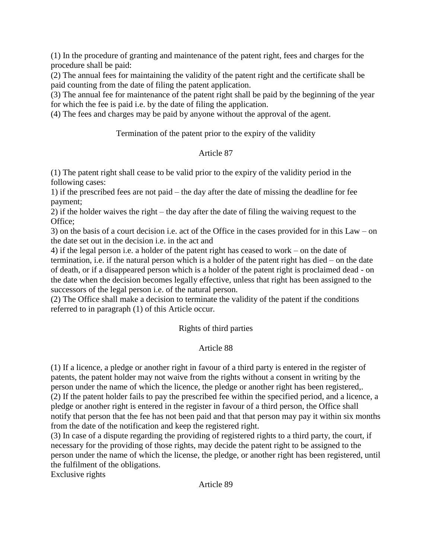(1) In the procedure of granting and maintenance of the patent right, fees and charges for the procedure shall be paid:

(2) The annual fees for maintaining the validity of the patent right and the certificate shall be paid counting from the date of filing the patent application.

(3) The annual fee for maintenance of the patent right shall be paid by the beginning of the year for which the fee is paid i.e. by the date of filing the application.

(4) The fees and charges may be paid by anyone without the approval of the agent.

Termination of the patent prior to the expiry of the validity

# Article 87

(1) The patent right shall cease to be valid prior to the expiry of the validity period in the following cases:

1) if the prescribed fees are not paid – the day after the date of missing the deadline for fee payment;

2) if the holder waives the right – the day after the date of filing the waiving request to the Office;

3) on the basis of a court decision i.e. act of the Office in the cases provided for in this Law – on the date set out in the decision i.e. in the act and

4) if the legal person i.e. a holder of the patent right has ceased to work – on the date of termination, i.e. if the natural person which is a holder of the patent right has died – on the date of death, or if a disappeared person which is a holder of the patent right is proclaimed dead - on the date when the decision becomes legally effective, unless that right has been assigned to the successors of the legal person i.e. of the natural person.

(2) The Office shall make a decision to terminate the validity of the patent if the conditions referred to in paragraph (1) of this Article occur.

# Rights of third parties

# Article 88

(1) If a licence, a pledge or another right in favour of a third party is entered in the register of patents, the patent holder may not waive from the rights without a consent in writing by the person under the name of which the licence, the pledge or another right has been registered,. (2) If the patent holder fails to pay the prescribed fee within the specified period, and a licence, a pledge or another right is entered in the register in favour of a third person, the Office shall notify that person that the fee has not been paid and that that person may pay it within six months from the date of the notification and keep the registered right.

(3) In case of a dispute regarding the providing of registered rights to a third party, the court, if necessary for the providing of those rights, may decide the patent right to be assigned to the person under the name of which the license, the pledge, or another right has been registered, until the fulfilment of the obligations.

Exclusive rights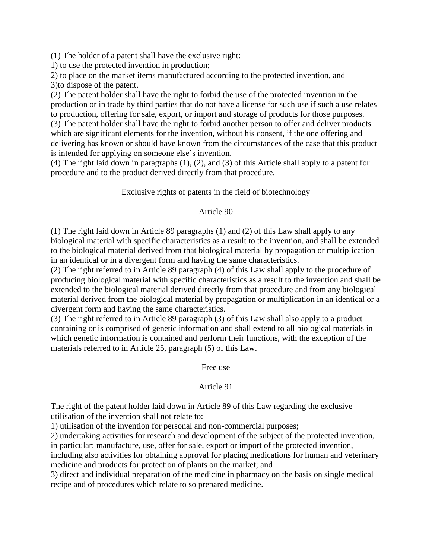(1) The holder of a patent shall have the exclusive right:

1) to use the protected invention in production;

2) to place on the market items manufactured according to the protected invention, and 3)to dispose of the patent.

(2) The patent holder shall have the right to forbid the use of the protected invention in the production or in trade by third parties that do not have a license for such use if such a use relates to production, offering for sale, export, or import and storage of products for those purposes. (3) The patent holder shall have the right to forbid another person to offer and deliver products which are significant elements for the invention, without his consent, if the one offering and delivering has known or should have known from the circumstances of the case that this product is intended for applying on someone else's invention.

(4) The right laid down in paragraphs (1), (2), and (3) of this Article shall apply to a patent for procedure and to the product derived directly from that procedure.

# Exclusive rights of patents in the field of biotechnology

### Article 90

(1) The right laid down in Article 89 paragraphs (1) and (2) of this Law shall apply to any biological material with specific characteristics as a result to the invention, and shall be extended to the biological material derived from that biological material by propagation or multiplication in an identical or in a divergent form and having the same characteristics.

(2) The right referred to in Article 89 paragraph (4) of this Law shall apply to the procedure of producing biological material with specific characteristics as a result to the invention and shall be extended to the biological material derived directly from that procedure and from any biological material derived from the biological material by propagation or multiplication in an identical or a divergent form and having the same characteristics.

(3) The right referred to in Article 89 paragraph (3) of this Law shall also apply to a product containing or is comprised of genetic information and shall extend to all biological materials in which genetic information is contained and perform their functions, with the exception of the materials referred to in Article 25, paragraph (5) of this Law.

Free use

### Article 91

The right of the patent holder laid down in Article 89 of this Law regarding the exclusive utilisation of the invention shall not relate to:

1) utilisation of the invention for personal and non-commercial purposes;

2) undertaking activities for research and development of the subject of the protected invention,

in particular: manufacture, use, offer for sale, export or import of the protected invention,

including also activities for obtaining approval for placing medications for human and veterinary medicine and products for protection of plants on the market; and

3) direct and individual preparation of the medicine in pharmacy on the basis on single medical recipe and of procedures which relate to so prepared medicine.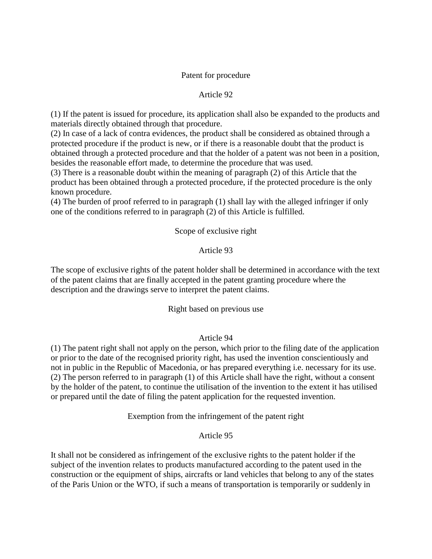#### Patent for procedure

#### Article 92

(1) If the patent is issued for procedure, its application shall also be expanded to the products and materials directly obtained through that procedure.

(2) In case of a lack of contra evidences, the product shall be considered as obtained through a protected procedure if the product is new, or if there is a reasonable doubt that the product is obtained through a protected procedure and that the holder of a patent was not been in a position, besides the reasonable effort made, to determine the procedure that was used.

(3) There is a reasonable doubt within the meaning of paragraph (2) of this Article that the product has been obtained through a protected procedure, if the protected procedure is the only known procedure.

(4) The burden of proof referred to in paragraph (1) shall lay with the alleged infringer if only one of the conditions referred to in paragraph (2) of this Article is fulfilled.

### Scope of exclusive right

#### Article 93

The scope of exclusive rights of the patent holder shall be determined in accordance with the text of the patent claims that are finally accepted in the patent granting procedure where the description and the drawings serve to interpret the patent claims.

#### Right based on previous use

### Article 94

(1) The patent right shall not apply on the person, which prior to the filing date of the application or prior to the date of the recognised priority right, has used the invention conscientiously and not in public in the Republic of Macedonia, or has prepared everything i.e. necessary for its use. (2) The person referred to in paragraph (1) of this Article shall have the right, without a consent by the holder of the patent, to continue the utilisation of the invention to the extent it has utilised or prepared until the date of filing the patent application for the requested invention.

Exemption from the infringement of the patent right

### Article 95

It shall not be considered as infringement of the exclusive rights to the patent holder if the subject of the invention relates to products manufactured according to the patent used in the construction or the equipment of ships, aircrafts or land vehicles that belong to any of the states of the Paris Union or the WTO, if such a means of transportation is temporarily or suddenly in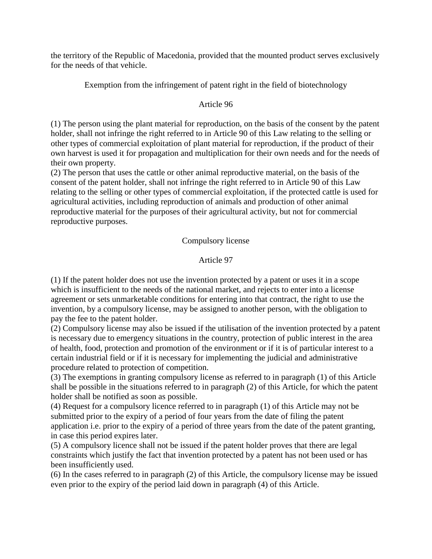the territory of the Republic of Macedonia, provided that the mounted product serves exclusively for the needs of that vehicle.

Exemption from the infringement of patent right in the field of biotechnology

# Article 96

(1) The person using the plant material for reproduction, on the basis of the consent by the patent holder, shall not infringe the right referred to in Article 90 of this Law relating to the selling or other types of commercial exploitation of plant material for reproduction, if the product of their own harvest is used it for propagation and multiplication for their own needs and for the needs of their own property.

(2) The person that uses the cattle or other animal reproductive material, on the basis of the consent of the patent holder, shall not infringe the right referred to in Article 90 of this Law relating to the selling or other types of commercial exploitation, if the protected cattle is used for agricultural activities, including reproduction of animals and production of other animal reproductive material for the purposes of their agricultural activity, but not for commercial reproductive purposes.

# Compulsory license

# Article 97

(1) If the patent holder does not use the invention protected by a patent or uses it in a scope which is insufficient to the needs of the national market, and rejects to enter into a license agreement or sets unmarketable conditions for entering into that contract, the right to use the invention, by a compulsory license, may be assigned to another person, with the obligation to pay the fee to the patent holder.

(2) Compulsory license may also be issued if the utilisation of the invention protected by a patent is necessary due to emergency situations in the country, protection of public interest in the area of health, food, protection and promotion of the environment or if it is of particular interest to a certain industrial field or if it is necessary for implementing the judicial and administrative procedure related to protection of competition.

(3) The exemptions in granting compulsory license as referred to in paragraph (1) of this Article shall be possible in the situations referred to in paragraph (2) of this Article, for which the patent holder shall be notified as soon as possible.

(4) Request for a compulsory licence referred to in paragraph (1) of this Article may not be submitted prior to the expiry of a period of four years from the date of filing the patent application i.e. prior to the expiry of a period of three years from the date of the patent granting, in case this period expires later.

(5) A compulsory licence shall not be issued if the patent holder proves that there are legal constraints which justify the fact that invention protected by a patent has not been used or has been insufficiently used.

(6) In the cases referred to in paragraph (2) of this Article, the compulsory license may be issued even prior to the expiry of the period laid down in paragraph (4) of this Article.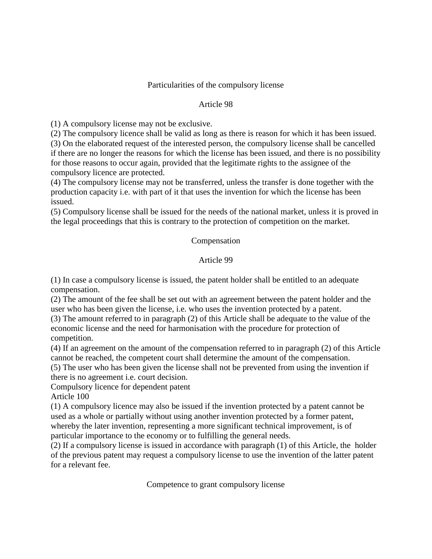### Particularities of the compulsory license

### Article 98

(1) A compulsory license may not be exclusive.

(2) The compulsory licence shall be valid as long as there is reason for which it has been issued. (3) On the elaborated request of the interested person, the compulsory license shall be cancelled if there are no longer the reasons for which the license has been issued, and there is no possibility for those reasons to occur again, provided that the legitimate rights to the assignee of the compulsory licence are protected.

(4) The compulsory license may not be transferred, unless the transfer is done together with the production capacity i.e. with part of it that uses the invention for which the license has been issued.

(5) Compulsory license shall be issued for the needs of the national market, unless it is proved in the legal proceedings that this is contrary to the protection of competition on the market.

#### Compensation

#### Article 99

(1) In case a compulsory license is issued, the patent holder shall be entitled to an adequate compensation.

(2) The amount of the fee shall be set out with an agreement between the patent holder and the user who has been given the license, i.e. who uses the invention protected by a patent.

(3) The amount referred to in paragraph (2) of this Article shall be adequate to the value of the economic license and the need for harmonisation with the procedure for protection of competition.

(4) If an agreement on the amount of the compensation referred to in paragraph (2) of this Article cannot be reached, the competent court shall determine the amount of the compensation.

(5) The user who has been given the license shall not be prevented from using the invention if there is no agreement i.e. court decision.

Compulsory licence for dependent patent Article 100

(1) A compulsory licence may also be issued if the invention protected by a patent cannot be used as a whole or partially without using another invention protected by a former patent, whereby the later invention, representing a more significant technical improvement, is of particular importance to the economy or to fulfilling the general needs.

(2) If a compulsory license is issued in accordance with paragraph (1) of this Article, the holder of the previous patent may request a compulsory license to use the invention of the latter patent for a relevant fee.

Competence to grant compulsory license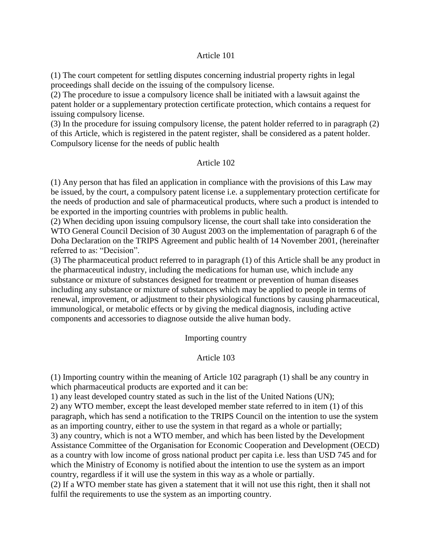#### Article 101

(1) The court competent for settling disputes concerning industrial property rights in legal proceedings shall decide on the issuing of the compulsory license.

(2) The procedure to issue a compulsory licence shall be initiated with a lawsuit against the patent holder or a supplementary protection certificate protection, which contains a request for issuing compulsory license.

(3) In the procedure for issuing compulsory license, the patent holder referred to in paragraph (2) of this Article, which is registered in the patent register, shall be considered as a patent holder. Compulsory license for the needs of public health

### Article 102

(1) Any person that has filed an application in compliance with the provisions of this Law may be issued, by the court, a compulsory patent license i.e. a supplementary protection certificate for the needs of production and sale of pharmaceutical products, where such a product is intended to be exported in the importing countries with problems in public health.

(2) When deciding upon issuing compulsory license, the court shall take into consideration the WTO General Council Decision of 30 August 2003 on the implementation of paragraph 6 of the Doha Declaration on the TRIPS Agreement and public health of 14 November 2001, (hereinafter referred to as: "Decision".

(3) The pharmaceutical product referred to in paragraph (1) of this Article shall be any product in the pharmaceutical industry, including the medications for human use, which include any substance or mixture of substances designed for treatment or prevention of human diseases including any substance or mixture of substances which may be applied to people in terms of renewal, improvement, or adjustment to their physiological functions by causing pharmaceutical, immunological, or metabolic effects or by giving the medical diagnosis, including active components and accessories to diagnose outside the alive human body.

### Importing country

### Article 103

(1) Importing country within the meaning of Article 102 paragraph (1) shall be any country in which pharmaceutical products are exported and it can be:

1) any least developed country stated as such in the list of the United Nations (UN);

2) any WTO member, except the least developed member state referred to in item (1) of this paragraph, which has send a notification to the TRIPS Council on the intention to use the system as an importing country, either to use the system in that regard as a whole or partially;

3) any country, which is not a WTO member, and which has been listed by the Development Assistance Committee of the Organisation for Economic Cooperation and Development (OECD) as a country with low income of gross national product per capita i.e. less than USD 745 and for which the Ministry of Economy is notified about the intention to use the system as an import country, regardless if it will use the system in this way as a whole or partially.

(2) If a WTO member state has given a statement that it will not use this right, then it shall not fulfil the requirements to use the system as an importing country.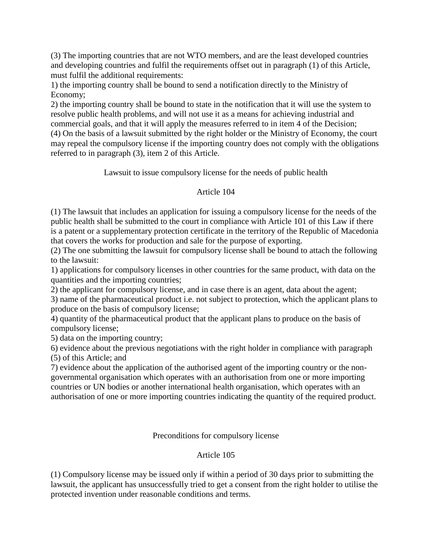(3) The importing countries that are not WTO members, and are the least developed countries and developing countries and fulfil the requirements offset out in paragraph (1) of this Article, must fulfil the additional requirements:

1) the importing country shall be bound to send a notification directly to the Ministry of Economy;

2) the importing country shall be bound to state in the notification that it will use the system to resolve public health problems, and will not use it as a means for achieving industrial and commercial goals, and that it will apply the measures referred to in item 4 of the Decision;

(4) On the basis of a lawsuit submitted by the right holder or the Ministry of Economy, the court may repeal the compulsory license if the importing country does not comply with the obligations referred to in paragraph (3), item 2 of this Article.

Lawsuit to issue compulsory license for the needs of public health

# Article 104

(1) The lawsuit that includes an application for issuing a compulsory license for the needs of the public health shall be submitted to the court in compliance with Article 101 of this Law if there is a patent or a supplementary protection certificate in the territory of the Republic of Macedonia that covers the works for production and sale for the purpose of exporting.

(2) The one submitting the lawsuit for compulsory license shall be bound to attach the following to the lawsuit:

1) applications for compulsory licenses in other countries for the same product, with data on the quantities and the importing countries;

2) the applicant for compulsory license, and in case there is an agent, data about the agent;

3) name of the pharmaceutical product i.e. not subject to protection, which the applicant plans to produce on the basis of compulsory license;

4) quantity of the pharmaceutical product that the applicant plans to produce on the basis of compulsory license;

5) data on the importing country;

6) evidence about the previous negotiations with the right holder in compliance with paragraph (5) of this Article; and

7) evidence about the application of the authorised agent of the importing country or the nongovernmental organisation which operates with an authorisation from one or more importing countries or UN bodies or another international health organisation, which operates with an authorisation of one or more importing countries indicating the quantity of the required product.

Preconditions for compulsory license

# Article 105

(1) Compulsory license may be issued only if within a period of 30 days prior to submitting the lawsuit, the applicant has unsuccessfully tried to get a consent from the right holder to utilise the protected invention under reasonable conditions and terms.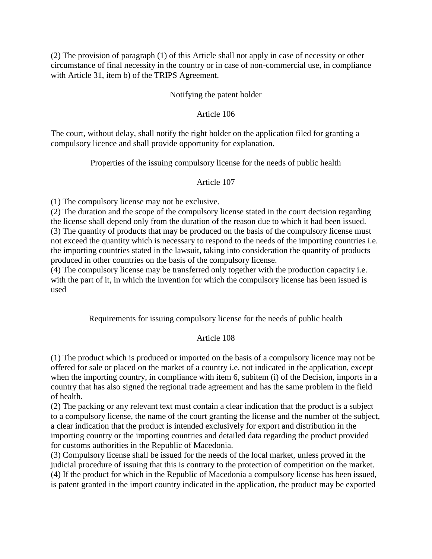(2) The provision of paragraph (1) of this Article shall not apply in case of necessity or other circumstance of final necessity in the country or in case of non-commercial use, in compliance with Article 31, item b) of the TRIPS Agreement.

## Notifying the patent holder

### Article 106

The court, without delay, shall notify the right holder on the application filed for granting a compulsory licence and shall provide opportunity for explanation.

Properties of the issuing compulsory license for the needs of public health

## Article 107

(1) The compulsory license may not be exclusive.

(2) The duration and the scope of the compulsory license stated in the court decision regarding the license shall depend only from the duration of the reason due to which it had been issued. (3) The quantity of products that may be produced on the basis of the compulsory license must not exceed the quantity which is necessary to respond to the needs of the importing countries i.e. the importing countries stated in the lawsuit, taking into consideration the quantity of products produced in other countries on the basis of the compulsory license.

(4) The compulsory license may be transferred only together with the production capacity i.e. with the part of it, in which the invention for which the compulsory license has been issued is used

Requirements for issuing compulsory license for the needs of public health

# Article 108

(1) The product which is produced or imported on the basis of a compulsory licence may not be offered for sale or placed on the market of a country i.e. not indicated in the application, except when the importing country, in compliance with item 6, subitem (i) of the Decision, imports in a country that has also signed the regional trade agreement and has the same problem in the field of health.

(2) The packing or any relevant text must contain a clear indication that the product is a subject to a compulsory license, the name of the court granting the license and the number of the subject, a clear indication that the product is intended exclusively for export and distribution in the importing country or the importing countries and detailed data regarding the product provided for customs authorities in the Republic of Macedonia.

(3) Compulsory license shall be issued for the needs of the local market, unless proved in the judicial procedure of issuing that this is contrary to the protection of competition on the market. (4) If the product for which in the Republic of Macedonia a compulsory license has been issued, is patent granted in the import country indicated in the application, the product may be exported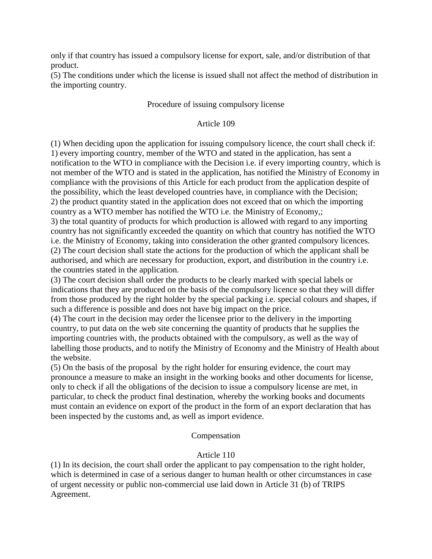only if that country has issued a compulsory license for export, sale, and/or distribution of that product.

(5) The conditions under which the license is issued shall not affect the method of distribution in the importing country.

### Procedure of issuing compulsory license

## Article 109

(1) When deciding upon the application for issuing compulsory licence, the court shall check if: 1) every importing country, member of the WTO and stated in the application, has sent a notification to the WTO in compliance with the Decision i.e. if every importing country, which is not member of the WTO and is stated in the application, has notified the Ministry of Economy in compliance with the provisions of this Article for each product from the application despite of the possibility, which the least developed countries have, in compliance with the Decision; 2) the product quantity stated in the application does not exceed that on which the importing country as a WTO member has notified the WTO i.e. the Ministry of Economy,;

3) the total quantity of products for which production is allowed with regard to any importing country has not significantly exceeded the quantity on which that country has notified the WTO i.e. the Ministry of Economy, taking into consideration the other granted compulsory licences. (2) The court decision shall state the actions for the production of which the applicant shall be authorised, and which are necessary for production, export, and distribution in the country i.e. the countries stated in the application.

(3) The court decision shall order the products to be clearly marked with special labels or indications that they are produced on the basis of the compulsory licence so that they will differ from those produced by the right holder by the special packing i.e. special colours and shapes, if such a difference is possible and does not have big impact on the price.

(4) The court in the decision may order the licensee prior to the delivery in the importing country, to put data on the web site concerning the quantity of products that he supplies the importing countries with, the products obtained with the compulsory, as well as the way of labelling those products, and to notify the Ministry of Economy and the Ministry of Health about the website.

(5) On the basis of the proposal by the right holder for ensuring evidence, the court may pronounce a measure to make an insight in the working books and other documents for license, only to check if all the obligations of the decision to issue a compulsory license are met, in particular, to check the product final destination, whereby the working books and documents must contain an evidence on export of the product in the form of an export declaration that has been inspected by the customs and, as well as import evidence.

### Compensation

# Article 110

(1) In its decision, the court shall order the applicant to pay compensation to the right holder, which is determined in case of a serious danger to human health or other circumstances in case of urgent necessity or public non-commercial use laid down in Article 31 (b) of TRIPS Agreement.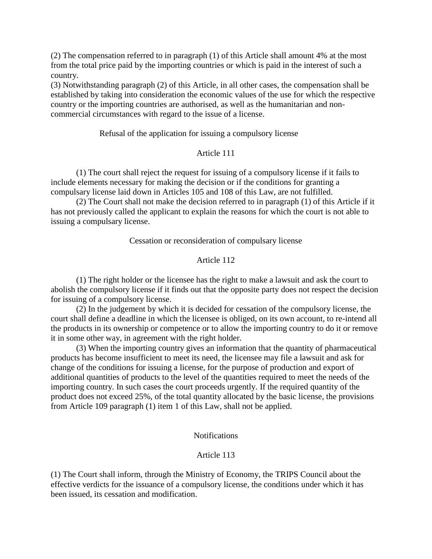(2) The compensation referred to in paragraph (1) of this Article shall amount 4% at the most from the total price paid by the importing countries or which is paid in the interest of such a country.

(3) Notwithstanding paragraph (2) of this Article, in all other cases, the compensation shall be established by taking into consideration the economic values of the use for which the respective country or the importing countries are authorised, as well as the humanitarian and noncommercial circumstances with regard to the issue of a license.

#### Refusal of the application for issuing a compulsory license

#### Article 111

(1) The court shall reject the request for issuing of a compulsory license if it fails to include elements necessary for making the decision or if the conditions for granting a compulsary license laid down in Articles 105 and 108 of this Law, are not fulfilled.

(2) The Court shall not make the decision referred to in paragraph (1) of this Article if it has not previously called the applicant to explain the reasons for which the court is not able to issuing a compulsary license.

#### Cessation or reconsideration of compulsary license

### Article 112

(1) The right holder or the licensee has the right to make a lawsuit and ask the court to abolish the compulsory license if it finds out that the opposite party does not respect the decision for issuing of a compulsory license.

(2) In the judgement by which it is decided for cessation of the compulsory license, the court shall define a deadline in which the licensee is obliged, on its own account, to re-intend all the products in its ownership or competence or to allow the importing country to do it or remove it in some other way, in agreement with the right holder.

(3) When the importing country gives an information that the quantity of pharmaceutical products has become insufficient to meet its need, the licensee may file a lawsuit and ask for change of the conditions for issuing a license, for the purpose of production and export of additional quantities of products to the level of the quantities required to meet the needs of the importing country. In such cases the court proceeds urgently. If the required quantity of the product does not exceed 25%, of the total quantity allocated by the basic license, the provisions from Article 109 paragraph (1) item 1 of this Law, shall not be applied.

#### Notifications

#### Article 113

(1) The Court shall inform, through the Ministry of Economy, the TRIPS Council about the effective verdicts for the issuance of a compulsory license, the conditions under which it has been issued, its cessation and modification.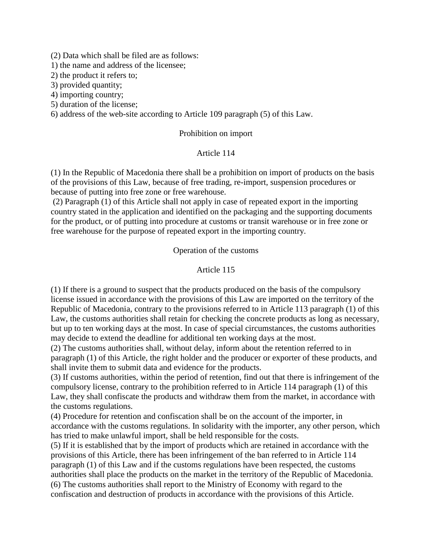(2) Data which shall be filed are as follows:

1) the name and address of the licensee;

2) the product it refers to;

3) provided quantity;

4) importing country;

5) duration of the license;

6) address of the web-site according to Article 109 paragraph (5) of this Law.

#### Prohibition on import

#### Article 114

(1) In the Republic of Macedonia there shall be a prohibition on import of products on the basis of the provisions of this Law, because of free trading, re-import, suspension procedures or because of putting into free zone or free warehouse.

(2) Paragraph (1) of this Article shall not apply in case of repeated export in the importing country stated in the application and identified on the packaging and the supporting documents for the product, or of putting into procedure at customs or transit warehouse or in free zone or free warehouse for the purpose of repeated export in the importing country.

#### Operation of the customs

#### Article 115

(1) If there is a ground to suspect that the products produced on the basis of the compulsory license issued in accordance with the provisions of this Law are imported on the territory of the Republic of Macedonia, contrary to the provisions referred to in Article 113 paragraph (1) of this Law, the customs authorities shall retain for checking the concrete products as long as necessary, but up to ten working days at the most. In case of special circumstances, the customs authorities may decide to extend the deadline for additional ten working days at the most.

(2) The customs authorities shall, without delay, inform about the retention referred to in paragraph (1) of this Article, the right holder and the producer or exporter of these products, and shall invite them to submit data and evidence for the products.

(3) If customs authorities, within the period of retention, find out that there is infringement of the compulsory license, contrary to the prohibition referred to in Article 114 paragraph (1) of this Law, they shall confiscate the products and withdraw them from the market, in accordance with the customs regulations.

(4) Procedure for retention and confiscation shall be on the account of the importer, in accordance with the customs regulations. In solidarity with the importer, any other person, which has tried to make unlawful import, shall be held responsible for the costs.

(5) If it is established that by the import of products which are retained in accordance with the provisions of this Article, there has been infringement of the ban referred to in Article 114 paragraph (1) of this Law and if the customs regulations have been respected, the customs authorities shall place the products on the market in the territory of the Republic of Macedonia. (6) The customs authorities shall report to the Ministry of Economy with regard to the confiscation and destruction of products in accordance with the provisions of this Article.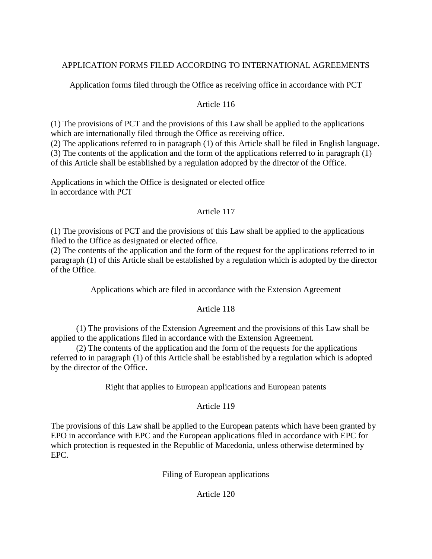# APPLICATION FORMS FILED ACCORDING TO INTERNATIONAL AGREEMENTS

Application forms filed through the Office as receiving office in accordance with PCT

# Article 116

(1) The provisions of PCT and the provisions of this Law shall be applied to the applications which are internationally filed through the Office as receiving office.

(2) The applications referred to in paragraph (1) of this Article shall be filed in English language. (3) The contents of the application and the form of the applications referred to in paragraph (1) of this Article shall be established by a regulation adopted by the director of the Office.

Applications in which the Office is designated or elected office in accordance with PCT

# Article 117

(1) The provisions of PCT and the provisions of this Law shall be applied to the applications filed to the Office as designated or elected office.

(2) The contents of the application and the form of the request for the applications referred to in paragraph (1) of this Article shall be established by a regulation which is adopted by the director of the Office.

Applications which are filed in accordance with the Extension Agreement

# Article 118

(1) The provisions of the Extension Agreement and the provisions of this Law shall be applied to the applications filed in accordance with the Extension Agreement.

(2) The contents of the application and the form of the requests for the applications referred to in paragraph (1) of this Article shall be established by a regulation which is adopted by the director of the Office.

Right that applies to European applications and European patents

# Article 119

The provisions of this Law shall be applied to the European patents which have been granted by EPO in accordance with EPC and the European applications filed in accordance with EPC for which protection is requested in the Republic of Macedonia, unless otherwise determined by EPC.

Filing of European applications

# Article 120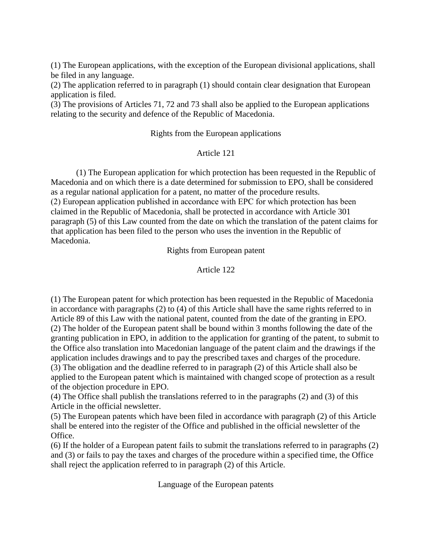(1) The European applications, with the exception of the European divisional applications, shall be filed in any language.

(2) The application referred to in paragraph (1) should contain clear designation that European application is filed.

(3) The provisions of Articles 71, 72 and 73 shall also be applied to the European applications relating to the security and defence of the Republic of Macedonia.

#### Rights from the European applications

#### Article 121

(1) The European application for which protection has been requested in the Republic of Macedonia and on which there is a date determined for submission to EPO, shall be considered as a regular national application for a patent, no matter of the procedure results. (2) European application published in accordance with ЕPC for which protection has been claimed in the Republic of Macedonia, shall be protected in accordance with Article 301

paragraph (5) of this Law counted from the date on which the translation of the patent claims for that application has been filed to the person who uses the invention in the Republic of Macedonia.

Rights from European patent

## Article 122

(1) The European patent for which protection has been requested in the Republic of Macedonia in accordance with paragraphs (2) to (4) of this Article shall have the same rights referred to in Article 89 of this Law with the national patent, counted from the date of the granting in EPO. (2) The holder of the European patent shall be bound within 3 months following the date of the granting publication in EPO, in addition to the application for granting of the patent, to submit to the Office also translation into Macedonian language of the patent claim and the drawings if the application includes drawings and to pay the prescribed taxes and charges of the procedure. (3) The obligation and the deadline referred to in paragraph (2) of this Article shall also be applied to the European patent which is maintained with changed scope of protection as a result of the objection procedure in EPO.

(4) The Office shall publish the translations referred to in the paragraphs (2) and (3) of this Article in the official newsletter.

(5) The European patents which have been filed in accordance with paragraph (2) of this Article shall be entered into the register of the Office and published in the official newsletter of the Office.

(6) If the holder of a European patent fails to submit the translations referred to in paragraphs (2) and (3) or fails to pay the taxes and charges of the procedure within a specified time, the Office shall reject the application referred to in paragraph (2) of this Article.

Language of the European patents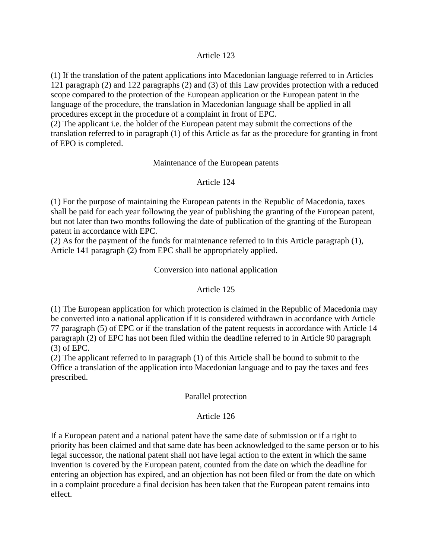#### Article 123

(1) If the translation of the patent applications into Macedonian language referred to in Articles 121 paragraph (2) and 122 paragraphs (2) and (3) of this Law provides protection with a reduced scope compared to the protection of the European application or the European patent in the language of the procedure, the translation in Macedonian language shall be applied in all procedures except in the procedure of a complaint in front of EPC.

(2) The applicant i.e. the holder of the European patent may submit the corrections of the translation referred to in paragraph (1) of this Article as far as the procedure for granting in front of EPO is completed.

#### Maintenance of the European patents

#### Article 124

(1) For the purpose of maintaining the European patents in the Republic of Macedonia, taxes shall be paid for each year following the year of publishing the granting of the European patent, but not later than two months following the date of publication of the granting of the European patent in accordance with EPC.

(2) As for the payment of the funds for maintenance referred to in this Article paragraph (1), Article 141 paragraph (2) from EPC shall be appropriately applied.

#### Conversion into national application

#### Article 125

(1) The European application for which protection is claimed in the Republic of Macedonia may be converted into a national application if it is considered withdrawn in accordance with Article 77 paragraph (5) of EPC or if the translation of the patent requests in accordance with Article 14 paragraph (2) of EPC has not been filed within the deadline referred to in Article 90 paragraph (3) of EPC.

(2) The applicant referred to in paragraph (1) of this Article shall be bound to submit to the Office a translation of the application into Macedonian language and to pay the taxes and fees prescribed.

#### Parallel protection

#### Article 126

If a European patent and a national patent have the same date of submission or if a right to priority has been claimed and that same date has been acknowledged to the same person or to his legal successor, the national patent shall not have legal action to the extent in which the same invention is covered by the European patent, counted from the date on which the deadline for entering an objection has expired, and an objection has not been filed or from the date on which in a complaint procedure a final decision has been taken that the European patent remains into effect.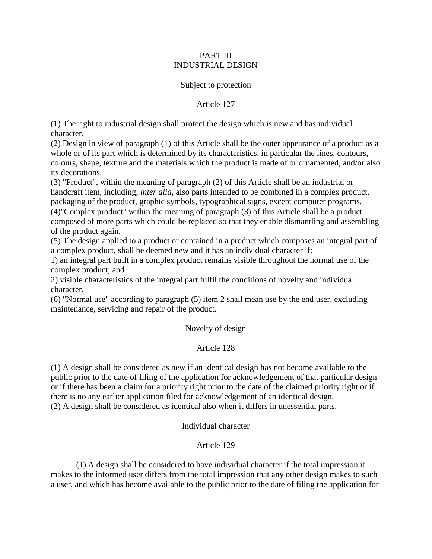## PART III INDUSTRIAL DESIGN

### Subject to protection

Article 127

(1) The right to industrial design shall protect the design which is new and has individual character.

(2) Design in view of paragraph (1) of this Article shall be the outer appearance of a product as a whole or of its part which is determined by its characteristics, in particular the lines, contours, colours, shape, texture and the materials which the product is made of or ornamented, and/or also its decorations.

(3) "Product", within the meaning of paragraph (2) of this Article shall be an industrial or handcraft item, including, *inter alia*, also parts intended to be combined in a complex product, packaging of the product, graphic symbols, typographical signs, except computer programs. (4)"Complex product" within the meaning of paragraph (3) of this Article shall be a product composed of more parts which could be replaced so that they enable dismantling and assembling of the product again.

(5) The design applied to a product or contained in a product which composes an integral part of a complex product, shall be deemed new and it has an individual character if:

1) an integral part built in a complex product remains visible throughout the normal use of the complex product; and

2) visible characteristics of the integral part fulfil the conditions of novelty and individual character.

(6) "Normal use" according to paragraph (5) item 2 shall mean use by the end user, excluding maintenance, servicing and repair of the product.

Novelty of design

# Article 128

(1) A design shall be considered as new if an identical design has not become available to the public prior to the date of filing of the application for acknowledgement of that particular design or if there has been a claim for a priority right prior to the date of the claimed priority right or if there is no any earlier application filed for acknowledgement of an identical design. (2) A design shall be considered as identical also when it differs in unessential parts.

Individual character

# Article 129

(1) A design shall be considered to have individual character if the total impression it makes to the informed user differs from the total impression that any other design makes to such a user, and which has become available to the public prior to the date of filing the application for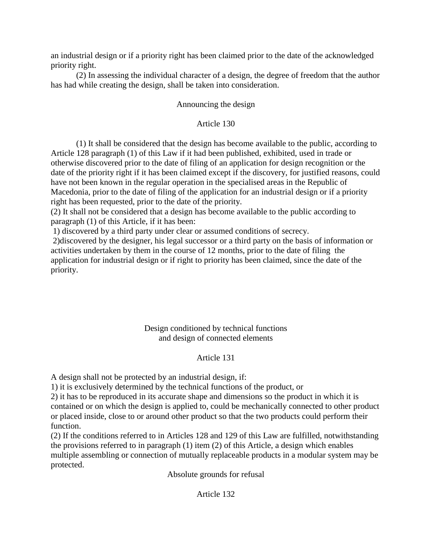an industrial design or if a priority right has been claimed prior to the date of the acknowledged priority right.

(2) In assessing the individual character of a design, the degree of freedom that the author has had while creating the design, shall be taken into consideration.

## Announcing the design

## Article 130

(1) It shall be considered that the design has become available to the public, according to Article 128 paragraph (1) of this Law if it had been published, exhibited, used in trade or otherwise discovered prior to the date of filing of an application for design recognition or the date of the priority right if it has been claimed except if the discovery, for justified reasons, could have not been known in the regular operation in the specialised areas in the Republic of Macedonia, prior to the date of filing of the application for an industrial design or if a priority right has been requested, prior to the date of the priority.

(2) It shall not be considered that a design has become available to the public according to paragraph (1) of this Article, if it has been:

1) discovered by a third party under clear or assumed conditions of secrecy.

2)discovered by the designer, his legal successor or a third party on the basis of information or activities undertaken by them in the course of 12 months, prior to the date of filing the application for industrial design or if right to priority has been claimed, since the date of the priority.

## Design conditioned by technical functions and design of connected elements

#### Article 131

A design shall not be protected by an industrial design, if:

1) it is exclusively determined by the technical functions of the product, or

2) it has to be reproduced in its accurate shape and dimensions so the product in which it is contained or on which the design is applied to, could be mechanically connected to other product or placed inside, close to or around other product so that the two products could perform their function.

(2) If the conditions referred to in Articles 128 and 129 of this Law are fulfilled, notwithstanding the provisions referred to in paragraph (1) item (2) of this Article, a design which enables multiple assembling or connection of mutually replaceable products in a modular system may be protected.

Absolute grounds for refusal

# Article 132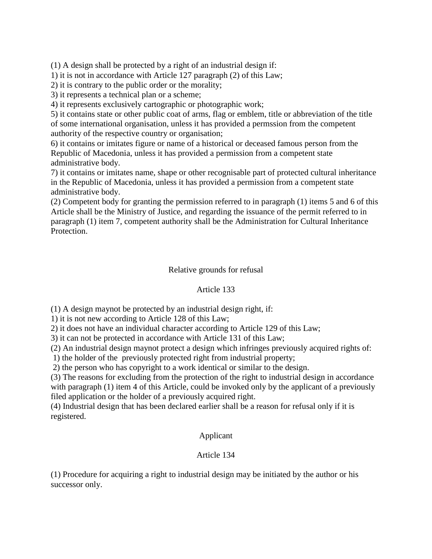(1) A design shall be protected by a right of an industrial design if:

1) it is not in accordance with Article 127 paragraph (2) of this Law;

2) it is contrary to the public order or the morality;

3) it represents a technical plan or a scheme;

4) it represents exclusively cartographic or photographic work;

5) it contains state or other public coat of arms, flag or emblem, title or abbreviation of the title of some international organisation, unless it has provided a permssion from the competent authority of the respective country or organisation;

6) it contains or imitates figure or name of a historical or deceased famous person from the Republic of Macedonia, unless it has provided a permission from a competent state administrative body.

7) it contains or imitates name, shape or other recognisable part of protected cultural inheritance in the Republic of Macedonia, unless it has provided a permission from a competent state administrative body.

(2) Competent body for granting the permission referred to in paragraph (1) items 5 and 6 of this Article shall be the Ministry of Justice, and regarding the issuance of the permit referred to in paragraph (1) item 7, competent authority shall be the Administration for Cultural Inheritance Protection.

## Relative grounds for refusal

#### Article 133

(1) A design maynot be protected by an industrial design right, if:

1) it is not new according to Article 128 of this Law;

2) it does not have an individual character according to Article 129 of this Law;

3) it can not be protected in accordance with Article 131 of this Law;

(2) An industrial design maynot protect a design which infringes previously acquired rights of:

1) the holder of the previously protected right from industrial property;

2) the person who has copyright to a work identical or similar to the design.

(3) The reasons for excluding from the protection of the right to industrial design in accordance with paragraph (1) item 4 of this Article, could be invoked only by the applicant of a previously filed application or the holder of a previously acquired right.

(4) Industrial design that has been declared earlier shall be a reason for refusal only if it is registered.

#### Applicant

# Article 134

(1) Procedure for acquiring a right to industrial design may be initiated by the author or his successor only.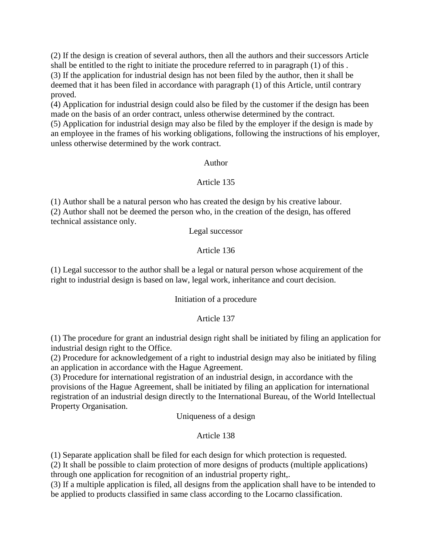(2) If the design is creation of several authors, then all the authors and their successors Article shall be entitled to the right to initiate the procedure referred to in paragraph (1) of this . (3) If the application for industrial design has not been filed by the author, then it shall be deemed that it has been filed in accordance with paragraph (1) of this Article, until contrary proved.

(4) Application for industrial design could also be filed by the customer if the design has been made on the basis of an order contract, unless otherwise determined by the contract.

(5) Application for industrial design may also be filed by the employer if the design is made by an employee in the frames of his working obligations, following the instructions of his employer, unless otherwise determined by the work contract.

# Author

# Article 135

(1) Author shall be a natural person who has created the design by his creative labour. (2) Author shall not be deemed the person who, in the creation of the design, has offered technical assistance only.

Legal successor

# Article 136

(1) Legal successor to the author shall be a legal or natural person whose acquirement of the right to industrial design is based on law, legal work, inheritance and court decision.

# Initiation of a procedure

# Article 137

(1) The procedure for grant an industrial design right shall be initiated by filing an application for industrial design right to the Office.

(2) Procedure for acknowledgement of a right to industrial design may also be initiated by filing an application in accordance with the Hague Agreement.

(3) Procedure for international registration of an industrial design, in accordance with the provisions of the Hague Agreement, shall be initiated by filing an application for international registration of an industrial design directly to the International Bureau, of the World Intellectual Property Organisation.

Uniqueness of a design

# Article 138

(1) Separate application shall be filed for each design for which protection is requested.

(2) It shall be possible to claim protection of more designs of products (multiple applications) through one application for recognition of an industrial property right,.

(3) If a multiple application is filed, all designs from the application shall have to be intended to be applied to products classified in same class according to the Locarno classification.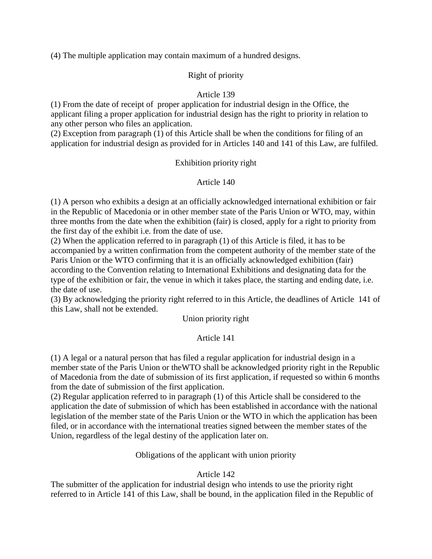(4) The multiple application may contain maximum of a hundred designs.

# Right of priority

# Article 139

(1) From the date of receipt of proper application for industrial design in the Office, the applicant filing a proper application for industrial design has the right to priority in relation to any other person who files an application.

(2) Exception from paragraph (1) of this Article shall be when the conditions for filing of an application for industrial design as provided for in Articles 140 and 141 of this Law, are fulfiled.

# Exhibition priority right

# Article 140

(1) A person who exhibits a design at an officially acknowledged international exhibition or fair in the Republic of Macedonia or in other member state of the Paris Union or WTO, may, within three months from the date when the exhibition (fair) is closed, apply for a right to priority from the first day of the exhibit i.e. from the date of use.

(2) When the application referred to in paragraph (1) of this Article is filed, it has to be accompanied by a written confirmation from the competent authority of the member state of the Paris Union or the WTO confirming that it is an officially acknowledged exhibition (fair) according to the Convention relating to International Exhibitions and designating data for the type of the exhibition or fair, the venue in which it takes place, the starting and ending date, i.e. the date of use.

(3) By acknowledging the priority right referred to in this Article, the deadlines of Article 141 of this Law, shall not be extended.

Union priority right

# Article 141

(1) A legal or a natural person that has filed a regular application for industrial design in a member state of the Paris Union or theWTO shall be acknowledged priority right in the Republic of Macedonia from the date of submission of its first application, if requested so within 6 months from the date of submission of the first application.

(2) Regular application referred to in paragraph (1) of this Article shall be considered to the application the date of submission of which has been established in accordance with the national legislation of the member state of the Paris Union or the WTO in which the application has been filed, or in accordance with the international treaties signed between the member states of the Union, regardless of the legal destiny of the application later on.

# Obligations of the applicant with union priority

# Article 142

The submitter of the application for industrial design who intends to use the priority right referred to in Article 141 of this Law, shall be bound, in the application filed in the Republic of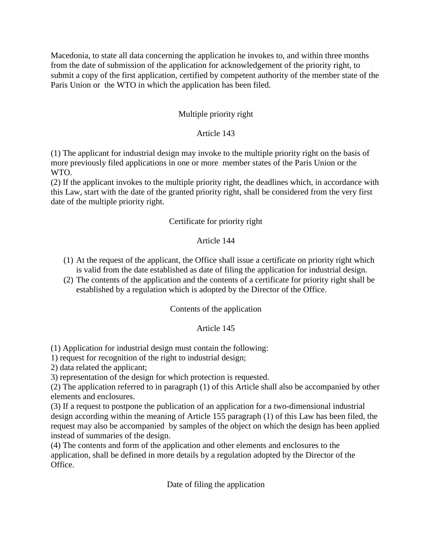Macedonia, to state all data concerning the application he invokes to, and within three months from the date of submission of the application for acknowledgement of the priority right, to submit a copy of the first application, certified by competent authority of the member state of the Paris Union or the WTO in which the application has been filed.

## Multiple priority right

### Article 143

(1) The applicant for industrial design may invoke to the multiple priority right on the basis of more previously filed applications in one or more member states of the Paris Union or the WTO.

(2) If the applicant invokes to the multiple priority right, the deadlines which, in accordance with this Law, start with the date of the granted priority right, shall be considered from the very first date of the multiple priority right.

#### Certificate for priority right

#### Article 144

- (1) At the request of the applicant, the Office shall issue a certificate on priority right which is valid from the date established as date of filing the application for industrial design.
- (2) The contents of the application and the contents of a certificate for priority right shall be established by a regulation which is adopted by the Director of the Office.

#### Contents of the application

#### Article 145

(1) Application for industrial design must contain the following:

1) request for recognition of the right to industrial design;

2) data related the applicant;

3) representation of the design for which protection is requested.

(2) The application referred to in paragraph (1) of this Article shall also be accompanied by other elements and enclosures.

(3) If a request to postpone the publication of an application for a two-dimensional industrial design according within the meaning of Article 155 paragraph (1) of this Law has been filed, the request may also be accompanied by samples of the object on which the design has been applied instead of summaries of the design.

(4) The contents and form of the application and other elements and enclosures to the application, shall be defined in more details by a regulation adopted by the Director of the Office.

Date of filing the application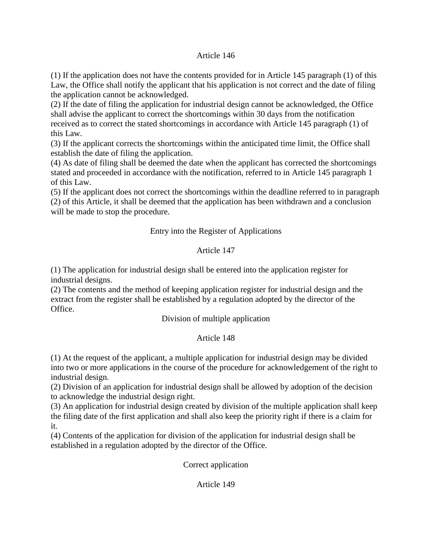## Article 146

(1) If the application does not have the contents provided for in Article 145 paragraph (1) of this Law, the Office shall notify the applicant that his application is not correct and the date of filing the application cannot be acknowledged.

(2) If the date of filing the application for industrial design cannot be acknowledged, the Office shall advise the applicant to correct the shortcomings within 30 days from the notification received as to correct the stated shortcomings in accordance with Article 145 paragraph (1) of this Law.

(3) If the applicant corrects the shortcomings within the anticipated time limit, the Office shall establish the date of filing the application.

(4) As date of filing shall be deemed the date when the applicant has corrected the shortcomings stated and proceeded in accordance with the notification, referred to in Article 145 paragraph 1 of this Law.

(5) If the applicant does not correct the shortcomings within the deadline referred to in paragraph (2) of this Article, it shall be deemed that the application has been withdrawn and a conclusion will be made to stop the procedure.

# Entry into the Register of Applications

# Article 147

(1) The application for industrial design shall be entered into the application register for industrial designs.

(2) The contents and the method of keeping application register for industrial design and the extract from the register shall be established by a regulation adopted by the director of the Office.

# Division of multiple application

# Article 148

(1) At the request of the applicant, a multiple application for industrial design may be divided into two or more applications in the course of the procedure for acknowledgement of the right to industrial design.

(2) Division of an application for industrial design shall be allowed by adoption of the decision to acknowledge the industrial design right.

(3) An application for industrial design created by division of the multiple application shall keep the filing date of the first application and shall also keep the priority right if there is a claim for it.

(4) Contents of the application for division of the application for industrial design shall be established in a regulation adopted by the director of the Office.

Correct application

#### Article 149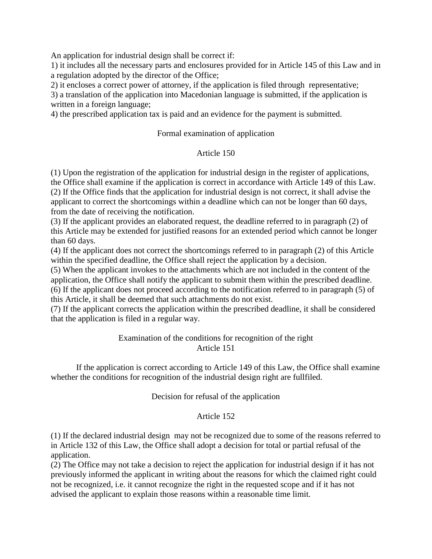An application for industrial design shall be correct if:

1) it includes all the necessary parts and enclosures provided for in Article 145 of this Law and in a regulation adopted by the director of the Office;

2) it encloses a correct power of attorney, if the application is filed through representative;

3) a translation of the application into Macedonian language is submitted, if the application is written in a foreign language;

4) the prescribed application tax is paid and an evidence for the payment is submitted.

## Formal examination of application

## Article 150

(1) Upon the registration of the application for industrial design in the register of applications, the Office shall examine if the application is correct in accordance with Article 149 of this Law. (2) If the Office finds that the application for industrial design is not correct, it shall advise the applicant to correct the shortcomings within a deadline which can not be longer than 60 days, from the date of receiving the notification.

(3) If the applicant provides an elaborated request, the deadline referred to in paragraph (2) of this Article may be extended for justified reasons for an extended period which cannot be longer than 60 days.

(4) If the applicant does not correct the shortcomings referred to in paragraph (2) of this Article within the specified deadline, the Office shall reject the application by a decision.

(5) When the applicant invokes to the attachments which are not included in the content of the application, the Office shall notify the applicant to submit them within the prescribed deadline. (6) If the applicant does not proceed according to the notification referred to in paragraph (5) of this Article, it shall be deemed that such attachments do not exist.

(7) If the applicant corrects the application within the prescribed deadline, it shall be considered that the application is filed in a regular way.

## Examination of the conditions for recognition of the right Article 151

If the application is correct according to Article 149 of this Law, the Office shall examine whether the conditions for recognition of the industrial design right are fullfiled.

#### Decision for refusal of the application

#### Article 152

(1) If the declared industrial design may not be recognized due to some of the reasons referred to in Article 132 of this Law, the Office shall adopt a decision for total or partial refusal of the application.

(2) The Office may not take a decision to reject the application for industrial design if it has not previously informed the applicant in writing about the reasons for which the claimed right could not be recognized, i.e. it cannot recognize the right in the requested scope and if it has not advised the applicant to explain those reasons within a reasonable time limit.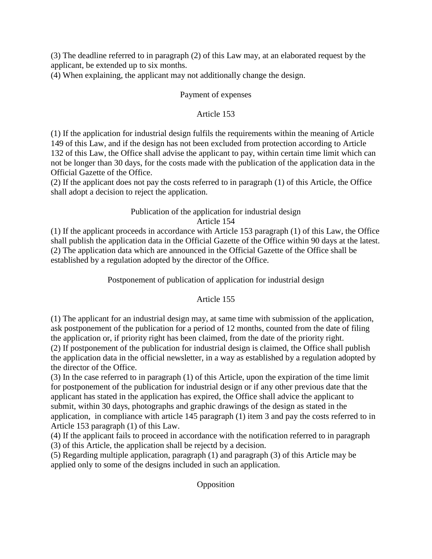(3) The deadline referred to in paragraph (2) of this Law may, at an elaborated request by the applicant, be extended up to six months.

(4) When explaining, the applicant may not additionally change the design.

## Payment of expenses

## Article 153

(1) If the application for industrial design fulfils the requirements within the meaning of Article 149 of this Law, and if the design has not been excluded from protection according to Article 132 of this Law, the Office shall advise the applicant to pay, within certain time limit which can not be longer than 30 days, for the costs made with the publication of the application data in the Official Gazette of the Office.

(2) If the applicant does not pay the costs referred to in paragraph (1) of this Article, the Office shall adopt a decision to reject the application.

#### Publication of the application for industrial design Article 154

(1) If the applicant proceeds in accordance with Article 153 paragraph (1) of this Law, the Office shall publish the application data in the Official Gazette of the Office within 90 days at the latest. (2) The application data which are announced in the Official Gazette of the Office shall be established by a regulation adopted by the director of the Office.

Postponement of publication of application for industrial design

# Article 155

(1) The applicant for an industrial design may, at same time with submission of the application, ask postponement of the publication for a period of 12 months, counted from the date of filing the application or, if priority right has been claimed, from the date of the priority right. (2) If postponement of the publication for industrial design is claimed, the Office shall publish the application data in the official newsletter, in a way as established by a regulation adopted by

the director of the Office.

(3) In the case referred to in paragraph (1) of this Article, upon the expiration of the time limit for postponement of the publication for industrial design or if any other previous date that the applicant has stated in the application has expired, the Office shall advice the applicant to submit, within 30 days, photographs and graphic drawings of the design as stated in the application, in compliance with article 145 paragraph (1) item 3 and pay the costs referred to in Article 153 paragraph (1) of this Law.

(4) If the applicant fails to proceed in accordance with the notification referred to in paragraph (3) of this Article, the application shall be rejectd by a decision.

(5) Regarding multiple application, paragraph (1) and paragraph (3) of this Article may be applied only to some of the designs included in such an application.

Opposition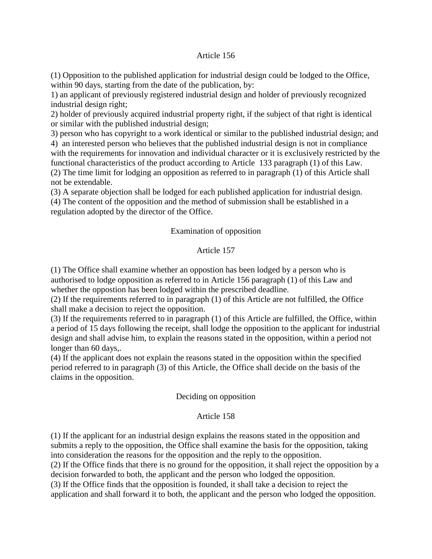#### Article 156

(1) Opposition to the published application for industrial design could be lodged to the Office, within 90 days, starting from the date of the publication, by:

1) an applicant of previously registered industrial design and holder of previously recognized industrial design right;

2) holder of previously acquired industrial property right, if the subject of that right is identical or similar with the published industrial design;

3) person who has copyright to a work identical or similar to the published industrial design; and 4) an interested person who believes that the published industrial design is not in compliance with the requirements for innovation and individual character or it is exclusively restricted by the functional characteristics of the product according to Article 133 paragraph (1) of this Law. (2) The time limit for lodging an opposition as referred to in paragraph (1) of this Article shall not be extendable.

(3) A separate objection shall be lodged for each published application for industrial design.

(4) The content of the opposition and the method of submission shall be established in a regulation adopted by the director of the Office.

## Examination of opposition

## Article 157

(1) The Office shall examine whether an oppostion has been lodged by a person who is authorised to lodge opposition as referred to in Article 156 paragraph (1) of this Law and whether the oppostion has been lodged within the prescribed deadline.

(2) If the requirements referred to in paragraph (1) of this Article are not fulfilled, the Office shall make a decision to reject the opposition.

(3) If the requirements referred to in paragraph (1) of this Article are fulfilled, the Office, within a period of 15 days following the receipt, shall lodge the opposition to the applicant for industrial design and shall advise him, to explain the reasons stated in the opposition, within a period not longer than 60 days,.

(4) If the applicant does not explain the reasons stated in the opposition within the specified period referred to in paragraph (3) of this Article, the Office shall decide on the basis of the claims in the opposition.

#### Deciding on opposition

#### Article 158

(1) If the applicant for an industrial design explains the reasons stated in the opposition and submits a reply to the opposition, the Office shall examine the basis for the opposition, taking into consideration the reasons for the opposition and the reply to the opposition. (2) If the Office finds that there is no ground for the opposition, it shall reject the opposition by a decision forwarded to both, the applicant and the person who lodged the opposition. (3) If the Office finds that the opposition is founded, it shall take a decision to reject the application and shall forward it to both, the applicant and the person who lodged the opposition.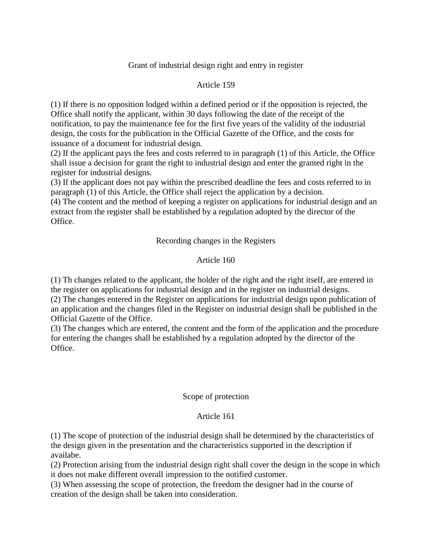## Grant of industrial design right and entry in register

## Article 159

(1) If there is no opposition lodged within a defined period or if the opposition is rejected, the Office shall notify the applicant, within 30 days following the date of the receipt of the notification, to pay the maintenance fee for the first five years of the validity of the industrial design, the costs for the publication in the Official Gazette of the Office, and the costs for issuance of a document for industrial design.

(2) If the applicant pays the fees and costs referred to in paragraph (1) of this Article, the Office shall issue a decision for grant the right to industrial design and enter the granted right in the register for industrial designs.

(3) If the applicant does not pay within the prescribed deadline the fees and costs referred to in paragraph (1) of this Article, the Office shall reject the application by a decision.

(4) The content and the method of keeping a register on applications for industrial design and an extract from the register shall be established by a regulation adopted by the director of the Office.

Recording changes in the Registers

# Article 160

(1) Th changes related to the applicant, the holder of the right and the right itself, are entered in the register on applications for industrial design and in the register on industrial designs. (2) The changes entered in the Register on applications for industrial design upon publication of an application and the changes filed in the Register on industrial design shall be published in the Official Gazette of the Office.

(3) The changes which are entered, the content and the form of the application and the procedure for entering the changes shall be established by a regulation adopted by the director of the Office.

#### Scope of protection

#### Article 161

(1) The scope of protection of the industrial design shall be determined by the characteristics of the design given in the presentation and the characteristics supported in the description if availabe.

(2) Protection arising from the industrial design right shall cover the design in the scope in which it does not make different overall impression to the notified customer.

(3) When assessing the scope of protection, the freedom the designer had in the course of creation of the design shall be taken into consideration.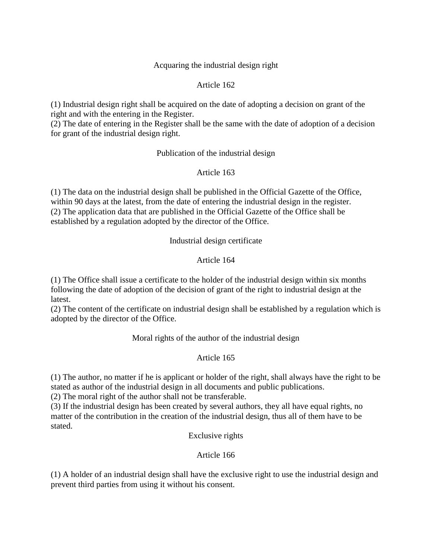### Acquaring the industrial design right

## Article 162

(1) Industrial design right shall be acquired on the date of adopting a decision on grant of the right and with the entering in the Register.

(2) The date of entering in the Register shall be the same with the date of adoption of a decision for grant of the industrial design right.

## Publication of the industrial design

## Article 163

(1) The data on the industrial design shall be published in the Official Gazette of the Office, within 90 days at the latest, from the date of entering the industrial design in the register. (2) The application data that are published in the Official Gazette of the Office shall be established by a regulation adopted by the director of the Office.

Industrial design certificate

# Article 164

(1) The Office shall issue a certificate to the holder of the industrial design within six months following the date of adoption of the decision of grant of the right to industrial design at the latest.

(2) The content of the certificate on industrial design shall be established by a regulation which is adopted by the director of the Office.

Moral rights of the author of the industrial design

#### Article 165

(1) The author, no matter if he is applicant or holder of the right, shall always have the right to be stated as author of the industrial design in all documents and public publications.

(2) The moral right of the author shall not be transferable.

(3) If the industrial design has been created by several authors, they all have equal rights, no matter of the contribution in the creation of the industrial design, thus all of them have to be stated.

Exclusive rights

#### Article 166

(1) A holder of an industrial design shall have the exclusive right to use the industrial design and prevent third parties from using it without his consent.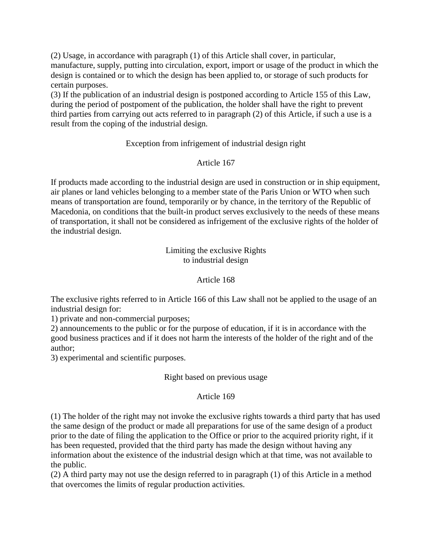(2) Usage, in accordance with paragraph (1) of this Article shall cover, in particular, manufacture, supply, putting into circulation, export, import or usage of the product in which the design is contained or to which the design has been applied to, or storage of such products for certain purposes.

(3) If the publication of an industrial design is postponed according to Article 155 of this Law, during the period of postpoment of the publication, the holder shall have the right to prevent third parties from carrying out acts referred to in paragraph (2) of this Article, if such a use is a result from the coping of the industrial design.

# Exception from infrigement of industrial design right

# Article 167

If products made according to the industrial design are used in construction or in ship equipment, air planes or land vehicles belonging to a member state of the Paris Union or WTO when such means of transportation are found, temporarily or by chance, in the territory of the Republic of Macedonia, on conditions that the built-in product serves exclusively to the needs of these means of transportation, it shall not be considered as infrigement of the exclusive rights of the holder of the industrial design.

> Limiting the exclusive Rights to industrial design

## Article 168

The exclusive rights referred to in Article 166 of this Law shall not be applied to the usage of an industrial design for:

1) private and non-commercial purposes;

2) announcements to the public or for the purpose of education, if it is in accordance with the good business practices and if it does not harm the interests of the holder of the right and of the author;

3) experimental and scientific purposes.

#### Right based on previous usage

#### Article 169

(1) The holder of the right may not invoke the exclusive rights towards a third party that has used the same design of the product or made all preparations for use of the same design of a product prior to the date of filing the application to the Office or prior to the acquired priority right, if it has been requested, provided that the third party has made the design without having any information about the existence of the industrial design which at that time, was not available to the public.

(2) A third party may not use the design referred to in paragraph (1) of this Article in a method that overcomes the limits of regular production activities.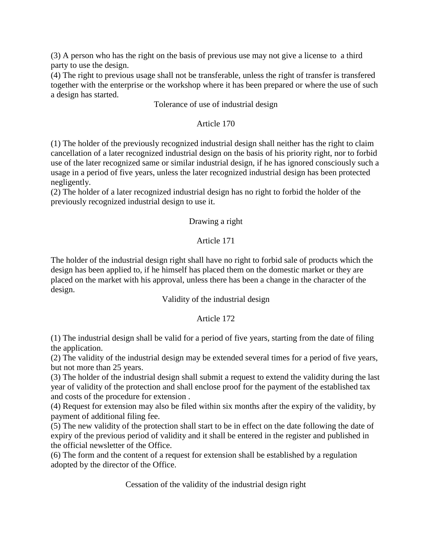(3) A person who has the right on the basis of previous use may not give a license to a third party to use the design.

(4) The right to previous usage shall not be transferable, unless the right of transfer is transfered together with the enterprise or the workshop where it has been prepared or where the use of such a design has started.

## Tolerance of use of industrial design

## Article 170

(1) The holder of the previously recognized industrial design shall neither has the right to claim cancellation of a later recognized industrial design on the basis of his priority right, nor to forbid use of the later recognized same or similar industrial design, if he has ignored consciously such a usage in a period of five years, unless the later recognized industrial design has been protected negligently.

(2) The holder of a later recognized industrial design has no right to forbid the holder of the previously recognized industrial design to use it.

## Drawing a right

# Article 171

The holder of the industrial design right shall have no right to forbid sale of products which the design has been applied to, if he himself has placed them on the domestic market or they are placed on the market with his approval, unless there has been a change in the character of the design.

## Validity of the industrial design

# Article 172

(1) The industrial design shall be valid for a period of five years, starting from the date of filing the application.

(2) The validity of the industrial design may be extended several times for a period of five years, but not more than 25 years.

(3) The holder of the industrial design shall submit a request to extend the validity during the last year of validity of the protection and shall enclose proof for the payment of the established tax and costs of the procedure for extension .

(4) Request for extension may also be filed within six months after the expiry of the validity, by payment of additional filing fee.

(5) The new validity of the protection shall start to be in effect on the date following the date of expiry of the previous period of validity and it shall be entered in the register and published in the official newsletter of the Office.

(6) The form and the content of a request for extension shall be established by a regulation adopted by the director of the Office.

Cessation of the validity of the industrial design right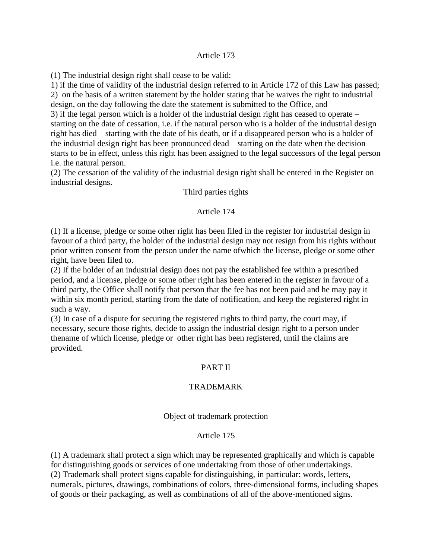#### Article 173

(1) The industrial design right shall cease to be valid:

1) if the time of validity of the industrial design referred to in Article 172 of this Law has passed; 2) on the basis of a written statement by the holder stating that he waives the right to industrial design, on the day following the date the statement is submitted to the Office, and

3) if the legal person which is a holder of the industrial design right has ceased to operate – starting on the date of cessation, i.e. if the natural person who is a holder of the industrial design right has died – starting with the date of his death, or if a disappeared person who is a holder of the industrial design right has been pronounced dead – starting on the date when the decision starts to be in effect, unless this right has been assigned to the legal successors of the legal person i.e. the natural person.

(2) The cessation of the validity of the industrial design right shall be entered in the Register on industrial designs.

Third parties rights

#### Article 174

(1) If a license, pledge or some other right has been filed in the register for industrial design in favour of a third party, the holder of the industrial design may not resign from his rights without prior written consent from the person under the name ofwhich the license, pledge or some other right, have been filed to.

(2) If the holder of an industrial design does not pay the established fee within a prescribed period, and a license, pledge or some other right has been entered in the register in favour of a third party, the Office shall notify that person that the fee has not been paid and he may pay it within six month period, starting from the date of notification, and keep the registered right in such a way.

(3) In case of a dispute for securing the registered rights to third party, the court may, if necessary, secure those rights, decide to assign the industrial design right to a person under thename of which license, pledge or other right has been registered, until the claims are provided.

# PART II

#### TRADEMARK

#### Object of trademark protection

#### Article 175

(1) A trademark shall protect a sign which may be represented graphically and which is capable for distinguishing goods or services of one undertaking from those of other undertakings. (2) Trademark shall protect signs capable for distinguishing, in particular: words, letters, numerals, pictures, drawings, combinations of colors, three-dimensional forms, including shapes of goods or their packaging, as well as combinations of all of the above-mentioned signs.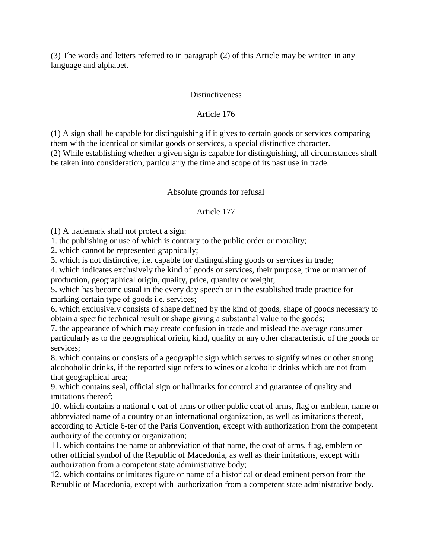(3) The words and letters referred to in paragraph (2) of this Article may be written in any language and alphabet.

#### **Distinctiveness**

# Article 176

(1) A sign shall be capable for distinguishing if it gives to certain goods or services comparing them with the identical or similar goods or services, a special distinctive character. (2) While establishing whether a given sign is capable for distinguishing, all circumstances shall be taken into consideration, particularly the time and scope of its past use in trade.

# Absolute grounds for refusal

# Article 177

(1) A trademark shall not protect a sign:

1. the publishing or use of which is contrary to the public order or morality;

2. which cannot be represented graphically;

3. which is not distinctive, i.e. capable for distinguishing goods or services in trade;

4. which indicates exclusively the kind of goods or services, their purpose, time or manner of production, geographical origin, quality, price, quantity or weight;

5. which has become usual in the every day speech or in the established trade practice for marking certain type of goods i.e. services;

6. which exclusively consists of shape defined by the kind of goods, shape of goods necessary to obtain a specific technical result or shape giving a substantial value to the goods;

7. the appearance of which may create confusion in trade and mislead the average consumer particularly as to the geographical origin, kind, quality or any other characteristic of the goods or services;

8. which contains or consists of a geographic sign which serves to signify wines or other strong alcohoholic drinks, if the reported sign refers to wines or alcoholic drinks which are not from that geographical area;

9. which contains seal, official sign or hallmarks for control and guarantee of quality and imitations thereof;

10. which contains a national c oat of arms or other public coat of arms, flag or emblem, name or abbreviated name of a country or an international organization, as well as imitations thereof, according to Article 6-ter of the Paris Convention, except with authorization from the competent authority of the country or organization;

11. which contains the name or abbreviation of that name, the coat of arms, flag, emblem or other official symbol of the Republic of Macedonia, as well as their imitations, except with authorization from a competent state administrative body;

12. which contains or imitates figure or name of a historical or dead eminent person from the Republic of Macedonia, except with authorization from a competent state administrative body.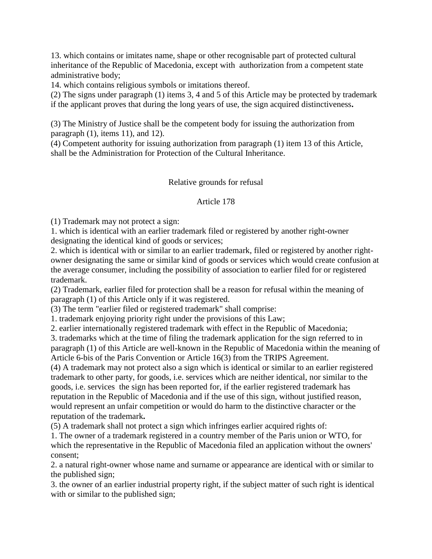13. which contains or imitates name, shape or other recognisable part of protected cultural inheritance of the Republic of Macedonia, except with authorization from a competent state administrative body;

14. which contains religious symbols or imitations thereof.

(2) The signs under paragraph (1) items 3, 4 and 5 of this Article may be protected by trademark if the applicant proves that during the long years of use, the sign acquired distinctiveness**.**

(3) The Ministry of Justice shall be the competent body for issuing the authorization from paragraph (1), items 11), and 12).

(4) Competent authority for issuing authorization from paragraph (1) item 13 of this Article, shall be the Administration for Protection of the Cultural Inheritance.

## Relative grounds for refusal

## Article 178

(1) Trademark may not protect a sign:

1. which is identical with an earlier trademark filed or registered by another right-owner designating the identical kind of goods or services;

2. which is identical with or similar to an earlier trademark, filed or registered by another rightowner designating the same or similar kind of goods or services which would create confusion at the average consumer, including the possibility of association to earlier filed for or registered trademark.

(2) Trademark, earlier filed for protection shall be a reason for refusal within the meaning of paragraph (1) of this Article only if it was registered.

(3) The term "earlier filed or registered trademark" shall comprise:

1. trademark enjoying priority right under the provisions of this Law;

2. earlier internationally registered trademark with effect in the Republic of Macedonia;

3. trademarks which at the time of filing the trademark application for the sign referred to in paragraph (1) of this Article are well-known in the Republic of Macedonia within the meaning of Article 6-bis of the Paris Convention or Article 16(3) from the TRIPS Agreement.

(4) A trademark may not protect also a sign which is identical or similar to an earlier registered trademark to other party, for goods, i.e. services which are neither identical, nor similar to the goods, i.e. services the sign has been reported for, if the earlier registered trademark has reputation in the Republic of Macedonia and if the use of this sign, without justified reason, would represent an unfair competition or would do harm to the distinctive character or the reputation of the trademark**.**

(5) A trademark shall not protect a sign which infringes earlier acquired rights of:

1. The owner of a trademark registered in a country member of the Paris union or WTO, for which the representative in the Republic of Macedonia filed an application without the owners' consent;

2. a natural right-owner whose name and surname or appearance are identical with or similar to the published sign;

3. the owner of an earlier industrial property right, if the subject matter of such right is identical with or similar to the published sign;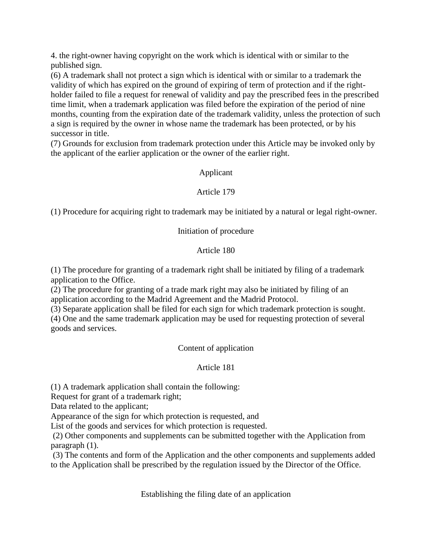4. the right-owner having copyright on the work which is identical with or similar to the published sign.

(6) A trademark shall not protect a sign which is identical with or similar to a trademark the validity of which has expired on the ground of expiring of term of protection and if the rightholder failed to file a request for renewal of validity and pay the prescribed fees in the prescribed time limit, when a trademark application was filed before the expiration of the period of nine months, counting from the expiration date of the trademark validity, unless the protection of such a sign is required by the owner in whose name the trademark has been protected, or by his successor in title.

(7) Grounds for exclusion from trademark protection under this Article may be invoked only by the applicant of the earlier application or the owner of the earlier right.

# Applicant

# Article 179

(1) Procedure for acquiring right to trademark may be initiated by a natural or legal right-owner.

# Initiation of procedure

# Article 180

(1) The procedure for granting of a trademark right shall be initiated by filing of a trademark application to the Office.

(2) The procedure for granting of a trade mark right may also be initiated by filing of an application according to the Madrid Agreement and the Madrid Protocol.

(3) Separate application shall be filed for each sign for which trademark protection is sought.

(4) One and the same trademark application may be used for requesting protection of several goods and services.

# Content of application

# Article 181

(1) A trademark application shall contain the following:

Request for grant of a trademark right;

Data related to the applicant;

Appearance of the sign for which protection is requested, and

List of the goods and services for which protection is requested.

(2) Other components and supplements can be submitted together with the Application from paragraph (1).

(3) The contents and form of the Application and the other components and supplements added to the Application shall be prescribed by the regulation issued by the Director of the Office.

Establishing the filing date of an application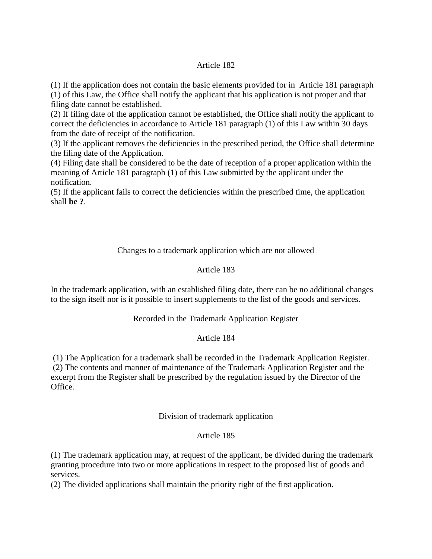## Article 182

(1) If the application does not contain the basic elements provided for in Article 181 paragraph (1) of this Law, the Office shall notify the applicant that his application is not proper and that filing date cannot be established.

(2) If filing date of the application cannot be established, the Office shall notify the applicant to correct the deficiencies in accordance to Article 181 paragraph (1) of this Law within 30 days from the date of receipt of the notification.

(3) If the applicant removes the deficiencies in the prescribed period, the Office shall determine the filing date of the Application.

(4) Filing date shall be considered to be the date of reception of a proper application within the meaning of Article 181 paragraph (1) of this Law submitted by the applicant under the notification.

(5) If the applicant fails to correct the deficiencies within the prescribed time, the application shall **be ?**.

## Changes to a trademark application which are not allowed

## Article 183

In the trademark application, with an established filing date, there can be no additional changes to the sign itself nor is it possible to insert supplements to the list of the goods and services.

#### Recorded in the Trademark Application Register

#### Article 184

(1) The Application for a trademark shall be recorded in the Trademark Application Register. (2) The contents and manner of maintenance of the Trademark Application Register and the excerpt from the Register shall be prescribed by the regulation issued by the Director of the Office.

#### Division of trademark application

#### Article 185

(1) The trademark application may, at request of the applicant, be divided during the trademark granting procedure into two or more applications in respect to the proposed list of goods and services.

(2) The divided applications shall maintain the priority right of the first application.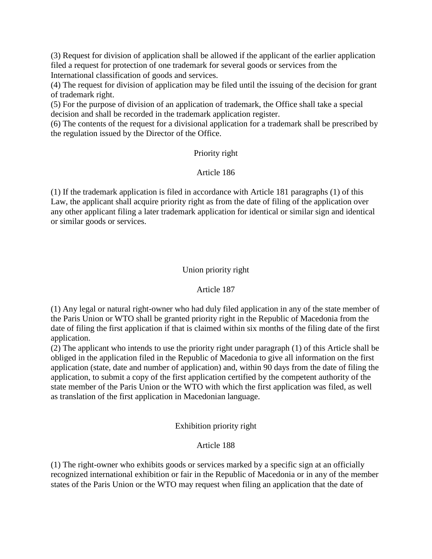(3) Request for division of application shall be allowed if the applicant of the earlier application filed a request for protection of one trademark for several goods or services from the International classification of goods and services.

(4) The request for division of application may be filed until the issuing of the decision for grant of trademark right.

(5) For the purpose of division of an application of trademark, the Office shall take a special decision and shall be recorded in the trademark application register.

(6) The contents of the request for a divisional application for a trademark shall be prescribed by the regulation issued by the Director of the Office.

## Priority right

## Article 186

(1) If the trademark application is filed in accordance with Article 181 paragraphs (1) of this Law, the applicant shall acquire priority right as from the date of filing of the application over any other applicant filing a later trademark application for identical or similar sign and identical or similar goods or services.

# Union priority right

# Article 187

(1) Any legal or natural right-owner who had duly filed application in any of the state member of the Paris Union or WTO shall be granted priority right in the Republic of Macedonia from the date of filing the first application if that is claimed within six months of the filing date of the first application.

(2) The applicant who intends to use the priority right under paragraph (1) of this Article shall be obliged in the application filed in the Republic of Macedonia to give all information on the first application (state, date and number of application) and, within 90 days from the date of filing the application, to submit a copy of the first application certified by the competent authority of the state member of the Paris Union or the WTO with which the first application was filed, as well as translation of the first application in Macedonian language.

# Exhibition priority right

# Article 188

(1) The right-owner who exhibits goods or services marked by a specific sign at an officially recognized international exhibition or fair in the Republic of Macedonia or in any of the member states of the Paris Union or the WTO may request when filing an application that the date of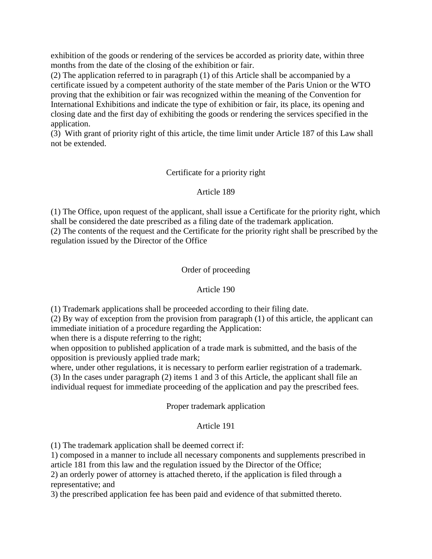exhibition of the goods or rendering of the services be accorded as priority date, within three months from the date of the closing of the exhibition or fair.

(2) The application referred to in paragraph (1) of this Article shall be accompanied by a certificate issued by a competent authority of the state member of the Paris Union or the WTO proving that the exhibition or fair was recognized within the meaning of the Convention for International Exhibitions and indicate the type of exhibition or fair, its place, its opening and closing date and the first day of exhibiting the goods or rendering the services specified in the application.

(3) With grant of priority right of this article, the time limit under Article 187 of this Law shall not be extended.

# Certificate for a priority right

## Article 189

(1) The Office, upon request of the applicant, shall issue a Certificate for the priority right, which shall be considered the date prescribed as a filing date of the trademark application.

(2) The contents of the request and the Certificate for the priority right shall be prescribed by the regulation issued by the Director of the Office

## Order of proceeding

#### Article 190

(1) Trademark applications shall be proceeded according to their filing date.

(2) By way of exception from the provision from paragraph (1) of this article, the applicant can immediate initiation of a procedure regarding the Application:

when there is a dispute referring to the right;

when opposition to published application of a trade mark is submitted, and the basis of the opposition is previously applied trade mark;

where, under other regulations, it is necessary to perform earlier registration of a trademark. (3) In the cases under paragraph (2) items 1 and 3 of this Article, the applicant shall file an individual request for immediate proceeding of the application and pay the prescribed fees.

#### Proper trademark application

#### Article 191

(1) The trademark application shall be deemed correct if:

1) composed in a manner to include all necessary components and supplements prescribed in article 181 from this law and the regulation issued by the Director of the Office;

2) an orderly power of attorney is attached thereto, if the application is filed through a representative; and

3) the prescribed application fee has been paid and evidence of that submitted thereto.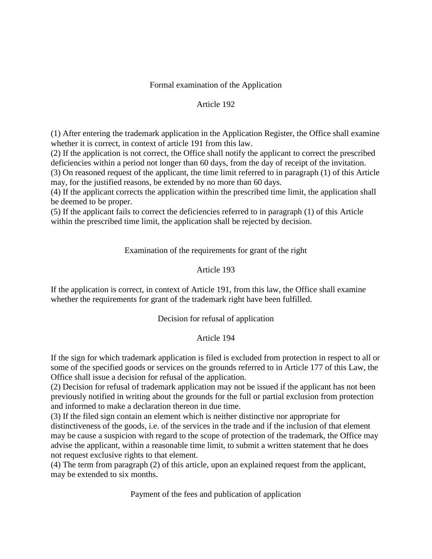## Formal examination of the Application

### Article 192

(1) After entering the trademark application in the Application Register, the Office shall examine whether it is correct, in context of article 191 from this law.

(2) If the application is not correct, the Office shall notify the applicant to correct the prescribed deficiencies within a period not longer than 60 days, from the day of receipt of the invitation. (3) On reasoned request of the applicant, the time limit referred to in paragraph (1) of this Article

may, for the justified reasons, be extended by no more than 60 days.

(4) If the applicant corrects the application within the prescribed time limit, the application shall be deemed to be proper.

(5) If the applicant fails to correct the deficiencies referred to in paragraph (1) of this Article within the prescribed time limit, the application shall be rejected by decision.

## Examination of the requirements for grant of the right

## Article 193

If the application is correct, in context of Article 191, from this law, the Office shall examine whether the requirements for grant of the trademark right have been fulfilled.

#### Decision for refusal of application

#### Article 194

If the sign for which trademark application is filed is excluded from protection in respect to all or some of the specified goods or services on the grounds referred to in Article 177 of this Law, the Office shall issue a decision for refusal of the application.

(2) Decision for refusal of trademark application may not be issued if the applicant has not been previously notified in writing about the grounds for the full or partial exclusion from protection and informed to make a declaration thereon in due time.

(3) If the filed sign contain an element which is neither distinctive nor appropriate for distinctiveness of the goods, i.e. of the services in the trade and if the inclusion of that element may be cause a suspicion with regard to the scope of protection of the trademark, the Office may advise the applicant, within a reasonable time limit, to submit a written statement that he does not request exclusive rights to that element.

(4) The term from paragraph (2) of this article, upon an explained request from the applicant, may be extended to six months.

Payment of the fees and publication of application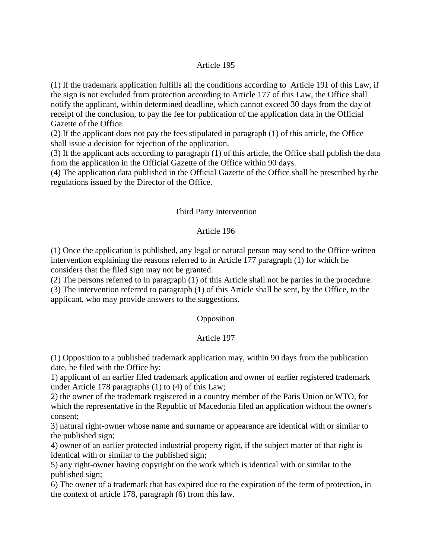#### Article 195

(1) If the trademark application fulfills all the conditions according to Article 191 of this Law, if the sign is not excluded from protection according to Article 177 of this Law, the Office shall notify the applicant, within determined deadline, which cannot exceed 30 days from the day of receipt of the conclusion, to pay the fee for publication of the application data in the Official Gazette of the Office.

(2) If the applicant does not pay the fees stipulated in paragraph (1) of this article, the Office shall issue a decision for rejection of the application.

(3) If the applicant acts according to paragraph (1) of this article, the Office shall publish the data from the application in the Official Gazette of the Office within 90 days.

(4) The application data published in the Official Gazette of the Office shall be prescribed by the regulations issued by the Director of the Office.

#### Third Party Intervention

#### Article 196

(1) Once the application is published, any legal or natural person may send to the Office written intervention explaining the reasons referred to in Article 177 paragraph (1) for which he considers that the filed sign may not be granted.

(2) The persons referred to in paragraph (1) of this Article shall not be parties in the procedure. (3) The intervention referred to paragraph (1) of this Article shall be sent, by the Office, to the applicant, who may provide answers to the suggestions.

#### **Opposition**

#### Article 197

(1) Opposition to a published trademark application may, within 90 days from the publication date, be filed with the Office by:

1) applicant of an earlier filed trademark application and owner of earlier registered trademark under Article 178 paragraphs (1) to (4) of this Law;

2) the owner of the trademark registered in a country member of the Paris Union or WTO, for which the representative in the Republic of Macedonia filed an application without the owner's consent;

3) natural right-owner whose name and surname or appearance are identical with or similar to the published sign;

4) owner of an earlier protected industrial property right, if the subject matter of that right is identical with or similar to the published sign;

5) any right-owner having copyright on the work which is identical with or similar to the published sign;

6) The owner of a trademark that has expired due to the expiration of the term of protection, in the context of article 178, paragraph (6) from this law.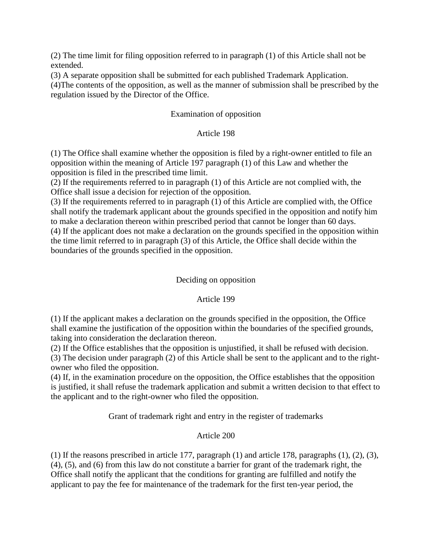(2) The time limit for filing opposition referred to in paragraph (1) of this Article shall not be extended.

(3) A separate opposition shall be submitted for each published Trademark Application.

(4)The contents of the opposition, as well as the manner of submission shall be prescribed by the regulation issued by the Director of the Office.

# Examination of opposition

# Article 198

(1) The Office shall examine whether the opposition is filed by a right-owner entitled to file an opposition within the meaning of Article 197 paragraph (1) of this Law and whether the opposition is filed in the prescribed time limit.

(2) If the requirements referred to in paragraph (1) of this Article are not complied with, the Office shall issue a decision for rejection of the opposition.

(3) If the requirements referred to in paragraph (1) of this Article are complied with, the Office shall notify the trademark applicant about the grounds specified in the opposition and notify him to make a declaration thereon within prescribed period that cannot be longer than 60 days. (4) If the applicant does not make a declaration on the grounds specified in the opposition within the time limit referred to in paragraph (3) of this Article, the Office shall decide within the boundaries of the grounds specified in the opposition.

# Deciding on opposition

# Article 199

(1) If the applicant makes a declaration on the grounds specified in the opposition, the Office shall examine the justification of the opposition within the boundaries of the specified grounds, taking into consideration the declaration thereon.

(2) If the Office establishes that the opposition is unjustified, it shall be refused with decision.

(3) The decision under paragraph (2) of this Article shall be sent to the applicant and to the rightowner who filed the opposition.

(4) If, in the examination procedure on the opposition, the Office establishes that the opposition is justified, it shall refuse the trademark application and submit a written decision to that effect to the applicant and to the right-owner who filed the opposition.

Grant of trademark right and entry in the register of trademarks

# Article 200

(1) If the reasons prescribed in article 177, paragraph (1) and article 178, paragraphs (1), (2), (3), (4), (5), and (6) from this law do not constitute a barrier for grant of the trademark right, the Office shall notify the applicant that the conditions for granting are fulfilled and notify the applicant to pay the fee for maintenance of the trademark for the first ten-year period, the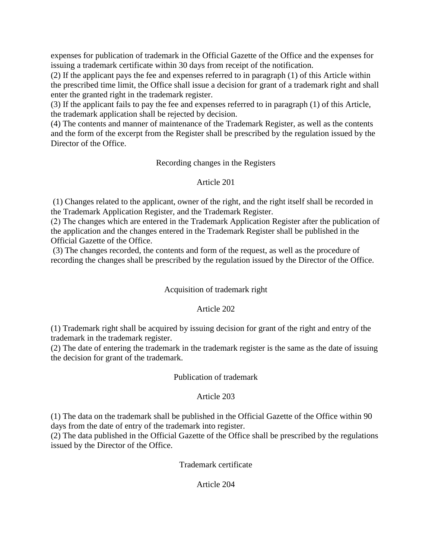expenses for publication of trademark in the Official Gazette of the Office and the expenses for issuing a trademark certificate within 30 days from receipt of the notification.

(2) If the applicant pays the fee and expenses referred to in paragraph (1) of this Article within the prescribed time limit, the Office shall issue a decision for grant of a trademark right and shall enter the granted right in the trademark register.

(3) If the applicant fails to pay the fee and expenses referred to in paragraph (1) of this Article, the trademark application shall be rejected by decision.

(4) The contents and manner of maintenance of the Trademark Register, as well as the contents and the form of the excerpt from the Register shall be prescribed by the regulation issued by the Director of the Office.

Recording changes in the Registers

## Article 201

(1) Changes related to the applicant, owner of the right, and the right itself shall be recorded in the Trademark Application Register, and the Trademark Register.

(2) Тhе changes which are entered in the Trademark Application Register after the publication of the application and the changes entered in the Trademark Register shall be published in the Official Gazette of the Office.

(3) The changes recorded, the contents and form of the request, as well as the procedure of recording the changes shall be prescribed by the regulation issued by the Director of the Office.

# Acquisition of trademark right

# Article 202

(1) Trademark right shall be acquired by issuing decision for grant of the right and entry of the trademark in the trademark register.

(2) The date of entering the trademark in the trademark register is the same as the date of issuing the decision for grant of the trademark.

#### Publication of trademark

# Article 203

(1) The data on the trademark shall be published in the Official Gazette of the Office within 90 days from the date of entry of the trademark into register.

(2) The data published in the Official Gazette of the Office shall be prescribed by the regulations issued by the Director of the Office.

Trademark certificate

# Article 204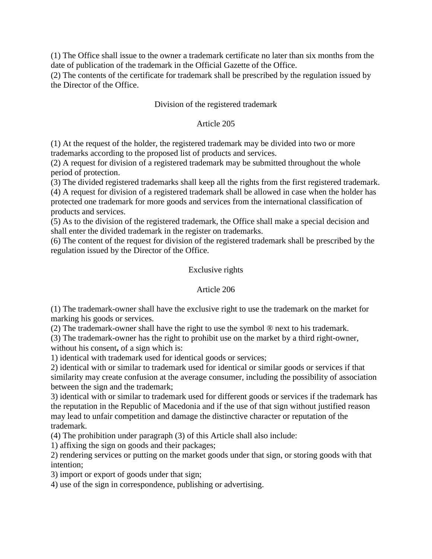(1) The Office shall issue to the owner a trademark certificate no later than six months from the date of publication of the trademark in the Official Gazette of the Office.

(2) The contents of the certificate for trademark shall be prescribed by the regulation issued by the Director of the Office.

# Division of the registered trademark

### Article 205

(1) At the request of the holder, the registered trademark may be divided into two or more trademarks according to the proposed list of products and services.

(2) A request for division of a registered trademark may be submitted throughout the whole period of protection.

(3) The divided registered trademarks shall keep all the rights from the first registered trademark. (4) A request for division of a registered trademark shall be allowed in case when the holder has protected one trademark for more goods and services from the international classification of products and services.

(5) As to the division of the registered trademark, the Office shall make a special decision and shall enter the divided trademark in the register on trademarks.

(6) The content of the request for division of the registered trademark shall be prescribed by the regulation issued by the Director of the Office.

#### Exclusive rights

#### Article 206

(1) The trademark-owner shall have the exclusive right to use the trademark on the market for marking his goods or services.

(2) The trademark-owner shall have the right to use the symbol ® next to his trademark.

(3) The trademark-owner has the right to prohibit use on the market by a third right-owner, without his consent**,** of a sign which is:

1) identical with trademark used for identical goods or services;

2) identical with or similar to trademark used for identical or similar goods or services if that similarity may create confusion at the average consumer, including the possibility of association between the sign and the trademark;

3) identical with or similar to trademark used for different goods or services if the trademark has the reputation in the Republic of Macedonia and if the use of that sign without justified reason may lead to unfair competition and damage the distinctive character or reputation of the trademark.

(4) The prohibition under paragraph (3) of this Article shall also include:

1) affixing the sign on goods and their packages;

2) rendering services or putting on the market goods under that sign, or storing goods with that intention;

3) import or export of goods under that sign;

4) use of the sign in correspondence, publishing or advertising.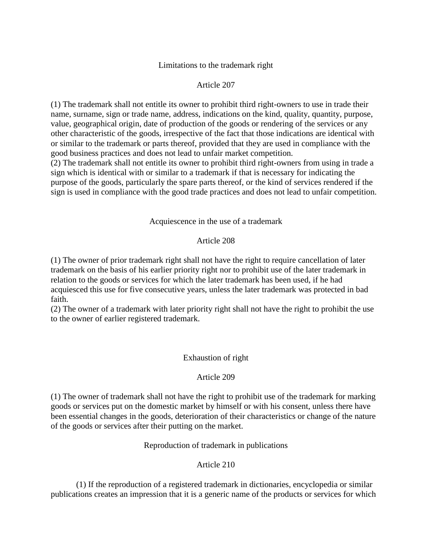### Limitations to the trademark right

## Article 207

(1) The trademark shall not entitle its owner to prohibit third right-owners to use in trade their name, surname, sign or trade name, address, indications on the kind, quality, quantity, purpose, value, geographical origin, date of production of the goods or rendering of the services or any other characteristic of the goods, irrespective of the fact that those indications are identical with or similar to the trademark or parts thereof, provided that they are used in compliance with the good business practices and does not lead to unfair market competition.

(2) The trademark shall not entitle its owner to prohibit third right-owners from using in trade a sign which is identical with or similar to a trademark if that is necessary for indicating the purpose of the goods, particularly the spare parts thereof, or the kind of services rendered if the sign is used in compliance with the good trade practices and does not lead to unfair competition.

#### Acquiescence in the use of a trademark

#### Article 208

(1) The owner of prior trademark right shall not have the right to require cancellation of later trademark on the basis of his earlier priority right nor to prohibit use of the later trademark in relation to the goods or services for which the later trademark has been used, if he had acquiesced this use for five consecutive years, unless the later trademark was protected in bad faith.

(2) The owner of a trademark with later priority right shall not have the right to prohibit the use to the owner of earlier registered trademark.

#### Exhaustion of right

#### Article 209

(1) The owner of trademark shall not have the right to prohibit use of the trademark for marking goods or services put on the domestic market by himself or with his consent, unless there have been essential changes in the goods, deterioration of their characteristics or change of the nature of the goods or services after their putting on the market.

#### Reproduction of trademark in publications

#### Article 210

(1) If the reproduction of a registered trademark in dictionaries, encyclopedia or similar publications creates an impression that it is a generic name of the products or services for which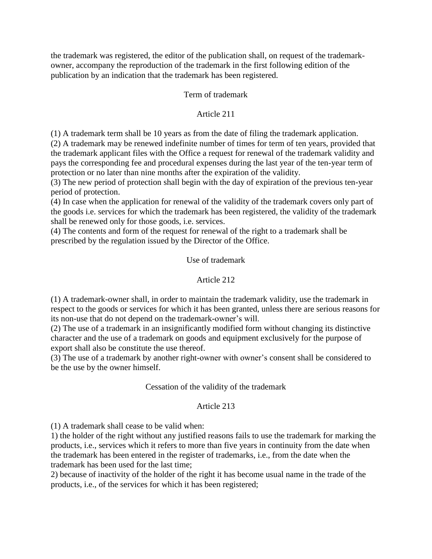the trademark was registered, the editor of the publication shall, on request of the trademarkowner, accompany the reproduction of the trademark in the first following edition of the publication by an indication that the trademark has been registered.

# Term of trademark

## Article 211

(1) A trademark term shall be 10 years as from the date of filing the trademark application.

(2) A trademark may be renewed indefinite number of times for term of ten years, provided that the trademark applicant files with the Office a request for renewal of the trademark validity and pays the corresponding fee and procedural expenses during the last year of the ten-year term of protection or no later than nine months after the expiration of the validity.

(3) The new period of protection shall begin with the day of expiration of the previous ten-year period of protection.

(4) In case when the application for renewal of the validity of the trademark covers only part of the goods i.e. services for which the trademark has been registered, the validity of the trademark shall be renewed only for those goods, i.e. services.

(4) The contents and form of the request for renewal of the right to a trademark shall be prescribed by the regulation issued by the Director of the Office.

### Use of trademark

### Article 212

(1) A trademark-owner shall, in order to maintain the trademark validity, use the trademark in respect to the goods or services for which it has been granted, unless there are serious reasons for its non-use that do not depend on the trademark-owner's will.

(2) The use of a trademark in an insignificantly modified form without changing its distinctive character and the use of a trademark on goods and equipment exclusively for the purpose of export shall also be constitute the use thereof.

(3) The use of a trademark by another right-owner with owner's consent shall be considered to be the use by the owner himself.

#### Cessation of the validity of the trademark

#### Article 213

(1) A trademark shall cease to be valid when:

1) the holder of the right without any justified reasons fails to use the trademark for marking the products, i.e., services which it refers to more than five years in continuity from the date when the trademark has been entered in the register of trademarks, i.e., from the date when the trademark has been used for the last time;

2) because of inactivity of the holder of the right it has become usual name in the trade of the products, i.e., of the services for which it has been registered;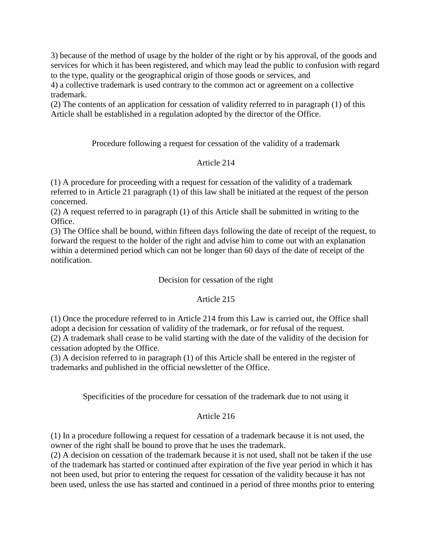3) because of the method of usage by the holder of the right or by his approval, of the goods and services for which it has been registered, and which may lead the public to confusion with regard to the type, quality or the geographical origin of those goods or services, and

4) a collective trademark is used contrary to the common act or agreement on a collective trademark.

(2) The contents of an application for cessation of validity referred to in paragraph (1) of this Article shall be established in a regulation adopted by the director of the Office.

Procedure following a request for cessation of the validity of a trademark

# Article 214

(1) A procedure for proceeding with a request for cessation of the validity of a trademark referred to in Article 21 paragraph (1) of this law shall be initiated at the request of the person concerned.

(2) A request referred to in paragraph (1) of this Article shall be submitted in writing to the Office.

(3) The Office shall be bound, within fifteen days following the date of receipt of the request, to forward the request to the holder of the right and advise him to come out with an explanation within a determined period which can not be longer than 60 days of the date of receipt of the notification.

# Decision for cessation of the right

# Article 215

(1) Once the procedure referred to in Article 214 from this Law is carried out, the Office shall adopt a decision for cessation of validity of the trademark, or for refusal of the request. (2) A trademark shall cease to be valid starting with the date of the validity of the decision for cessation adopted by the Office.

(3) A decision referred to in paragraph (1) of this Article shall be entered in the register of trademarks and published in the official newsletter of the Office.

Specificities of the procedure for cessation of the trademark due to not using it

# Article 216

(1) In a procedure following a request for cessation of a trademark because it is not used, the owner of the right shall be bound to prove that he uses the trademark.

(2) A decision on cessation of the trademark because it is not used, shall not be taken if the use of the trademark has started or continued after expiration of the five year period in which it has not been used, but prior to entering the request for cessation of the validity because it has not been used, unless the use has started and continued in a period of three months prior to entering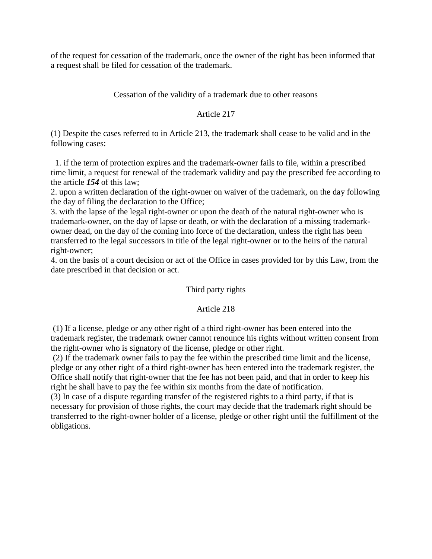of the request for cessation of the trademark, once the owner of the right has been informed that a request shall be filed for cessation of the trademark.

# Cessation of the validity of a trademark due to other reasons

# Article 217

(1) Despite the cases referred to in Article 213, the trademark shall cease to be valid and in the following cases:

 1. if the term of protection expires and the trademark-owner fails to file, within a prescribed time limit, a request for renewal of the trademark validity and pay the prescribed fee according to the article *154* of this law;

2. upon a written declaration of the right-owner on waiver of the trademark, on the day following the day of filing the declaration to the Office;

3. with the lapse of the legal right-owner or upon the death of the natural right-owner who is trademark-owner, on the day of lapse or death, or with the declaration of a missing trademarkowner dead, on the day of the coming into force of the declaration, unless the right has been transferred to the legal successors in title of the legal right-owner or to the heirs of the natural right-owner;

4. on the basis of a court decision or act of the Office in cases provided for by this Law, from the date prescribed in that decision or act.

# Third party rights

# Article 218

(1) If a license, pledge or any other right of a third right-owner has been entered into the trademark register, the trademark owner cannot renounce his rights without written consent from the right-owner who is signatory of the license, pledge or other right.

(2) If the trademark owner fails to pay the fee within the prescribed time limit and the license, pledge or any other right of a third right-owner has been entered into the trademark register, the Office shall notify that right-owner that the fee has not been paid, and that in order to keep his right he shall have to pay the fee within six months from the date of notification.

(3) In case of a dispute regarding transfer of the registered rights to a third party, if that is necessary for provision of those rights, the court may decide that the trademark right should be transferred to the right-owner holder of a license, pledge or other right until the fulfillment of the obligations.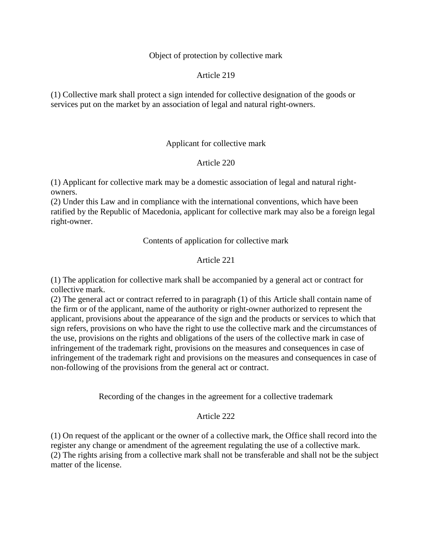#### Object of protection by collective mark

#### Article 219

(1) Collective mark shall protect a sign intended for collective designation of the goods or services put on the market by an association of legal and natural right-owners.

#### Applicant for collective mark

#### Article 220

(1) Applicant for collective mark may be a domestic association of legal and natural rightowners.

(2) Under this Law and in compliance with the international conventions, which have been ratified by the Republic of Macedonia, applicant for collective mark may also be a foreign legal right-owner.

#### Contents of application for collective mark

## Article 221

(1) The application for collective mark shall be accompanied by a general act or contract for collective mark.

(2) The general act or contract referred to in paragraph (1) of this Article shall contain name of the firm or of the applicant, name of the authority or right-owner authorized to represent the applicant, provisions about the appearance of the sign and the products or services to which that sign refers, provisions on who have the right to use the collective mark and the circumstances of the use, provisions on the rights and obligations of the users of the collective mark in case of infringement of the trademark right, provisions on the measures and consequences in case of infringement of the trademark right and provisions on the measures and consequences in case of non-following of the provisions from the general act or contract.

Recording of the changes in the agreement for a collective trademark

#### Article 222

(1) On request of the applicant or the owner of a collective mark, the Office shall record into the register any change or amendment of the agreement regulating the use of a collective mark. (2) The rights arising from a collective mark shall not be transferable and shall not be the subject matter of the license.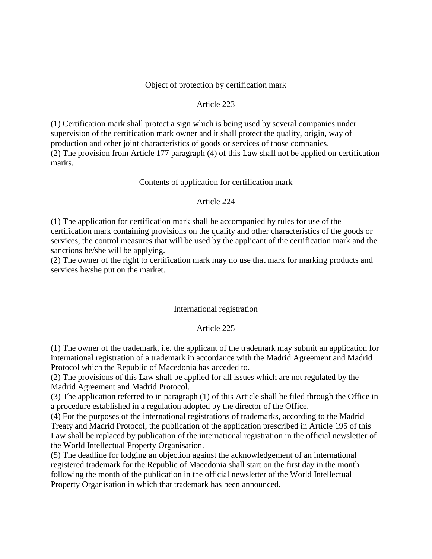#### Object of protection by certification mark

#### Article 223

(1) Certification mark shall protect a sign which is being used by several companies under supervision of the certification mark owner and it shall protect the quality, origin, way of production and other joint characteristics of goods or services of those companies. (2) The provision from Article 177 paragraph (4) of this Law shall not be applied on certification marks.

#### Contents of application for certification mark

#### Article 224

(1) The application for certification mark shall be accompanied by rules for use of the certification mark containing provisions on the quality and other characteristics of the goods or services, the control measures that will be used by the applicant of the certification mark and the sanctions he/she will be applying.

(2) The owner of the right to certification mark may no use that mark for marking products and services he/she put on the market.

#### International registration

#### Article 225

(1) The owner of the trademark, i.e. the applicant of the trademark may submit an application for international registration of a trademark in accordance with the Madrid Agreement and Madrid Protocol which the Republic of Macedonia has acceded to.

(2) The provisions of this Law shall be applied for all issues which are not regulated by the Madrid Agreement and Madrid Protocol.

(3) The application referred to in paragraph (1) of this Article shall be filed through the Office in a procedure established in a regulation adopted by the director of the Office.

(4) For the purposes of the international registrations of trademarks, according to the Madrid Treaty and Madrid Protocol, the publication of the application prescribed in Article 195 of this Law shall be replaced by publication of the international registration in the official newsletter of the World Intellectual Property Organisation.

(5) The deadline for lodging an objection against the acknowledgement of an international registered trademark for the Republic of Macedonia shall start on the first day in the month following the month of the publication in the official newsletter of the World Intellectual Property Organisation in which that trademark has been announced.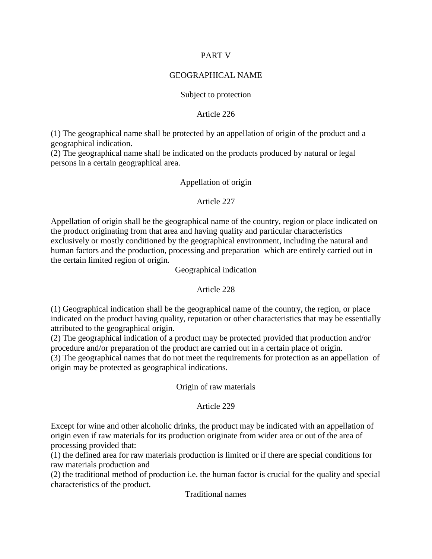## PART V

## GEOGRAPHICAL NAME

## Subject to protection

## Article 226

(1) The geographical name shall be protected by an appellation of origin of the product and a geographical indication.

(2) The geographical name shall be indicated on the products produced by natural or legal persons in a certain geographical area.

## Appellation of origin

## Article 227

Appellation of origin shall be the geographical name of the country, region or place indicated on the product originating from that area and having quality and particular characteristics exclusively or mostly conditioned by the geographical environment, including the natural and human factors and the production, processing and preparation which are entirely carried out in the certain limited region of origin.

Geographical indication

## Article 228

(1) Geographical indication shall be the geographical name of the country, the region, or place indicated on the product having quality, reputation or other characteristics that may be essentially attributed to the geographical origin.

(2) The geographical indication of a product may be protected provided that production and/or procedure and/or preparation of the product are carried out in a certain place of origin.

(3) The geographical names that do not meet the requirements for protection as an appellation of origin may be protected as geographical indications.

## Origin of raw materials

## Article 229

Except for wine and other alcoholic drinks, the product may be indicated with an appellation of origin even if raw materials for its production originate from wider area or out of the area of processing provided that:

(1) the defined area for raw materials production is limited or if there are special conditions for raw materials production and

(2) the traditional method of production i.e. the human factor is crucial for the quality and special characteristics of the product.

Traditional names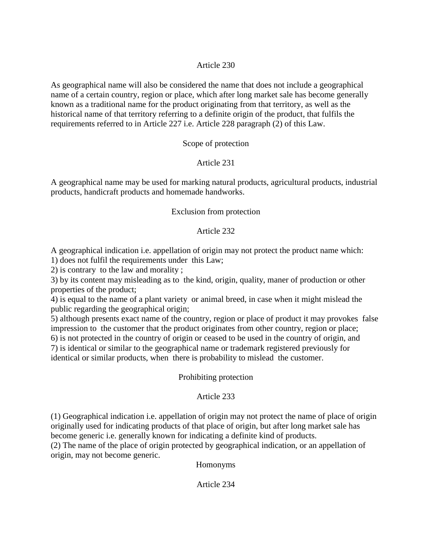## Article 230

As geographical name will also be considered the name that does not include a geographical name of a certain country, region or place, which after long market sale has become generally known as a traditional name for the product originating from that territory, as well as the historical name of that territory referring to a definite origin of the product, that fulfils the requirements referred to in Article 227 i.e. Article 228 paragraph (2) of this Law.

## Scope of protection

## Article 231

A geographical name may be used for marking natural products, agricultural products, industrial products, handicraft products and homemade handworks.

#### Exclusion from protection

#### Article 232

A geographical indication i.e. appellation of origin may not protect the product name which:

1) does not fulfil the requirements under this Law;

2) is contrary to the law and morality ;

3) by its content may misleading as to the kind, origin, quality, maner of production or other properties of the product;

4) is equal to the name of a plant variety or animal breed, in case when it might mislead the public regarding the geographical origin;

5) although presents exact name of the country, region or place of product it may provokes false impression to the customer that the product originates from other country, region or place; 6) is not protected in the country of origin or ceased to be used in the country of origin, and 7) is identical or similar to the geographical name or trademark registered previously for

identical or similar products, when there is probability to mislead the customer.

#### Prohibiting protection

## Article 233

(1) Geographical indication i.e. appellation of origin may not protect the name of place of origin originally used for indicating products of that place of origin, but after long market sale has become generic i.e. generally known for indicating a definite kind of products.

(2) The name of the place of origin protected by geographical indication, or an appellation of origin, may not become generic.

Homonyms

Article 234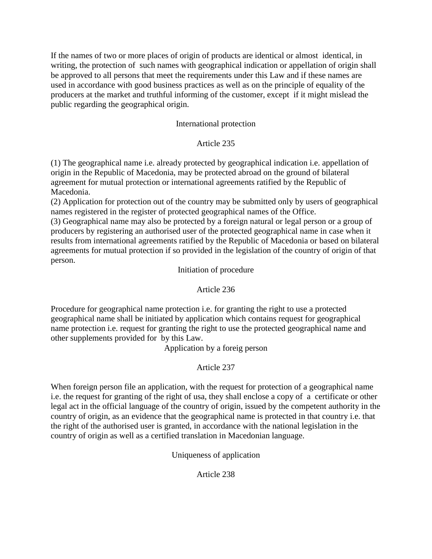If the names of two or more places of origin of products are identical or almost identical, in writing, the protection of such names with geographical indication or appellation of origin shall be approved to all persons that meet the requirements under this Law and if these names are used in accordance with good business practices as well as on the principle of equality of the producers at the market and truthful informing of the customer, except if it might mislead the public regarding the geographical origin.

# International protection

# Article 235

(1) The geographical name i.e. already protected by geographical indication i.e. appellation of origin in the Republic of Macedonia, may be protected abroad on the ground of bilateral agreement for mutual protection or international agreements ratified by the Republic of Macedonia.

(2) Application for protection out of the country may be submitted only by users of geographical names registered in the register of protected geographical names of the Office.

(3) Geographical name may also be protected by a foreign natural or legal person or a group of producers by registering an authorised user of the protected geographical name in case when it results from international agreements ratified by the Republic of Macedonia or based on bilateral agreements for mutual protection if so provided in the legislation of the country of origin of that person.

## Initiation of procedure

# Article 236

Procedure for geographical name protection i.e. for granting the right to use a protected geographical name shall be initiated by application which contains request for geographical name protection i.e. request for granting the right to use the protected geographical name and other supplements provided for by this Law.

Application by a foreig person

# Article 237

When foreign person file an application, with the request for protection of a geographical name i.e. the request for granting of the right of usa, they shall enclose a copy of a certificate or other legal act in the official language of the country of origin, issued by the competent authority in the country of origin, as an evidence that the geographical name is protected in that country i.e. that the right of the authorised user is granted, in accordance with the national legislation in the country of origin as well as a certified translation in Macedonian language.

Uniqueness of application

Article 238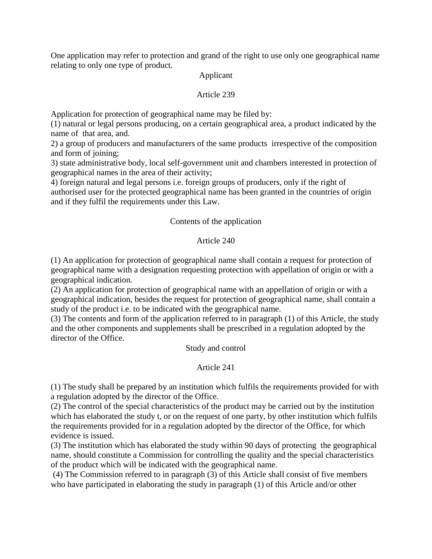One application may refer to protection and grand of the right to use only one geographical name relating to only one type of product.

## Applicant

## Article 239

Application for protection of geographical name may be filed by:

(1) natural or legal persons producing, on a certain geographical area, a product indicated by the name of that area, and.

2) a group of producers and manufacturers of the same products irrespective of the composition and form of joining;

3) state administrative body, local self-government unit and chambers interested in protection of geographical names in the area of their activity;

4) foreign natural and legal persons i.e. foreign groups of producers, only if the right of authorised user for the protected geographical name has been granted in the countries of origin and if they fulfil the requirements under this Law.

# Contents of the application

## Article 240

(1) An application for protection of geographical name shall contain a request for protection of geographical name with a designation requesting protection with appellation of origin or with a geographical indication.

(2) An application for protection of geographical name with an appellation of origin or with a geographical indication, besides the request for protection of geographical name, shall contain a study of the product i.e. to be indicated with the geographical name.

(3) The contents and form of the application referred to in paragraph (1) of this Article, the study and the other components and supplements shall be prescribed in a regulation adopted by the director of the Office.

Study and control

# Article 241

(1) The study shall be prepared by an institution which fulfils the requirements provided for with a regulation adopted by the director of the Office.

(2) The control of the special characteristics of the product may be carried out by the institution which has elaborated the study t, or on the request of one party, by other institution which fulfils the requirements provided for in a regulation adopted by the director of the Office, for which evidence is issued.

(3) The institution which has elaborated the study within 90 days of protecting the geographical name, should constitute a Commission for controlling the quality and the special characteristics of the product which will be indicated with the geographical name.

(4) The Commission referred to in paragraph (3) of this Article shall consist of five members who have participated in elaborating the study in paragraph (1) of this Article and/or other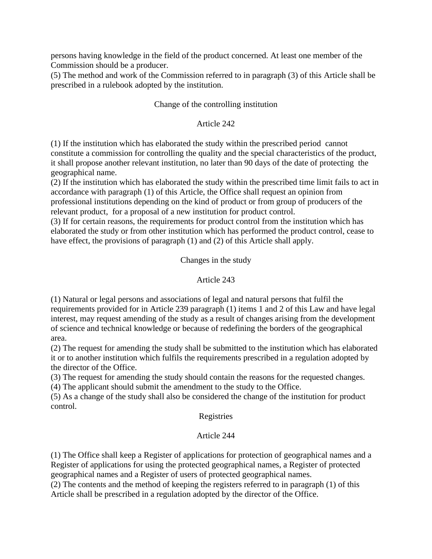persons having knowledge in the field of the product concerned. At least one member of the Commission should be a producer.

(5) The method and work of the Commission referred to in paragraph (3) of this Article shall be prescribed in a rulebook adopted by the institution.

# Change of the controlling institution

## Article 242

(1) If the institution which has elaborated the study within the prescribed period cannot constitute a commission for controlling the quality and the special characteristics of the product, it shall propose another relevant institution, no later than 90 days of the date of protecting the geographical name.

(2) If the institution which has elaborated the study within the prescribed time limit fails to act in accordance with paragraph (1) of this Article, the Office shall request an opinion from professional institutions depending on the kind of product or from group of producers of the relevant product, for a proposal of a new institution for product control.

(3) If for certain reasons, the requirements for product control from the institution which has elaborated the study or from other institution which has performed the product control, cease to have effect, the provisions of paragraph (1) and (2) of this Article shall apply.

## Changes in the study

## Article 243

(1) Natural or legal persons and associations of legal and natural persons that fulfil the requirements provided for in Article 239 paragraph (1) items 1 and 2 of this Law and have legal interest, may request amending of the study as a result of changes arising from the development of science and technical knowledge or because of redefining the borders of the geographical area.

(2) The request for amending the study shall be submitted to the institution which has elaborated it or to another institution which fulfils the requirements prescribed in a regulation adopted by the director of the Office.

(3) The request for amending the study should contain the reasons for the requested changes.

(4) The applicant should submit the amendment to the study to the Office.

(5) As a change of the study shall also be considered the change of the institution for product control.

## Registries

# Article 244

(1) The Office shall keep a Register of applications for protection of geographical names and a Register of applications for using the protected geographical names, a Register of protected geographical names and a Register of users of protected geographical names.

(2) The contents and the method of keeping the registers referred to in paragraph (1) of this Article shall be prescribed in a regulation adopted by the director of the Office.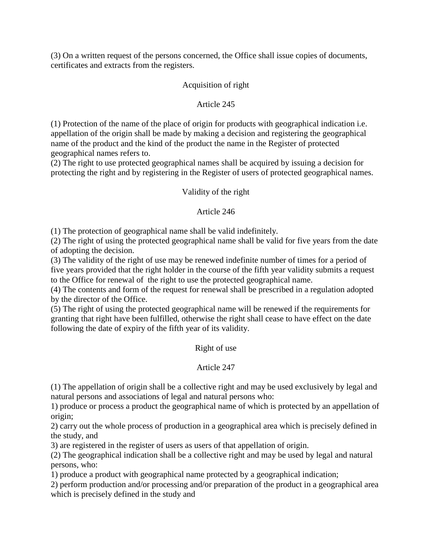(3) On a written request of the persons concerned, the Office shall issue copies of documents, certificates and extracts from the registers.

## Acquisition of right

## Article 245

(1) Protection of the name of the place of origin for products with geographical indication i.e. appellation of the origin shall be made by making a decision and registering the geographical name of the product and the kind of the product the name in the Register of protected geographical names refers to.

(2) The right to use protected geographical names shall be acquired by issuing a decision for protecting the right and by registering in the Register of users of protected geographical names.

## Validity of the right

## Article 246

(1) The protection of geographical name shall be valid indefinitely.

(2) The right of using the protected geographical name shall be valid for five years from the date of adopting the decision.

(3) The validity of the right of use may be renewed indefinite number of times for a period of five years provided that the right holder in the course of the fifth year validity submits a request to the Office for renewal of the right to use the protected geographical name.

(4) The contents and form of the request for renewal shall be prescribed in a regulation adopted by the director of the Office.

(5) The right of using the protected geographical name will be renewed if the requirements for granting that right have been fulfilled, otherwise the right shall cease to have effect on the date following the date of expiry of the fifth year of its validity.

# Right of use

# Article 247

(1) The appellation of origin shall be a collective right and may be used exclusively by legal and natural persons and associations of legal and natural persons who:

1) produce or process a product the geographical name of which is protected by an appellation of origin;

2) carry out the whole process of production in a geographical area which is precisely defined in the study, and

3) are registered in the register of users as users of that appellation of origin.

(2) The geographical indication shall be a collective right and may be used by legal and natural persons, who:

1) produce a product with geographical name protected by a geographical indication;

2) perform production and/or processing and/or preparation of the product in a geographical area which is precisely defined in the study and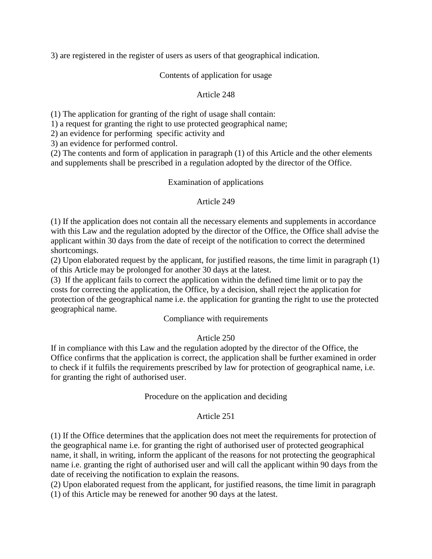3) are registered in the register of users as users of that geographical indication.

## Contents of application for usage

## Article 248

(1) The application for granting of the right of usage shall contain:

1) a request for granting the right to use protected geographical name;

2) an evidence for performing specific activity and

3) an evidence for performed control.

(2) The contents and form of application in paragraph (1) of this Article and the other elements and supplements shall be prescribed in a regulation adopted by the director of the Office.

## Examination of applications

## Article 249

(1) If the application does not contain all the necessary elements and supplements in accordance with this Law and the regulation adopted by the director of the Office, the Office shall advise the applicant within 30 days from the date of receipt of the notification to correct the determined shortcomings.

(2) Upon elaborated request by the applicant, for justified reasons, the time limit in paragraph (1) of this Article may be prolonged for another 30 days at the latest.

(3) If the applicant fails to correct the application within the defined time limit or to pay the costs for correcting the application, the Office, by a decision, shall reject the application for protection of the geographical name i.e. the application for granting the right to use the protected geographical name.

## Compliance with requirements

# Article 250

If in compliance with this Law and the regulation adopted by the director of the Office, the Office confirms that the application is correct, the application shall be further examined in order to check if it fulfils the requirements prescribed by law for protection of geographical name, i.e. for granting the right of authorised user.

## Procedure on the application and deciding

## Article 251

(1) If the Office determines that the application does not meet the requirements for protection of the geographical name i.e. for granting the right of authorised user of protected geographical name, it shall, in writing, inform the applicant of the reasons for not protecting the geographical name i.e. granting the right of authorised user and will call the applicant within 90 days from the date of receiving the notification to explain the reasons.

(2) Upon elaborated request from the applicant, for justified reasons, the time limit in paragraph (1) of this Article may be renewed for another 90 days at the latest.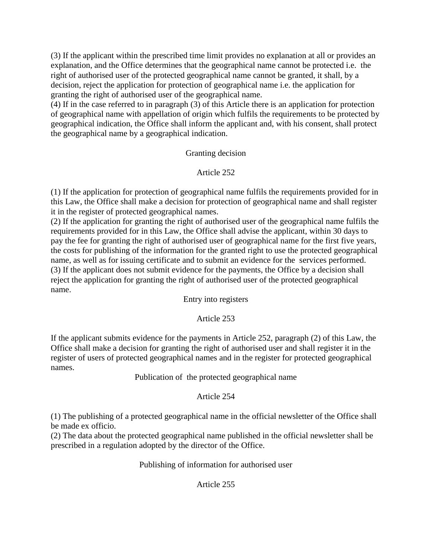(3) If the applicant within the prescribed time limit provides no explanation at all or provides an explanation, and the Office determines that the geographical name cannot be protected i.e. the right of authorised user of the protected geographical name cannot be granted, it shall, by a decision, reject the application for protection of geographical name i.e. the application for granting the right of authorised user of the geographical name.

(4) If in the case referred to in paragraph (3) of this Article there is an application for protection of geographical name with appellation of origin which fulfils the requirements to be protected by geographical indication, the Office shall inform the applicant and, with his consent, shall protect the geographical name by a geographical indication.

## Granting decision

## Article 252

(1) If the application for protection of geographical name fulfils the requirements provided for in this Law, the Office shall make a decision for protection of geographical name and shall register it in the register of protected geographical names.

(2) If the application for granting the right of authorised user of the geographical name fulfils the requirements provided for in this Law, the Office shall advise the applicant, within 30 days to pay the fee for granting the right of authorised user of geographical name for the first five years, the costs for publishing of the information for the granted right to use the protected geographical name, as well as for issuing certificate and to submit an evidence for the services performed. (3) If the applicant does not submit evidence for the payments, the Office by a decision shall reject the application for granting the right of authorised user of the protected geographical name.

Entry into registers

# Article 253

If the applicant submits evidence for the payments in Article 252, paragraph (2) of this Law, the Office shall make a decision for granting the right of authorised user and shall register it in the register of users of protected geographical names and in the register for protected geographical names.

Publication of the protected geographical name

## Article 254

(1) The publishing of a protected geographical name in the official newsletter of the Office shall be made ex officio.

(2) The data about the protected geographical name published in the official newsletter shall be prescribed in a regulation adopted by the director of the Office.

Publishing of information for authorised user

# Article 255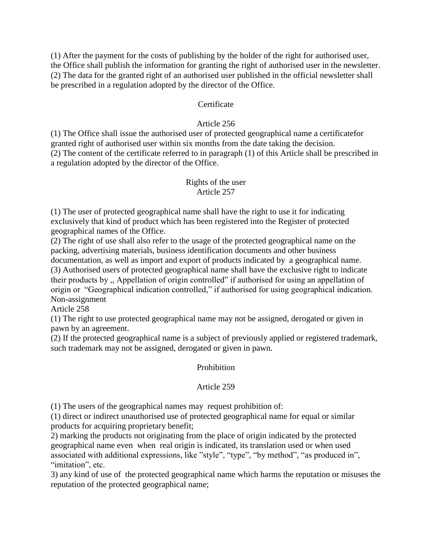(1) After the payment for the costs of publishing by the holder of the right for authorised user, the Office shall publish the information for granting the right of authorised user in the newsletter. (2) The data for the granted right of an authorised user published in the official newsletter shall be prescribed in a regulation adopted by the director of the Office.

## **Certificate**

## Article 256

(1) The Office shall issue the authorised user of protected geographical name a certificatefor granted right of authorised user within six months from the date taking the decision. (2) The content of the certificate referred to in paragraph (1) of this Article shall be prescribed in a regulation adopted by the director of the Office.

#### Rights of the user Article 257

(1) The user of protected geographical name shall have the right to use it for indicating exclusively that kind of product which has been registered into the Register of protected geographical names of the Office.

(2) The right of use shall also refer to the usage of the protected geographical name on the packing, advertising materials, business identification documents and other business documentation, as well as import and export of products indicated by a geographical name. (3) Authorised users of protected geographical name shall have the exclusive right to indicate their products by ,, Appellation of origin controlled" if authorised for using an appellation of origin or "Geographical indication controlled," if authorised for using geographical indication. Non-assignment

Article 258

(1) The right to use protected geographical name may not be assigned, derogated or given in pawn by an agreement.

(2) If the protected geographical name is a subject of previously applied or registered trademark, such trademark may not be assigned, derogated or given in pawn.

# Prohibition

# Article 259

(1) The users of the geographical names may request prohibition of:

(1) direct or indirect unauthorised use of protected geographical name for equal or similar products for acquiring proprietary benefit;

2) marking the products not originating from the place of origin indicated by the protected geographical name even when real origin is indicated, its translation used or when used associated with additional expressions, like "style", "type", "by method", "as produced in", "imitation", etc.

3) any kind of use of the protected geographical name which harms the reputation or misuses the reputation of the protected geographical name;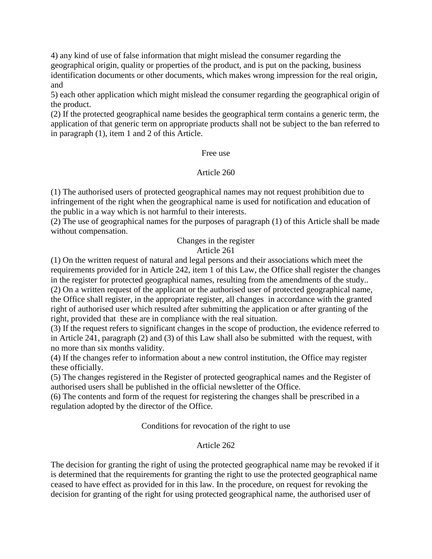4) any kind of use of false information that might mislead the consumer regarding the geographical origin, quality or properties of the product, and is put on the packing, business identification documents or other documents, which makes wrong impression for the real origin, and

5) each other application which might mislead the consumer regarding the geographical origin of the product.

(2) If the protected geographical name besides the geographical term contains a generic term, the application of that generic term on appropriate products shall not be subject to the ban referred to in paragraph (1), item 1 and 2 of this Article.

#### Free use

## Article 260

(1) The authorised users of protected geographical names may not request prohibition due to infringement of the right when the geographical name is used for notification and education of the public in a way which is not harmful to their interests.

(2) The use of geographical names for the purposes of paragraph (1) of this Article shall be made without compensation.

> Changes in the register Article 261

(1) On the written request of natural and legal persons and their associations which meet the requirements provided for in Article 242, item 1 of this Law, the Office shall register the changes in the register for protected geographical names, resulting from the amendments of the study.. (2) On a written request of the applicant or the authorised user of protected geographical name, the Office shall register, in the appropriate register, all changes in accordance with the granted right of authorised user which resulted after submitting the application or after granting of the right, provided that these are in compliance with the real situation.

(3) If the request refers to significant changes in the scope of production, the evidence referred to in Article 241, paragraph (2) and (3) of this Law shall also be submitted with the request, with no more than six months validity.

(4) If the changes refer to information about a new control institution, the Office may register these officially.

(5) The changes registered in the Register of protected geographical names and the Register of authorised users shall be published in the official newsletter of the Office.

(6) The contents and form of the request for registering the changes shall be prescribed in a regulation adopted by the director of the Office.

Conditions for revocation of the right to use

## Article 262

The decision for granting the right of using the protected geographical name may be revoked if it is determined that the requirements for granting the right to use the protected geographical name ceased to have effect as provided for in this law. In the procedure, on request for revoking the decision for granting of the right for using protected geographical name, the authorised user of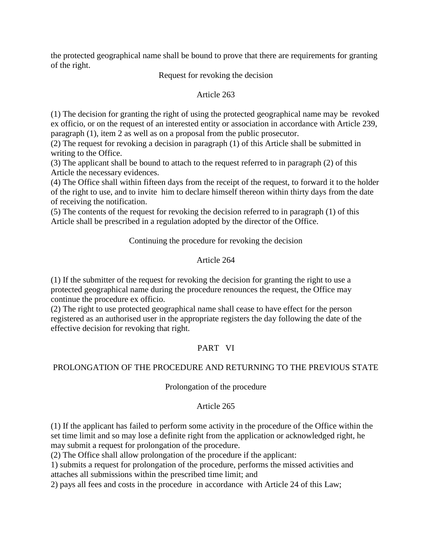the protected geographical name shall be bound to prove that there are requirements for granting of the right.

Request for revoking the decision

Article 263

(1) The decision for granting the right of using the protected geographical name may be revoked ex officio, or on the request of an interested entity or association in accordance with Article 239, paragraph (1), item 2 as well as on a proposal from the public prosecutor.

(2) The request for revoking a decision in paragraph (1) of this Article shall be submitted in writing to the Office.

(3) The applicant shall be bound to attach to the request referred to in paragraph (2) of this Article the necessary evidences.

(4) The Office shall within fifteen days from the receipt of the request, to forward it to the holder of the right to use, and to invite him to declare himself thereon within thirty days from the date of receiving the notification.

(5) The contents of the request for revoking the decision referred to in paragraph (1) of this Article shall be prescribed in a regulation adopted by the director of the Office.

Continuing the procedure for revoking the decision

# Article 264

(1) If the submitter of the request for revoking the decision for granting the right to use a protected geographical name during the procedure renounces the request, the Office may continue the procedure ex officio.

(2) The right to use protected geographical name shall cease to have effect for the person registered as an authorised user in the appropriate registers the day following the date of the effective decision for revoking that right.

# PART VI

# PROLONGATION OF THE PROCEDURE AND RETURNING TO THE PREVIOUS STATE

# Prolongation of the procedure

# Article 265

(1) If the applicant has failed to perform some activity in the procedure of the Office within the set time limit and so may lose a definite right from the application or acknowledged right, he may submit a request for prolongation of the procedure.

(2) The Office shall allow prolongation of the procedure if the applicant:

1) submits a request for prolongation of the procedure, performs the missed activities and attaches all submissions within the prescribed time limit; and

2) pays all fees and costs in the procedure in accordance with Article 24 of this Law;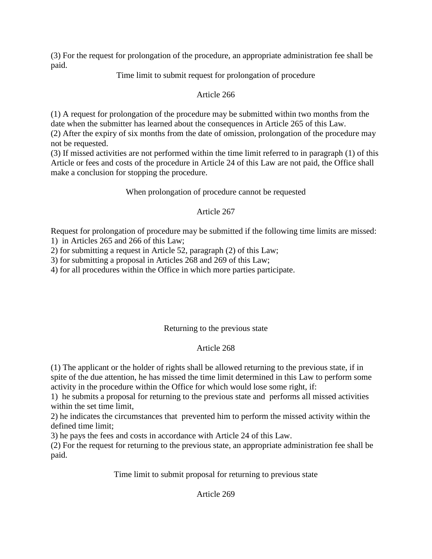(3) For the request for prolongation of the procedure, an appropriate administration fee shall be paid.

Time limit to submit request for prolongation of procedure

# Article 266

(1) A request for prolongation of the procedure may be submitted within two months from the date when the submitter has learned about the consequences in Article 265 of this Law.

(2) After the expiry of six months from the date of omission, prolongation of the procedure may not be requested.

(3) If missed activities are not performed within the time limit referred to in paragraph (1) of this Article or fees and costs of the procedure in Article 24 of this Law are not paid, the Office shall make a conclusion for stopping the procedure.

# When prolongation of procedure cannot be requested

# Article 267

Request for prolongation of procedure may be submitted if the following time limits are missed: 1) in Articles 265 and 266 of this Law;

2) for submitting a request in Article 52, paragraph (2) of this Law;

3) for submitting a proposal in Articles 268 and 269 of this Law;

4) for all procedures within the Office in which more parties participate.

# Returning to the previous state

# Article 268

(1) The applicant or the holder of rights shall be allowed returning to the previous state, if in spite of the due attention, he has missed the time limit determined in this Law to perform some activity in the procedure within the Office for which would lose some right, if:

1) he submits a proposal for returning to the previous state and performs all missed activities within the set time limit,

2) he indicates the circumstances that prevented him to perform the missed activity within the defined time limit;

3) he pays the fees and costs in accordance with Article 24 of this Law.

(2) For the request for returning to the previous state, an appropriate administration fee shall be paid.

Time limit to submit proposal for returning to previous state

# Article 269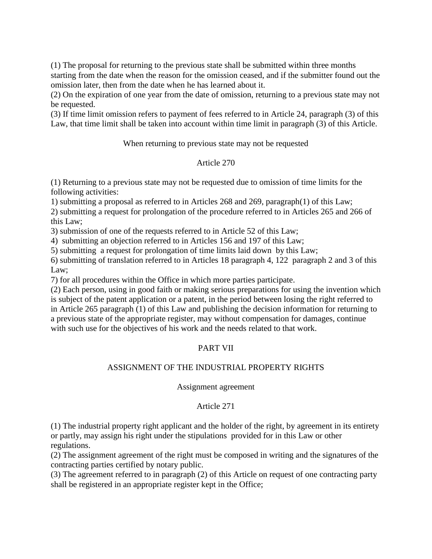(1) The proposal for returning to the previous state shall be submitted within three months starting from the date when the reason for the omission ceased, and if the submitter found out the omission later, then from the date when he has learned about it.

(2) On the expiration of one year from the date of omission, returning to a previous state may not be requested.

(3) If time limit omission refers to payment of fees referred to in Article 24, paragraph (3) of this Law, that time limit shall be taken into account within time limit in paragraph (3) of this Article.

When returning to previous state may not be requested

## Article 270

(1) Returning to a previous state may not be requested due to omission of time limits for the following activities:

1) submitting a proposal as referred to in Articles 268 and 269, paragraph(1) of this Law;

2) submitting a request for prolongation of the procedure referred to in Articles 265 and 266 of this Law;

3) submission of one of the requests referred to in Article 52 of this Law;

4) submitting an objection referred to in Articles 156 and 197 of this Law;

5) submitting a request for prolongation of time limits laid down by this Law;

6) submitting of translation referred to in Articles 18 paragraph 4, 122 paragraph 2 and 3 of this Law;

7) for all procedures within the Office in which more parties participate.

(2) Each person, using in good faith or making serious preparations for using the invention which is subject of the patent application or a patent, in the period between losing the right referred to in Article 265 paragraph (1) of this Law and publishing the decision information for returning to a previous state of the appropriate register, may without compensation for damages, continue with such use for the objectives of his work and the needs related to that work.

# PART VII

# ASSIGNMENT OF THE INDUSTRIAL PROPERTY RIGHTS

## Assignment agreement

## Article 271

(1) The industrial property right applicant and the holder of the right, by agreement in its entirety or partly, may assign his right under the stipulations provided for in this Law or other regulations.

(2) The assignment agreement of the right must be composed in writing and the signatures of the contracting parties certified by notary public.

(3) The agreement referred to in paragraph (2) of this Article on request of one contracting party shall be registered in an appropriate register kept in the Office;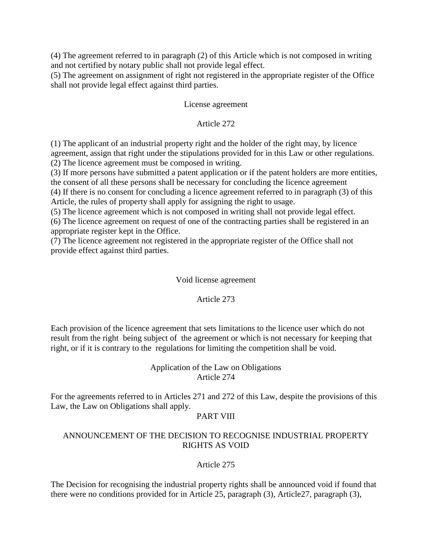(4) The agreement referred to in paragraph (2) of this Article which is not composed in writing and not certified by notary public shall not provide legal effect.

(5) The agreement on assignment of right not registered in the appropriate register of the Office shall not provide legal effect against third parties.

## License agreement

## Article 272

(1) The applicant of an industrial property right and the holder of the right may, by licence agreement, assign that right under the stipulations provided for in this Law or other regulations. (2) The licence agreement must be composed in writing.

(3) If more persons have submitted a patent application or if the patent holders are more entities, the consent of all these persons shall be necessary for concluding the licence agreement

(4) If there is no consent for concluding a licence agreement referred to in paragraph (3) of this Article, the rules of property shall apply for assigning the right to usage.

(5) The licence agreement which is not composed in writing shall not provide legal effect.

(6) The licence agreement on request of one of the contracting parties shall be registered in an appropriate register kept in the Office.

(7) The licence agreement not registered in the appropriate register of the Office shall not provide effect against third parties.

## Void license agreement

# Article 273

Each provision of the licence agreement that sets limitations to the licence user which do not result from the right being subject of the agreement or which is not necessary for keeping that right, or if it is contrary to the regulations for limiting the competition shall be void.

## Application of the Law on Obligations Article 274

For the agreements referred to in Articles 271 and 272 of this Law, despite the provisions of this Law, the Law on Obligations shall apply.

## PART VIII

## ANNOUNCEMENT OF THE DECISION TO RECOGNISE INDUSTRIAL PROPERTY RIGHTS AS VOID

# Article 275

The Decision for recognising the industrial property rights shall be announced void if found that there were no conditions provided for in Article 25, paragraph (3), Article27, paragraph (3),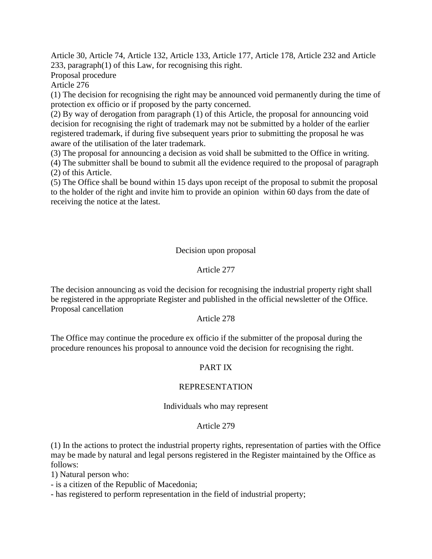Article 30, Article 74, Article 132, Article 133, Article 177, Article 178, Article 232 and Article 233, paragraph(1) of this Law, for recognising this right.

Proposal procedure

Article 276

(1) The decision for recognising the right may be announced void permanently during the time of protection ex officio or if proposed by the party concerned.

(2) By way of derogation from paragraph (1) of this Article, the proposal for announcing void decision for recognising the right of trademark may not be submitted by a holder of the earlier registered trademark, if during five subsequent years prior to submitting the proposal he was aware of the utilisation of the later trademark.

(3) The proposal for announcing a decision as void shall be submitted to the Office in writing.

(4) The submitter shall be bound to submit all the evidence required to the proposal of paragraph (2) of this Article.

(5) The Office shall be bound within 15 days upon receipt of the proposal to submit the proposal to the holder of the right and invite him to provide an opinion within 60 days from the date of receiving the notice at the latest.

# Decision upon proposal

## Article 277

The decision announcing as void the decision for recognising the industrial property right shall be registered in the appropriate Register and published in the official newsletter of the Office. Proposal cancellation

## Article 278

The Office may continue the procedure ex officio if the submitter of the proposal during the procedure renounces his proposal to announce void the decision for recognising the right.

# PART IX

## REPRESENTATION

Individuals who may represent

## Article 279

(1) In the actions to protect the industrial property rights, representation of parties with the Office may be made by natural and legal persons registered in the Register maintained by the Office as follows:

1) Natural person who:

- is a citizen of the Republic of Macedonia;

- has registered to perform representation in the field of industrial property;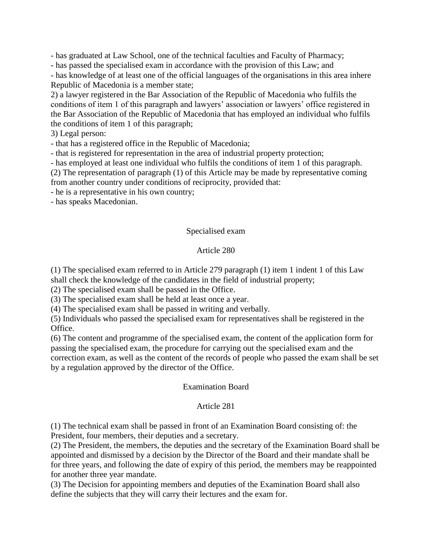- has graduated at Law School, one of the technical faculties and Faculty of Pharmacy;

- has passed the specialised exam in accordance with the provision of this Law; and

- has knowledge of at least one of the official languages of the organisations in this area inhere Republic of Macedonia is a member state;

2) a lawyer registered in the Bar Association of the Republic of Macedonia who fulfils the conditions of item 1 of this paragraph and lawyers' association or lawyers' office registered in the Bar Association of the Republic of Macedonia that has employed an individual who fulfils the conditions of item 1 of this paragraph;

3) Legal person:

- that has a registered office in the Republic of Macedonia;

- that is registered for representation in the area of industrial property protection;

- has employed at least one individual who fulfils the conditions of item 1 of this paragraph.

(2) The representation of paragraph (1) of this Article may be made by representative coming

from another country under conditions of reciprocity, provided that:

- he is a representative in his own country;

- has speaks Macedonian.

## Specialised exam

## Article 280

(1) The specialised exam referred to in Article 279 paragraph (1) item 1 indent 1 of this Law shall check the knowledge of the candidates in the field of industrial property;

(2) The specialised exam shall be passed in the Office.

(3) The specialised exam shall be held at least once a year.

(4) The specialised exam shall be passed in writing and verbally.

(5) Individuals who passed the specialised exam for representatives shall be registered in the Office.

(6) The content and programme of the specialised exam, the content of the application form for passing the specialised exam, the procedure for carrying out the specialised exam and the correction exam, as well as the content of the records of people who passed the exam shall be set by a regulation approved by the director of the Office.

## Examination Board

## Article 281

(1) The technical exam shall be passed in front of an Examination Board consisting of: the President, four members, their deputies and a secretary.

(2) The President, the members, the deputies and the secretary of the Examination Board shall be appointed and dismissed by a decision by the Director of the Board and their mandate shall be for three years, and following the date of expiry of this period, the members may be reappointed for another three year mandate.

(3) The Decision for appointing members and deputies of the Examination Board shall also define the subjects that they will carry their lectures and the exam for.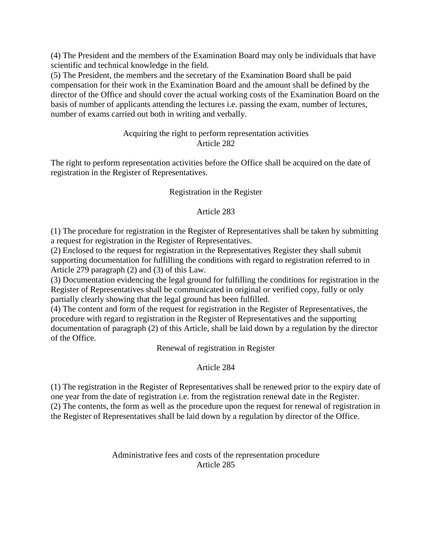(4) The President and the members of the Examination Board may only be individuals that have scientific and technical knowledge in the field.

(5) The President, the members and the secretary of the Examination Board shall be paid compensation for their work in the Examination Board and the amount shall be defined by the director of the Office and should cover the actual working costs of the Examination Board on the basis of number of applicants attending the lectures i.e. passing the exam, number of lectures, number of exams carried out both in writing and verbally.

# Acquiring the right to perform representation activities Article 282

The right to perform representation activities before the Office shall be acquired on the date of registration in the Register of Representatives.

# Registration in the Register

# Article 283

(1) The procedure for registration in the Register of Representatives shall be taken by submitting a request for registration in the Register of Representatives.

(2) Enclosed to the request for registration in the Representatives Register they shall submit supporting documentation for fulfilling the conditions with regard to registration referred to in Article 279 paragraph (2) and (3) of this Law.

(3) Documentation evidencing the legal ground for fulfilling the conditions for registration in the Register of Representatives shall be communicated in original or verified copy, fully or only partially clearly showing that the legal ground has been fulfilled.

(4) The content and form of the request for registration in the Register of Representatives, the procedure with regard to registration in the Register of Representatives and the supporting documentation of paragraph (2) of this Article, shall be laid down by a regulation by the director of the Office.

Renewal of registration in Register

# Article 284

(1) The registration in the Register of Representatives shall be renewed prior to the expiry date of one year from the date of registration i.e. from the registration renewal date in the Register. (2) The contents, the form as well as the procedure upon the request for renewal of registration in the Register of Representatives shall be laid down by a regulation by director of the Office.

> Administrative fees and costs of the representation procedure Article 285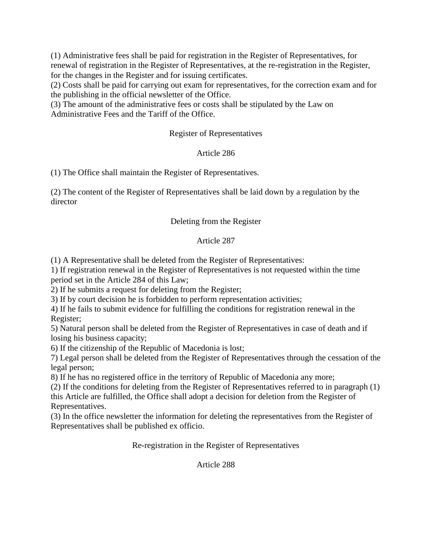(1) Administrative fees shall be paid for registration in the Register of Representatives, for renewal of registration in the Register of Representatives, at the re-registration in the Register, for the changes in the Register and for issuing certificates.

(2) Costs shall be paid for carrying out exam for representatives, for the correction exam and for the publishing in the official newsletter of the Office.

(3) The amount of the administrative fees or costs shall be stipulated by the Law on Administrative Fees and the Tariff of the Office.

# Register of Representatives

# Article 286

(1) The Office shall maintain the Register of Representatives.

(2) The content of the Register of Representatives shall be laid down by a regulation by the director

# Deleting from the Register

# Article 287

(1) A Representative shall be deleted from the Register of Representatives:

1) If registration renewal in the Register of Representatives is not requested within the time period set in the Article 284 of this Law;

2) If he submits a request for deleting from the Register;

3) If by court decision he is forbidden to perform representation activities;

4) If he fails to submit evidence for fulfilling the conditions for registration renewal in the Register;

5) Natural person shall be deleted from the Register of Representatives in case of death and if losing his business capacity;

6) If the citizenship of the Republic of Macedonia is lost;

7) Legal person shall be deleted from the Register of Representatives through the cessation of the legal person;

8) If he has no registered office in the territory of Republic of Macedonia any more;

(2) If the conditions for deleting from the Register of Representatives referred to in paragraph (1) this Article are fulfilled, the Office shall adopt a decision for deletion from the Register of

Representatives.

(3) In the office newsletter the information for deleting the representatives from the Register of Representatives shall be published ex officio.

Re-registration in the Register of Representatives

Article 288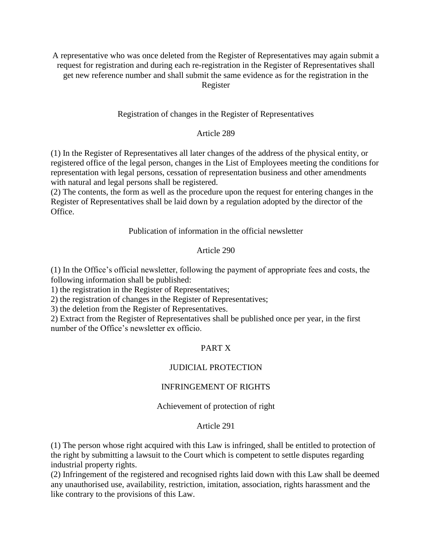A representative who was once deleted from the Register of Representatives may again submit a request for registration and during each re-registration in the Register of Representatives shall get new reference number and shall submit the same evidence as for the registration in the Register

Registration of changes in the Register of Representatives

## Article 289

(1) In the Register of Representatives all later changes of the address of the physical entity, or registered office of the legal person, changes in the List of Employees meeting the conditions for representation with legal persons, cessation of representation business and other amendments with natural and legal persons shall be registered.

(2) The contents, the form as well as the procedure upon the request for entering changes in the Register of Representatives shall be laid down by a regulation adopted by the director of the Office.

## Publication of information in the official newsletter

## Article 290

(1) In the Office's official newsletter, following the payment of appropriate fees and costs, the following information shall be published:

1) the registration in the Register of Representatives;

2) the registration of changes in the Register of Representatives;

3) the deletion from the Register of Representatives.

2) Extract from the Register of Representatives shall be published once per year, in the first number of the Office's newsletter ex officio.

## PART X

## JUDICIAL PROTECTION

## INFRINGEMENT OF RIGHTS

## Achievement of protection of right

#### Article 291

(1) The person whose right acquired with this Law is infringed, shall be entitled to protection of the right by submitting a lawsuit to the Court which is competent to settle disputes regarding industrial property rights.

(2) Infringement of the registered and recognised rights laid down with this Law shall be deemed any unauthorised use, availability, restriction, imitation, association, rights harassment and the like contrary to the provisions of this Law.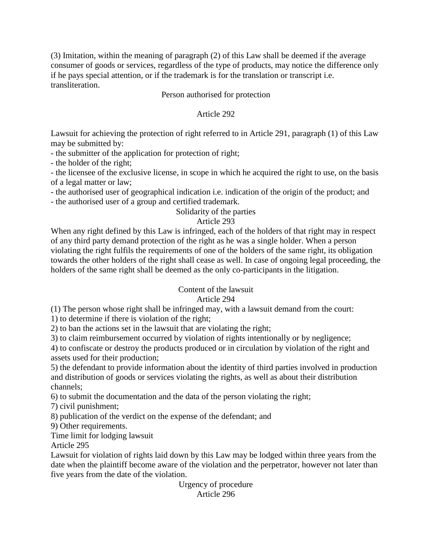(3) Imitation, within the meaning of paragraph (2) of this Law shall be deemed if the average consumer of goods or services, regardless of the type of products, may notice the difference only if he pays special attention, or if the trademark is for the translation or transcript i.e. transliteration.

## Person authorised for protection

## Article 292

Lawsuit for achieving the protection of right referred to in Article 291, paragraph (1) of this Law may be submitted by:

- the submitter of the application for protection of right;

- the holder of the right;

- the licensee of the exclusive license, in scope in which he acquired the right to use, on the basis of a legal matter or law;

- the authorised user of geographical indication i.e. indication of the origin of the product; and

- the authorised user of a group and certified trademark.

## Solidarity of the parties

# Article 293

When any right defined by this Law is infringed, each of the holders of that right may in respect of any third party demand protection of the right as he was a single holder. When a person violating the right fulfils the requirements of one of the holders of the same right, its obligation towards the other holders of the right shall cease as well. In case of ongoing legal proceeding, the holders of the same right shall be deemed as the only co-participants in the litigation.

## Content of the lawsuit

# Article 294

(1) The person whose right shall be infringed may, with a lawsuit demand from the court:

1) to determine if there is violation of the right;

2) to ban the actions set in the lawsuit that are violating the right;

3) to claim reimbursement occurred by violation of rights intentionally or by negligence;

4) to confiscate or destroy the products produced or in circulation by violation of the right and assets used for their production;

5) the defendant to provide information about the identity of third parties involved in production and distribution of goods or services violating the rights, as well as about their distribution channels;

6) to submit the documentation and the data of the person violating the right;

7) civil punishment;

8) publication of the verdict on the expense of the defendant; and

9) Other requirements.

Time limit for lodging lawsuit

Article 295

Lawsuit for violation of rights laid down by this Law may be lodged within three years from the date when the plaintiff become aware of the violation and the perpetrator, however not later than five years from the date of the violation.

Urgency of procedure Article 296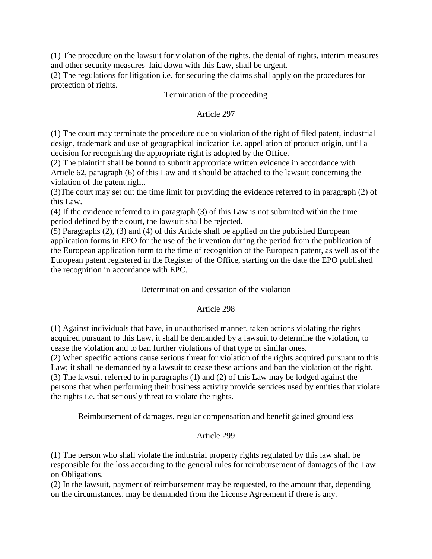(1) The procedure on the lawsuit for violation of the rights, the denial of rights, interim measures and other security measures laid down with this Law, shall be urgent.

(2) The regulations for litigation i.e. for securing the claims shall apply on the procedures for protection of rights.

## Termination of the proceeding

## Article 297

(1) The court may terminate the procedure due to violation of the right of filed patent, industrial design, trademark and use of geographical indication i.e. appellation of product origin, until a decision for recognising the appropriate right is adopted by the Office.

(2) The plaintiff shall be bound to submit appropriate written evidence in accordance with Article 62, paragraph (6) of this Law and it should be attached to the lawsuit concerning the violation of the patent right.

(3)The court may set out the time limit for providing the evidence referred to in paragraph (2) of this Law.

(4) If the evidence referred to in paragraph (3) of this Law is not submitted within the time period defined by the court, the lawsuit shall be rejected.

(5) Paragraphs (2), (3) and (4) of this Article shall be applied on the published European application forms in EPO for the use of the invention during the period from the publication of the European application form to the time of recognition of the European patent, as well as of the European patent registered in the Register of the Office, starting on the date the EPO published the recognition in accordance with EPC.

## Determination and cessation of the violation

# Article 298

(1) Against individuals that have, in unauthorised manner, taken actions violating the rights acquired pursuant to this Law, it shall be demanded by a lawsuit to determine the violation, to cease the violation and to ban further violations of that type or similar ones.

(2) When specific actions cause serious threat for violation of the rights acquired pursuant to this Law; it shall be demanded by a lawsuit to cease these actions and ban the violation of the right. (3) The lawsuit referred to in paragraphs (1) and (2) of this Law may be lodged against the persons that when performing their business activity provide services used by entities that violate the rights i.e. that seriously threat to violate the rights.

Reimbursement of damages, regular compensation and benefit gained groundless

# Article 299

(1) The person who shall violate the industrial property rights regulated by this law shall be responsible for the loss according to the general rules for reimbursement of damages of the Law on Obligations.

(2) In the lawsuit, payment of reimbursement may be requested, to the amount that, depending on the circumstances, may be demanded from the License Agreement if there is any.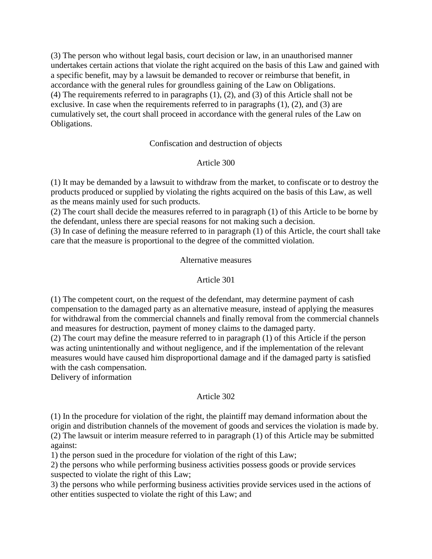(3) The person who without legal basis, court decision or law, in an unauthorised manner undertakes certain actions that violate the right acquired on the basis of this Law and gained with a specific benefit, may by a lawsuit be demanded to recover or reimburse that benefit, in accordance with the general rules for groundless gaining of the Law on Obligations. (4) The requirements referred to in paragraphs (1), (2), and (3) of this Article shall not be exclusive. In case when the requirements referred to in paragraphs (1), (2), and (3) are cumulatively set, the court shall proceed in accordance with the general rules of the Law on Obligations.

## Confiscation and destruction of objects

## Article 300

(1) It may be demanded by a lawsuit to withdraw from the market, to confiscate or to destroy the products produced or supplied by violating the rights acquired on the basis of this Law, as well as the means mainly used for such products.

(2) The court shall decide the measures referred to in paragraph (1) of this Article to be borne by the defendant, unless there are special reasons for not making such a decision.

(3) In case of defining the measure referred to in paragraph (1) of this Article, the court shall take care that the measure is proportional to the degree of the committed violation.

## Alternative measures

#### Article 301

(1) The competent court, on the request of the defendant, may determine payment of cash compensation to the damaged party as an alternative measure, instead of applying the measures for withdrawal from the commercial channels and finally removal from the commercial channels and measures for destruction, payment of money claims to the damaged party.

(2) The court may define the measure referred to in paragraph (1) of this Article if the person was acting unintentionally and without negligence, and if the implementation of the relevant measures would have caused him disproportional damage and if the damaged party is satisfied with the cash compensation.

Delivery of information

## Article 302

(1) In the procedure for violation of the right, the plaintiff may demand information about the origin and distribution channels of the movement of goods and services the violation is made by. (2) The lawsuit or interim measure referred to in paragraph (1) of this Article may be submitted against:

1) the person sued in the procedure for violation of the right of this Law;

2) the persons who while performing business activities possess goods or provide services suspected to violate the right of this Law;

3) the persons who while performing business activities provide services used in the actions of other entities suspected to violate the right of this Law; and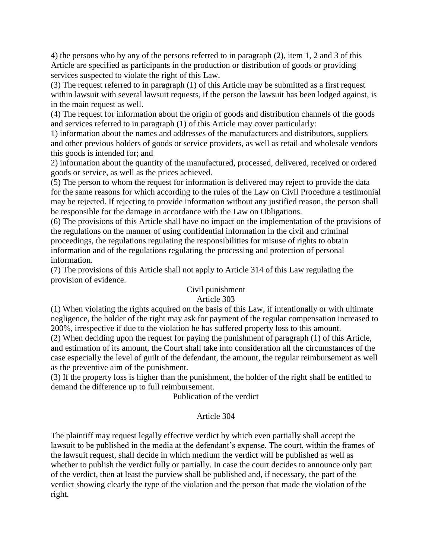4) the persons who by any of the persons referred to in paragraph (2), item 1, 2 and 3 of this Article are specified as participants in the production or distribution of goods or providing services suspected to violate the right of this Law.

(3) The request referred to in paragraph (1) of this Article may be submitted as a first request within lawsuit with several lawsuit requests, if the person the lawsuit has been lodged against, is in the main request as well.

(4) The request for information about the origin of goods and distribution channels of the goods and services referred to in paragraph (1) of this Article may cover particularly:

1) information about the names and addresses of the manufacturers and distributors, suppliers and other previous holders of goods or service providers, as well as retail and wholesale vendors this goods is intended for; and

2) information about the quantity of the manufactured, processed, delivered, received or ordered goods or service, as well as the prices achieved.

(5) The person to whom the request for information is delivered may reject to provide the data for the same reasons for which according to the rules of the Law on Civil Procedure a testimonial may be rejected. If rejecting to provide information without any justified reason, the person shall be responsible for the damage in accordance with the Law on Obligations.

(6) The provisions of this Article shall have no impact on the implementation of the provisions of the regulations on the manner of using confidential information in the civil and criminal proceedings, the regulations regulating the responsibilities for misuse of rights to obtain information and of the regulations regulating the processing and protection of personal information.

(7) The provisions of this Article shall not apply to Article 314 of this Law regulating the provision of evidence.

## Civil punishment Article 303

(1) When violating the rights acquired on the basis of this Law, if intentionally or with ultimate negligence, the holder of the right may ask for payment of the regular compensation increased to 200%, irrespective if due to the violation he has suffered property loss to this amount.

(2) When deciding upon the request for paying the punishment of paragraph (1) of this Article, and estimation of its amount, the Court shall take into consideration all the circumstances of the case especially the level of guilt of the defendant, the amount, the regular reimbursement as well as the preventive aim of the punishment.

(3) If the property loss is higher than the punishment, the holder of the right shall be entitled to demand the difference up to full reimbursement.

Publication of the verdict

# Article 304

The plaintiff may request legally effective verdict by which even partially shall accept the lawsuit to be published in the media at the defendant's expense. The court, within the frames of the lawsuit request, shall decide in which medium the verdict will be published as well as whether to publish the verdict fully or partially. In case the court decides to announce only part of the verdict, then at least the purview shall be published and, if necessary, the part of the verdict showing clearly the type of the violation and the person that made the violation of the right.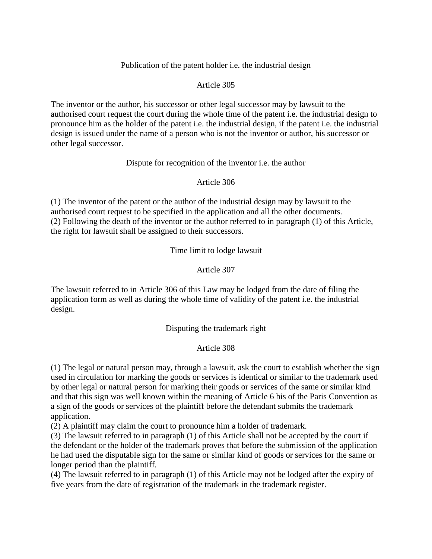## Publication of the patent holder i.e. the industrial design

## Article 305

The inventor or the author, his successor or other legal successor may by lawsuit to the authorised court request the court during the whole time of the patent i.e. the industrial design to pronounce him as the holder of the patent i.e. the industrial design, if the patent i.e. the industrial design is issued under the name of a person who is not the inventor or author, his successor or other legal successor.

#### Dispute for recognition of the inventor i.e. the author

## Article 306

(1) The inventor of the patent or the author of the industrial design may by lawsuit to the authorised court request to be specified in the application and all the other documents. (2) Following the death of the inventor or the author referred to in paragraph (1) of this Article, the right for lawsuit shall be assigned to their successors.

Time limit to lodge lawsuit

## Article 307

The lawsuit referred to in Article 306 of this Law may be lodged from the date of filing the application form as well as during the whole time of validity of the patent i.e. the industrial design.

## Disputing the trademark right

## Article 308

(1) The legal or natural person may, through a lawsuit, ask the court to establish whether the sign used in circulation for marking the goods or services is identical or similar to the trademark used by other legal or natural person for marking their goods or services of the same or similar kind and that this sign was well known within the meaning of Article 6 bis of the Paris Convention as a sign of the goods or services of the plaintiff before the defendant submits the trademark application.

(2) A plaintiff may claim the court to pronounce him a holder of trademark.

(3) The lawsuit referred to in paragraph (1) of this Article shall not be accepted by the court if the defendant or the holder of the trademark proves that before the submission of the application he had used the disputable sign for the same or similar kind of goods or services for the same or longer period than the plaintiff.

(4) The lawsuit referred to in paragraph (1) of this Article may not be lodged after the expiry of five years from the date of registration of the trademark in the trademark register.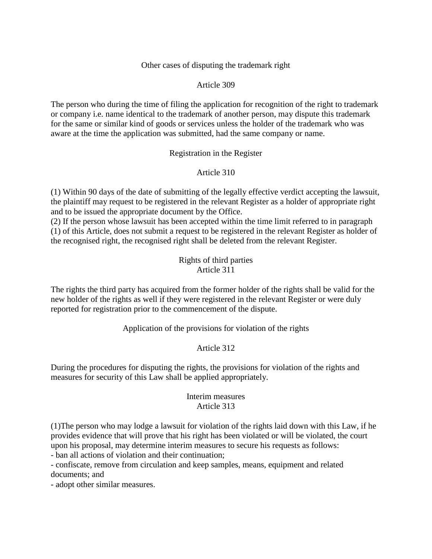## Other cases of disputing the trademark right

## Article 309

The person who during the time of filing the application for recognition of the right to trademark or company i.e. name identical to the trademark of another person, may dispute this trademark for the same or similar kind of goods or services unless the holder of the trademark who was aware at the time the application was submitted, had the same company or name.

## Registration in the Register

# Article 310

(1) Within 90 days of the date of submitting of the legally effective verdict accepting the lawsuit, the plaintiff may request to be registered in the relevant Register as a holder of appropriate right and to be issued the appropriate document by the Office.

(2) If the person whose lawsuit has been accepted within the time limit referred to in paragraph (1) of this Article, does not submit a request to be registered in the relevant Register as holder of the recognised right, the recognised right shall be deleted from the relevant Register.

## Rights of third parties Article 311

The rights the third party has acquired from the former holder of the rights shall be valid for the new holder of the rights as well if they were registered in the relevant Register or were duly reported for registration prior to the commencement of the dispute.

Application of the provisions for violation of the rights

# Article 312

During the procedures for disputing the rights, the provisions for violation of the rights and measures for security of this Law shall be applied appropriately.

## Interim measures Article 313

(1)The person who may lodge a lawsuit for violation of the rights laid down with this Law, if he provides evidence that will prove that his right has been violated or will be violated, the court upon his proposal, may determine interim measures to secure his requests as follows:

- ban all actions of violation and their continuation;

- confiscate, remove from circulation and keep samples, means, equipment and related documents; and

- adopt other similar measures.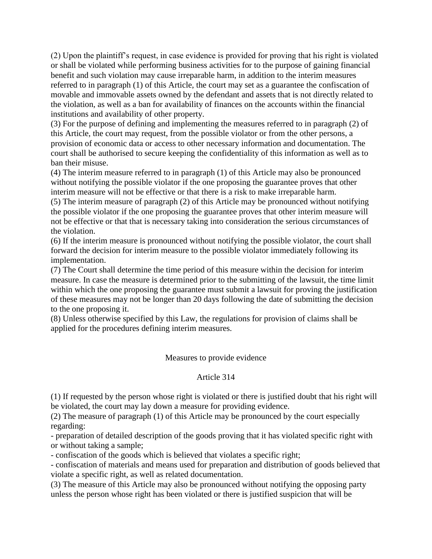(2) Upon the plaintiff's request, in case evidence is provided for proving that his right is violated or shall be violated while performing business activities for to the purpose of gaining financial benefit and such violation may cause irreparable harm, in addition to the interim measures referred to in paragraph (1) of this Article, the court may set as a guarantee the confiscation of movable and immovable assets owned by the defendant and assets that is not directly related to the violation, as well as a ban for availability of finances on the accounts within the financial institutions and availability of other property.

(3) For the purpose of defining and implementing the measures referred to in paragraph (2) of this Article, the court may request, from the possible violator or from the other persons, a provision of economic data or access to other necessary information and documentation. The court shall be authorised to secure keeping the confidentiality of this information as well as to ban their misuse.

(4) The interim measure referred to in paragraph (1) of this Article may also be pronounced without notifying the possible violator if the one proposing the guarantee proves that other interim measure will not be effective or that there is a risk to make irreparable harm.

(5) The interim measure of paragraph (2) of this Article may be pronounced without notifying the possible violator if the one proposing the guarantee proves that other interim measure will not be effective or that that is necessary taking into consideration the serious circumstances of the violation.

(6) If the interim measure is pronounced without notifying the possible violator, the court shall forward the decision for interim measure to the possible violator immediately following its implementation.

(7) The Court shall determine the time period of this measure within the decision for interim measure. In case the measure is determined prior to the submitting of the lawsuit, the time limit within which the one proposing the guarantee must submit a lawsuit for proving the justification of these measures may not be longer than 20 days following the date of submitting the decision to the one proposing it.

(8) Unless otherwise specified by this Law, the regulations for provision of claims shall be applied for the procedures defining interim measures.

## Measures to provide evidence

## Article 314

(1) If requested by the person whose right is violated or there is justified doubt that his right will be violated, the court may lay down a measure for providing evidence.

(2) The measure of paragraph (1) of this Article may be pronounced by the court especially regarding:

- preparation of detailed description of the goods proving that it has violated specific right with or without taking a sample;

- confiscation of the goods which is believed that violates a specific right;

- confiscation of materials and means used for preparation and distribution of goods believed that violate a specific right, as well as related documentation.

(3) The measure of this Article may also be pronounced without notifying the opposing party unless the person whose right has been violated or there is justified suspicion that will be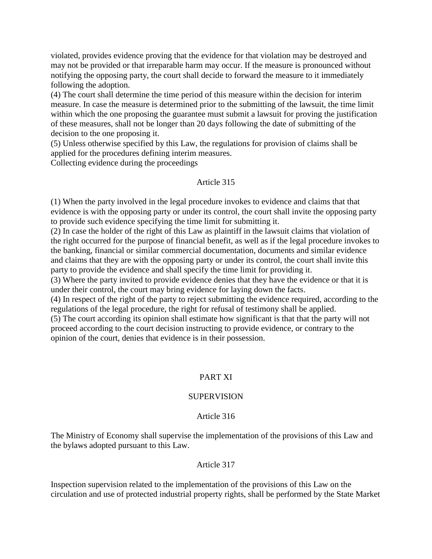violated, provides evidence proving that the evidence for that violation may be destroyed and may not be provided or that irreparable harm may occur. If the measure is pronounced without notifying the opposing party, the court shall decide to forward the measure to it immediately following the adoption.

(4) The court shall determine the time period of this measure within the decision for interim measure. In case the measure is determined prior to the submitting of the lawsuit, the time limit within which the one proposing the guarantee must submit a lawsuit for proving the justification of these measures, shall not be longer than 20 days following the date of submitting of the decision to the one proposing it.

(5) Unless otherwise specified by this Law, the regulations for provision of claims shall be applied for the procedures defining interim measures.

Collecting evidence during the proceedings

# Article 315

(1) When the party involved in the legal procedure invokes to evidence and claims that that evidence is with the opposing party or under its control, the court shall invite the opposing party to provide such evidence specifying the time limit for submitting it.

(2) In case the holder of the right of this Law as plaintiff in the lawsuit claims that violation of the right occurred for the purpose of financial benefit, as well as if the legal procedure invokes to the banking, financial or similar commercial documentation, documents and similar evidence and claims that they are with the opposing party or under its control, the court shall invite this party to provide the evidence and shall specify the time limit for providing it.

(3) Where the party invited to provide evidence denies that they have the evidence or that it is under their control, the court may bring evidence for laying down the facts.

(4) In respect of the right of the party to reject submitting the evidence required, according to the regulations of the legal procedure, the right for refusal of testimony shall be applied.

(5) The court according its opinion shall estimate how significant is that that the party will not proceed according to the court decision instructing to provide evidence, or contrary to the opinion of the court, denies that evidence is in their possession.

## PART XI

## **SUPERVISION**

## Article 316

The Ministry of Economy shall supervise the implementation of the provisions of this Law and the bylaws adopted pursuant to this Law.

## Article 317

Inspection supervision related to the implementation of the provisions of this Law on the circulation and use of protected industrial property rights, shall be performed by the State Market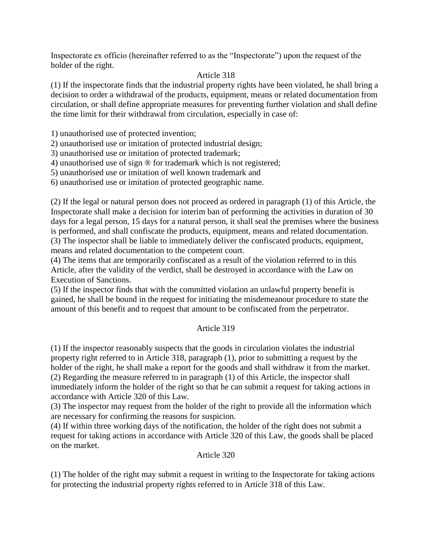Inspectorate ex officio (hereinafter referred to as the "Inspectorate") upon the request of the holder of the right.

# Article 318

(1) If the inspectorate finds that the industrial property rights have been violated, he shall bring a decision to order a withdrawal of the products, equipment, means or related documentation from circulation, or shall define appropriate measures for preventing further violation and shall define the time limit for their withdrawal from circulation, especially in case of:

1) unauthorised use of protected invention;

2) unauthorised use or imitation of protected industrial design;

3) unauthorised use or imitation of protected trademark;

4) unauthorised use of sign ® for trademark which is not registered;

5) unauthorised use or imitation of well known trademark and

6) unauthorised use or imitation of protected geographic name.

(2) If the legal or natural person does not proceed as ordered in paragraph (1) of this Article, the Inspectorate shall make a decision for interim ban of performing the activities in duration of 30 days for a legal person, 15 days for a natural person, it shall seal the premises where the business is performed, and shall confiscate the products, equipment, means and related documentation. (3) The inspector shall be liable to immediately deliver the confiscated products, equipment, means and related documentation to the competent court.

(4) The items that are temporarily confiscated as a result of the violation referred to in this Article, after the validity of the verdict, shall be destroyed in accordance with the Law on Execution of Sanctions.

(5) If the inspector finds that with the committed violation an unlawful property benefit is gained, he shall be bound in the request for initiating the misdemeanour procedure to state the amount of this benefit and to request that amount to be confiscated from the perpetrator.

# Article 319

(1) If the inspector reasonably suspects that the goods in circulation violates the industrial property right referred to in Article 318, paragraph (1), prior to submitting a request by the holder of the right, he shall make a report for the goods and shall withdraw it from the market. (2) Regarding the measure referred to in paragraph (1) of this Article, the inspector shall immediately inform the holder of the right so that he can submit a request for taking actions in accordance with Article 320 of this Law.

(3) The inspector may request from the holder of the right to provide all the information which are necessary for confirming the reasons for suspicion.

(4) If within three working days of the notification, the holder of the right does not submit a request for taking actions in accordance with Article 320 of this Law, the goods shall be placed on the market.

## Article 320

(1) The holder of the right may submit a request in writing to the Inspectorate for taking actions for protecting the industrial property rights referred to in Article 318 of this Law.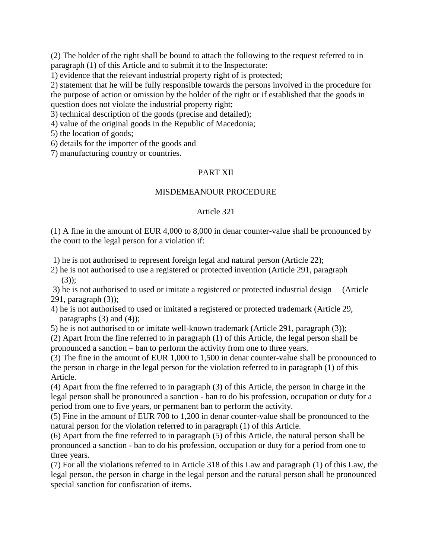(2) The holder of the right shall be bound to attach the following to the request referred to in paragraph (1) of this Article and to submit it to the Inspectorate:

1) evidence that the relevant industrial property right of is protected;

2) statement that he will be fully responsible towards the persons involved in the procedure for the purpose of action or omission by the holder of the right or if established that the goods in question does not violate the industrial property right;

3) technical description of the goods (precise and detailed);

4) value of the original goods in the Republic of Macedonia;

5) the location of goods;

6) details for the importer of the goods and

7) manufacturing country or countries.

## PART XII

#### MISDEMEANOUR PROCEDURE

#### Article 321

(1) A fine in the amount of EUR 4,000 to 8,000 in denar counter-value shall be pronounced by the court to the legal person for a violation if:

1) he is not authorised to represent foreign legal and natural person (Article 22);

2) he is not authorised to use a registered or protected invention (Article 291, paragraph  $(3)$ :

3) he is not authorised to used or imitate a registered or protected industrial design (Article 291, paragraph (3));

4) he is not authorised to used or imitated a registered or protected trademark (Article 29, paragraphs  $(3)$  and  $(4)$ ;

5) he is not authorised to or imitate well-known trademark (Article 291, paragraph (3));

(2) Apart from the fine referred to in paragraph (1) of this Article, the legal person shall be pronounced a sanction – ban to perform the activity from one to three years.

(3) The fine in the amount of EUR 1,000 to 1,500 in denar counter-value shall be pronounced to the person in charge in the legal person for the violation referred to in paragraph (1) of this Article.

(4) Apart from the fine referred to in paragraph (3) of this Article, the person in charge in the legal person shall be pronounced a sanction - ban to do his profession, occupation or duty for a period from one to five years, or permanent ban to perform the activity.

(5) Fine in the amount of EUR 700 to 1,200 in denar counter-value shall be pronounced to the natural person for the violation referred to in paragraph (1) of this Article.

(6) Apart from the fine referred to in paragraph (5) of this Article, the natural person shall be pronounced a sanction - ban to do his profession, occupation or duty for a period from one to three years.

(7) For all the violations referred to in Article 318 of this Law and paragraph (1) of this Law, the legal person, the person in charge in the legal person and the natural person shall be pronounced special sanction for confiscation of items.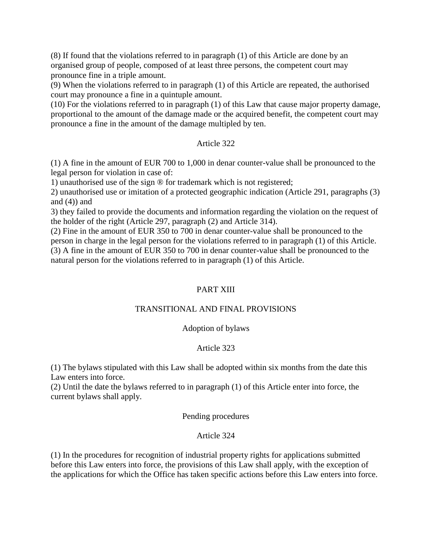(8) If found that the violations referred to in paragraph (1) of this Article are done by an organised group of people, composed of at least three persons, the competent court may pronounce fine in a triple amount.

(9) When the violations referred to in paragraph (1) of this Article are repeated, the authorised court may pronounce a fine in a quintuple amount.

(10) For the violations referred to in paragraph (1) of this Law that cause major property damage, proportional to the amount of the damage made or the acquired benefit, the competent court may pronounce a fine in the amount of the damage multipled by ten.

## Article 322

(1) A fine in the amount of EUR 700 to 1,000 in denar counter-value shall be pronounced to the legal person for violation in case of:

1) unauthorised use of the sign ® for trademark which is not registered;

2) unauthorised use or imitation of a protected geographic indication (Article 291, paragraphs (3) and  $(4)$ ) and

3) they failed to provide the documents and information regarding the violation on the request of the holder of the right (Article 297, paragraph (2) and Article 314).

(2) Fine in the amount of EUR 350 to 700 in denar counter-value shall be pronounced to the person in charge in the legal person for the violations referred to in paragraph (1) of this Article. (3) A fine in the amount of EUR 350 to 700 in denar counter-value shall be pronounced to the natural person for the violations referred to in paragraph (1) of this Article.

# PART XIII

## TRANSITIONAL AND FINAL PROVISIONS

## Adoption of bylaws

# Article 323

(1) The bylaws stipulated with this Law shall be adopted within six months from the date this Law enters into force.

(2) Until the date the bylaws referred to in paragraph (1) of this Article enter into force, the current bylaws shall apply.

## Pending procedures

# Article 324

(1) In the procedures for recognition of industrial property rights for applications submitted before this Law enters into force, the provisions of this Law shall apply, with the exception of the applications for which the Office has taken specific actions before this Law enters into force.